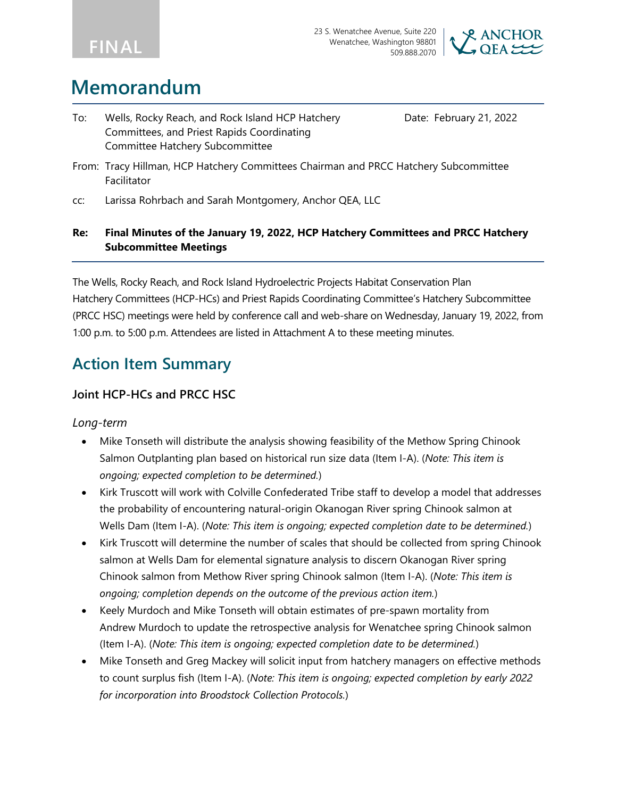



## **Memorandum**

To: Wells, Rocky Reach, and Rock Island HCP Hatchery Committees, and Priest Rapids Coordinating Committee Hatchery Subcommittee

Date: February 21, 2022

- From: Tracy Hillman, HCP Hatchery Committees Chairman and PRCC Hatchery Subcommittee Facilitator
- cc: Larissa Rohrbach and Sarah Montgomery, Anchor QEA, LLC

## **Re: Final Minutes of the January 19, 2022, HCP Hatchery Committees and PRCC Hatchery Subcommittee Meetings**

The Wells, Rocky Reach, and Rock Island Hydroelectric Projects Habitat Conservation Plan Hatchery Committees (HCP-HCs) and Priest Rapids Coordinating Committee's Hatchery Subcommittee (PRCC HSC) meetings were held by conference call and web-share on Wednesday, January 19, 2022, from 1:00 p.m. to 5:00 p.m. Attendees are listed in Attachment A to these meeting minutes.

## **Action Item Summary**

## **Joint HCP-HCs and PRCC HSC**

## *Long-term*

- Mike Tonseth will distribute the analysis showing feasibility of the Methow Spring Chinook Salmon Outplanting plan based on historical run size data (Item I-A). (*Note: This item is ongoing; expected completion to be determined.*)
- Kirk Truscott will work with Colville Confederated Tribe staff to develop a model that addresses the probability of encountering natural-origin Okanogan River spring Chinook salmon at Wells Dam (Item I-A). (*Note: This item is ongoing; expected completion date to be determined.*)
- Kirk Truscott will determine the number of scales that should be collected from spring Chinook salmon at Wells Dam for elemental signature analysis to discern Okanogan River spring Chinook salmon from Methow River spring Chinook salmon (Item I-A). (*Note: This item is ongoing; completion depends on the outcome of the previous action item.*)
- Keely Murdoch and Mike Tonseth will obtain estimates of pre-spawn mortality from Andrew Murdoch to update the retrospective analysis for Wenatchee spring Chinook salmon (Item I-A). (*Note: This item is ongoing; expected completion date to be determined.*)
- Mike Tonseth and Greg Mackey will solicit input from hatchery managers on effective methods to count surplus fish (Item I-A). (*Note: This item is ongoing; expected completion by early 2022 for incorporation into Broodstock Collection Protocols.*)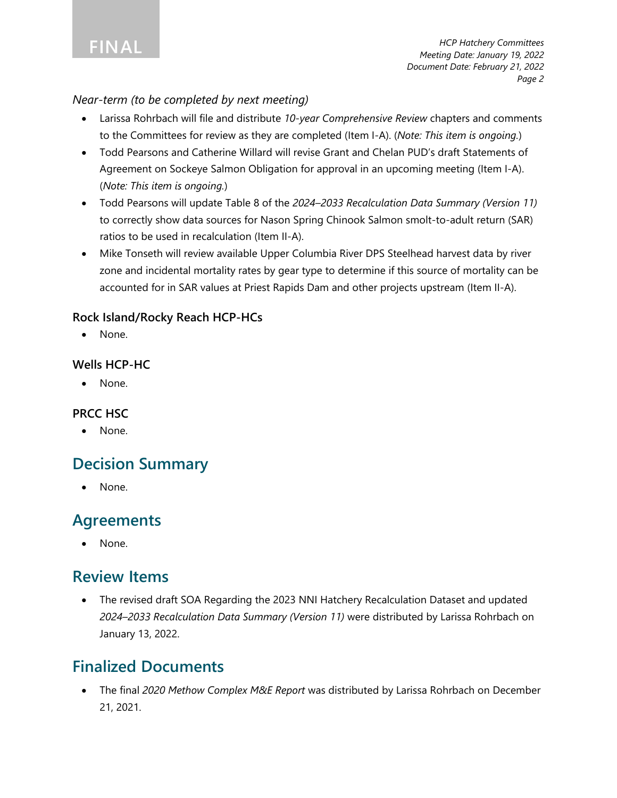

## *Near-term (to be completed by next meeting)*

- Larissa Rohrbach will file and distribute *10-year Comprehensive Review* chapters and comments to the Committees for review as they are completed (Item I-A). (*Note: This item is ongoing.*)
- Todd Pearsons and Catherine Willard will revise Grant and Chelan PUD's draft Statements of Agreement on Sockeye Salmon Obligation for approval in an upcoming meeting (Item I-A). (*Note: This item is ongoing.*)
- Todd Pearsons will update Table 8 of the *2024–2033 Recalculation Data Summary (Version 11)* to correctly show data sources for Nason Spring Chinook Salmon smolt-to-adult return (SAR) ratios to be used in recalculation (Item II-A).
- Mike Tonseth will review available Upper Columbia River DPS Steelhead harvest data by river zone and incidental mortality rates by gear type to determine if this source of mortality can be accounted for in SAR values at Priest Rapids Dam and other projects upstream (Item II-A).

## **Rock Island/Rocky Reach HCP-HCs**

• None.

## **Wells HCP-HC**

• None.

## **PRCC HSC**

• None.

## **Decision Summary**

None.

## **Agreements**

• None.

## **Review Items**

• The revised draft SOA Regarding the 2023 NNI Hatchery Recalculation Dataset and updated *2024–2033 Recalculation Data Summary (Version 11)* were distributed by Larissa Rohrbach on January 13, 2022.

## **Finalized Documents**

• The final *2020 Methow Complex M&E Report* was distributed by Larissa Rohrbach on December 21, 2021.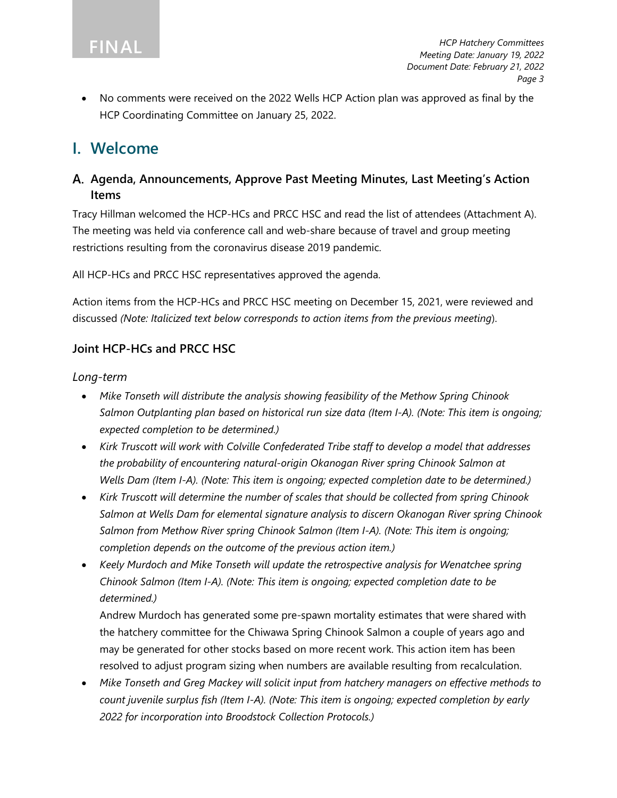• No comments were received on the 2022 Wells HCP Action plan was approved as final by the HCP Coordinating Committee on January 25, 2022.

## **I. Welcome**

## **Agenda, Announcements, Approve Past Meeting Minutes, Last Meeting's Action Items**

Tracy Hillman welcomed the HCP-HCs and PRCC HSC and read the list of attendees (Attachment A). The meeting was held via conference call and web-share because of travel and group meeting restrictions resulting from the coronavirus disease 2019 pandemic.

All HCP-HCs and PRCC HSC representatives approved the agenda.

Action items from the HCP-HCs and PRCC HSC meeting on December 15, 2021, were reviewed and discussed *(Note: Italicized text below corresponds to action items from the previous meeting*).

## **Joint HCP-HCs and PRCC HSC**

*Long-term*

- *Mike Tonseth will distribute the analysis showing feasibility of the Methow Spring Chinook Salmon Outplanting plan based on historical run size data (Item I-A). (Note: This item is ongoing; expected completion to be determined.)*
- *Kirk Truscott will work with Colville Confederated Tribe staff to develop a model that addresses the probability of encountering natural-origin Okanogan River spring Chinook Salmon at Wells Dam (Item I-A). (Note: This item is ongoing; expected completion date to be determined.)*
- *Kirk Truscott will determine the number of scales that should be collected from spring Chinook Salmon at Wells Dam for elemental signature analysis to discern Okanogan River spring Chinook Salmon from Methow River spring Chinook Salmon (Item I-A). (Note: This item is ongoing; completion depends on the outcome of the previous action item.)*
- *Keely Murdoch and Mike Tonseth will update the retrospective analysis for Wenatchee spring Chinook Salmon (Item I-A). (Note: This item is ongoing; expected completion date to be determined.)*

Andrew Murdoch has generated some pre-spawn mortality estimates that were shared with the hatchery committee for the Chiwawa Spring Chinook Salmon a couple of years ago and may be generated for other stocks based on more recent work. This action item has been resolved to adjust program sizing when numbers are available resulting from recalculation.

• *Mike Tonseth and Greg Mackey will solicit input from hatchery managers on effective methods to count juvenile surplus fish (Item I-A). (Note: This item is ongoing; expected completion by early 2022 for incorporation into Broodstock Collection Protocols.)*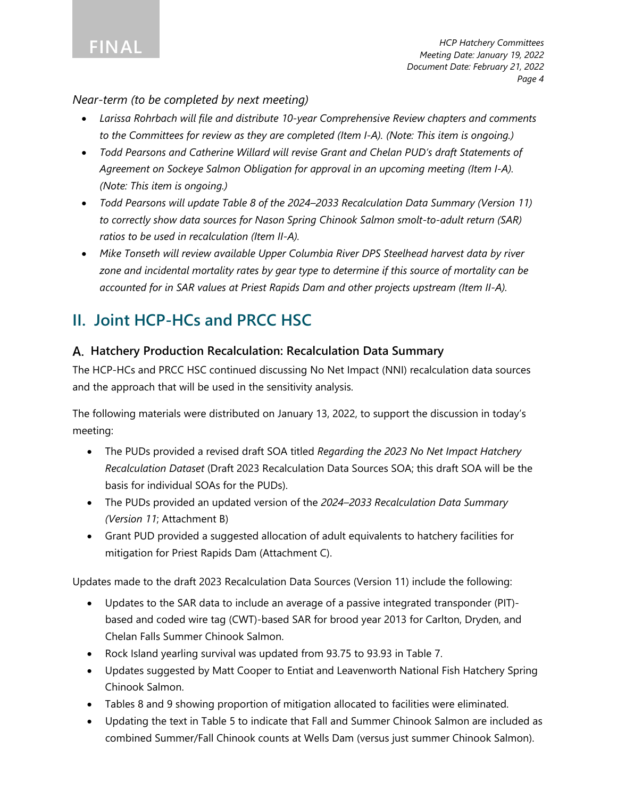

## *Near-term (to be completed by next meeting)*

- *Larissa Rohrbach will file and distribute 10-year Comprehensive Review chapters and comments to the Committees for review as they are completed (Item I-A). (Note: This item is ongoing.)*
- *Todd Pearsons and Catherine Willard will revise Grant and Chelan PUD's draft Statements of Agreement on Sockeye Salmon Obligation for approval in an upcoming meeting (Item I-A). (Note: This item is ongoing.)*
- *Todd Pearsons will update Table 8 of the 2024–2033 Recalculation Data Summary (Version 11) to correctly show data sources for Nason Spring Chinook Salmon smolt-to-adult return (SAR) ratios to be used in recalculation (Item II-A).*
- *Mike Tonseth will review available Upper Columbia River DPS Steelhead harvest data by river zone and incidental mortality rates by gear type to determine if this source of mortality can be accounted for in SAR values at Priest Rapids Dam and other projects upstream (Item II-A).*

## **II. Joint HCP-HCs and PRCC HSC**

## **Hatchery Production Recalculation: Recalculation Data Summary**

The HCP-HCs and PRCC HSC continued discussing No Net Impact (NNI) recalculation data sources and the approach that will be used in the sensitivity analysis.

The following materials were distributed on January 13, 2022, to support the discussion in today's meeting:

- The PUDs provided a revised draft SOA titled *Regarding the 2023 No Net Impact Hatchery Recalculation Dataset* (Draft 2023 Recalculation Data Sources SOA; this draft SOA will be the basis for individual SOAs for the PUDs).
- The PUDs provided an updated version of the *2024–2033 Recalculation Data Summary (Version 11*; Attachment B)
- Grant PUD provided a suggested allocation of adult equivalents to hatchery facilities for mitigation for Priest Rapids Dam (Attachment C).

Updates made to the draft 2023 Recalculation Data Sources (Version 11) include the following:

- Updates to the SAR data to include an average of a passive integrated transponder (PIT) based and coded wire tag (CWT)-based SAR for brood year 2013 for Carlton, Dryden, and Chelan Falls Summer Chinook Salmon.
- Rock Island yearling survival was updated from 93.75 to 93.93 in Table 7.
- Updates suggested by Matt Cooper to Entiat and Leavenworth National Fish Hatchery Spring Chinook Salmon.
- Tables 8 and 9 showing proportion of mitigation allocated to facilities were eliminated.
- Updating the text in Table 5 to indicate that Fall and Summer Chinook Salmon are included as combined Summer/Fall Chinook counts at Wells Dam (versus just summer Chinook Salmon).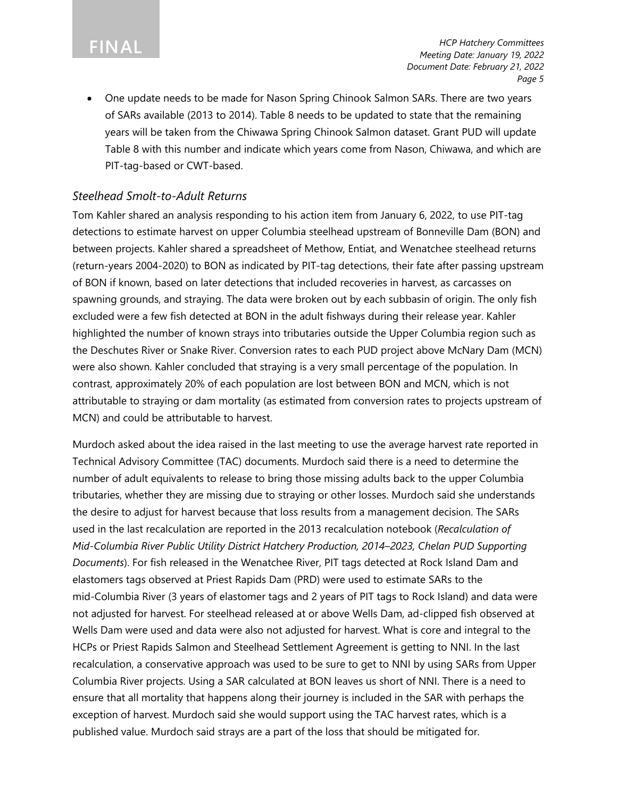• One update needs to be made for Nason Spring Chinook Salmon SARs. There are two years of SARs available (2013 to 2014). Table 8 needs to be updated to state that the remaining years will be taken from the Chiwawa Spring Chinook Salmon dataset. Grant PUD will update Table 8 with this number and indicate which years come from Nason, Chiwawa, and which are PIT-tag-based or CWT-based.

## *Steelhead Smolt-to-Adult Returns*

Tom Kahler shared an analysis responding to his action item from January 6, 2022, to use PIT-tag detections to estimate harvest on upper Columbia steelhead upstream of Bonneville Dam (BON) and between projects. Kahler shared a spreadsheet of Methow, Entiat, and Wenatchee steelhead returns (return-years 2004-2020) to BON as indicated by PIT-tag detections, their fate after passing upstream of BON if known, based on later detections that included recoveries in harvest, as carcasses on spawning grounds, and straying. The data were broken out by each subbasin of origin. The only fish excluded were a few fish detected at BON in the adult fishways during their release year. Kahler highlighted the number of known strays into tributaries outside the Upper Columbia region such as the Deschutes River or Snake River. Conversion rates to each PUD project above McNary Dam (MCN) were also shown. Kahler concluded that straying is a very small percentage of the population. In contrast, approximately 20% of each population are lost between BON and MCN, which is not attributable to straying or dam mortality (as estimated from conversion rates to projects upstream of MCN) and could be attributable to harvest.

Murdoch asked about the idea raised in the last meeting to use the average harvest rate reported in Technical Advisory Committee (TAC) documents. Murdoch said there is a need to determine the number of adult equivalents to release to bring those missing adults back to the upper Columbia tributaries, whether they are missing due to straying or other losses. Murdoch said she understands the desire to adjust for harvest because that loss results from a management decision. The SARs used in the last recalculation are reported in the 2013 recalculation notebook (*Recalculation of Mid-Columbia River Public Utility District Hatchery Production, 2014–2023, Chelan PUD Supporting Documents*). For fish released in the Wenatchee River, PIT tags detected at Rock Island Dam and elastomers tags observed at Priest Rapids Dam (PRD) were used to estimate SARs to the mid-Columbia River (3 years of elastomer tags and 2 years of PIT tags to Rock Island) and data were not adjusted for harvest. For steelhead released at or above Wells Dam, ad-clipped fish observed at Wells Dam were used and data were also not adjusted for harvest. What is core and integral to the HCPs or Priest Rapids Salmon and Steelhead Settlement Agreement is getting to NNI. In the last recalculation, a conservative approach was used to be sure to get to NNI by using SARs from Upper Columbia River projects. Using a SAR calculated at BON leaves us short of NNI. There is a need to ensure that all mortality that happens along their journey is included in the SAR with perhaps the exception of harvest. Murdoch said she would support using the TAC harvest rates, which is a published value. Murdoch said strays are a part of the loss that should be mitigated for.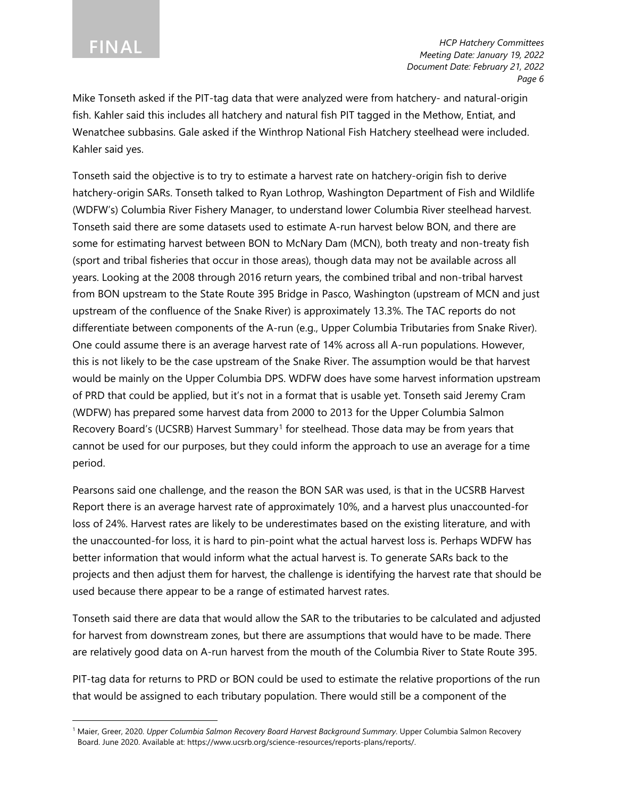Mike Tonseth asked if the PIT-tag data that were analyzed were from hatchery- and natural-origin fish. Kahler said this includes all hatchery and natural fish PIT tagged in the Methow, Entiat, and Wenatchee subbasins. Gale asked if the Winthrop National Fish Hatchery steelhead were included. Kahler said yes.

Tonseth said the objective is to try to estimate a harvest rate on hatchery-origin fish to derive hatchery-origin SARs. Tonseth talked to Ryan Lothrop, Washington Department of Fish and Wildlife (WDFW's) Columbia River Fishery Manager, to understand lower Columbia River steelhead harvest. Tonseth said there are some datasets used to estimate A-run harvest below BON, and there are some for estimating harvest between BON to McNary Dam (MCN), both treaty and non-treaty fish (sport and tribal fisheries that occur in those areas), though data may not be available across all years. Looking at the 2008 through 2016 return years, the combined tribal and non-tribal harvest from BON upstream to the State Route 395 Bridge in Pasco, Washington (upstream of MCN and just upstream of the confluence of the Snake River) is approximately 13.3%. The TAC reports do not differentiate between components of the A-run (e.g., Upper Columbia Tributaries from Snake River). One could assume there is an average harvest rate of 14% across all A-run populations. However, this is not likely to be the case upstream of the Snake River. The assumption would be that harvest would be mainly on the Upper Columbia DPS. WDFW does have some harvest information upstream of PRD that could be applied, but it's not in a format that is usable yet. Tonseth said Jeremy Cram (WDFW) has prepared some harvest data from 2000 to 2013 for the Upper Columbia Salmon Recovery Board's (UCSRB) Harvest Summary<sup>[1](#page-5-0)</sup> for steelhead. Those data may be from years that cannot be used for our purposes, but they could inform the approach to use an average for a time period.

Pearsons said one challenge, and the reason the BON SAR was used, is that in the UCSRB Harvest Report there is an average harvest rate of approximately 10%, and a harvest plus unaccounted-for loss of 24%. Harvest rates are likely to be underestimates based on the existing literature, and with the unaccounted-for loss, it is hard to pin-point what the actual harvest loss is. Perhaps WDFW has better information that would inform what the actual harvest is. To generate SARs back to the projects and then adjust them for harvest, the challenge is identifying the harvest rate that should be used because there appear to be a range of estimated harvest rates.

Tonseth said there are data that would allow the SAR to the tributaries to be calculated and adjusted for harvest from downstream zones, but there are assumptions that would have to be made. There are relatively good data on A-run harvest from the mouth of the Columbia River to State Route 395.

PIT-tag data for returns to PRD or BON could be used to estimate the relative proportions of the run that would be assigned to each tributary population. There would still be a component of the

<span id="page-5-0"></span><sup>1</sup> Maier, Greer, 2020. *Upper Columbia Salmon Recovery Board Harvest Background Summary*. Upper Columbia Salmon Recovery Board. June 2020. Available at: https://www.ucsrb.org/science-resources/reports-plans/reports/.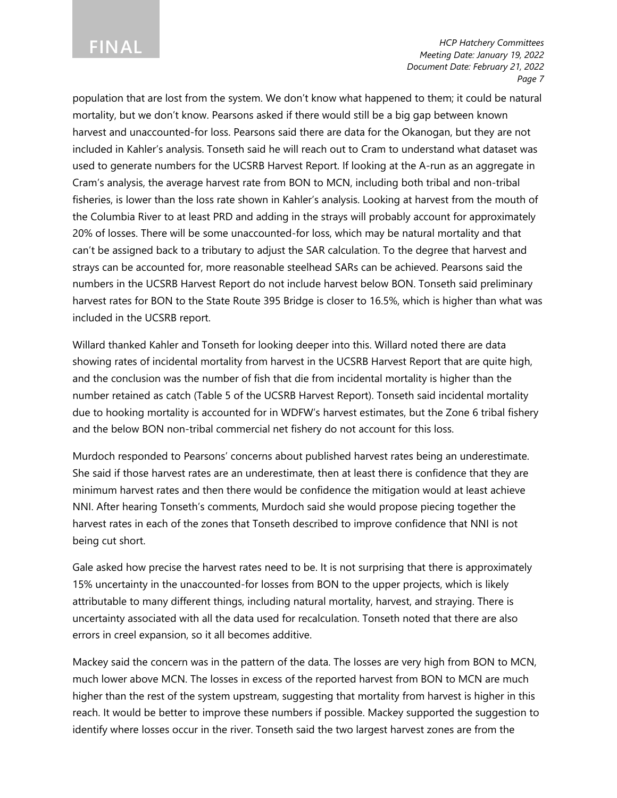population that are lost from the system. We don't know what happened to them; it could be natural mortality, but we don't know. Pearsons asked if there would still be a big gap between known harvest and unaccounted-for loss. Pearsons said there are data for the Okanogan, but they are not included in Kahler's analysis. Tonseth said he will reach out to Cram to understand what dataset was used to generate numbers for the UCSRB Harvest Report. If looking at the A-run as an aggregate in Cram's analysis, the average harvest rate from BON to MCN, including both tribal and non-tribal fisheries, is lower than the loss rate shown in Kahler's analysis. Looking at harvest from the mouth of the Columbia River to at least PRD and adding in the strays will probably account for approximately 20% of losses. There will be some unaccounted-for loss, which may be natural mortality and that can't be assigned back to a tributary to adjust the SAR calculation. To the degree that harvest and strays can be accounted for, more reasonable steelhead SARs can be achieved. Pearsons said the numbers in the UCSRB Harvest Report do not include harvest below BON. Tonseth said preliminary harvest rates for BON to the State Route 395 Bridge is closer to 16.5%, which is higher than what was included in the UCSRB report.

Willard thanked Kahler and Tonseth for looking deeper into this. Willard noted there are data showing rates of incidental mortality from harvest in the UCSRB Harvest Report that are quite high, and the conclusion was the number of fish that die from incidental mortality is higher than the number retained as catch (Table 5 of the UCSRB Harvest Report). Tonseth said incidental mortality due to hooking mortality is accounted for in WDFW's harvest estimates, but the Zone 6 tribal fishery and the below BON non-tribal commercial net fishery do not account for this loss.

Murdoch responded to Pearsons' concerns about published harvest rates being an underestimate. She said if those harvest rates are an underestimate, then at least there is confidence that they are minimum harvest rates and then there would be confidence the mitigation would at least achieve NNI. After hearing Tonseth's comments, Murdoch said she would propose piecing together the harvest rates in each of the zones that Tonseth described to improve confidence that NNI is not being cut short.

Gale asked how precise the harvest rates need to be. It is not surprising that there is approximately 15% uncertainty in the unaccounted-for losses from BON to the upper projects, which is likely attributable to many different things, including natural mortality, harvest, and straying. There is uncertainty associated with all the data used for recalculation. Tonseth noted that there are also errors in creel expansion, so it all becomes additive.

Mackey said the concern was in the pattern of the data. The losses are very high from BON to MCN, much lower above MCN. The losses in excess of the reported harvest from BON to MCN are much higher than the rest of the system upstream, suggesting that mortality from harvest is higher in this reach. It would be better to improve these numbers if possible. Mackey supported the suggestion to identify where losses occur in the river. Tonseth said the two largest harvest zones are from the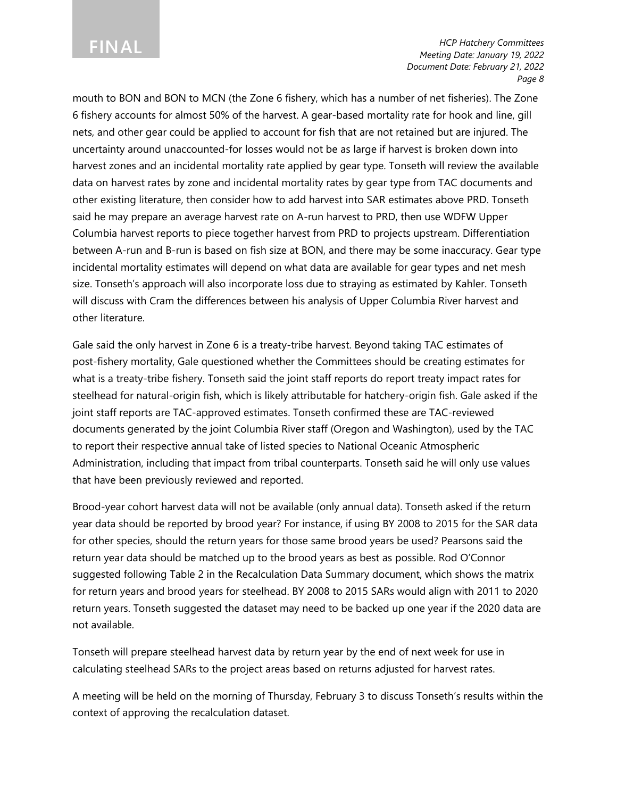## **FINAL**

*HCP Hatchery Committees Meeting Date: January 19, 2022 Document Date: February 21, 2022 Page 8*

mouth to BON and BON to MCN (the Zone 6 fishery, which has a number of net fisheries). The Zone 6 fishery accounts for almost 50% of the harvest. A gear-based mortality rate for hook and line, gill nets, and other gear could be applied to account for fish that are not retained but are injured. The uncertainty around unaccounted-for losses would not be as large if harvest is broken down into harvest zones and an incidental mortality rate applied by gear type. Tonseth will review the available data on harvest rates by zone and incidental mortality rates by gear type from TAC documents and other existing literature, then consider how to add harvest into SAR estimates above PRD. Tonseth said he may prepare an average harvest rate on A-run harvest to PRD, then use WDFW Upper Columbia harvest reports to piece together harvest from PRD to projects upstream. Differentiation between A-run and B-run is based on fish size at BON, and there may be some inaccuracy. Gear type incidental mortality estimates will depend on what data are available for gear types and net mesh size. Tonseth's approach will also incorporate loss due to straying as estimated by Kahler. Tonseth will discuss with Cram the differences between his analysis of Upper Columbia River harvest and other literature.

Gale said the only harvest in Zone 6 is a treaty-tribe harvest. Beyond taking TAC estimates of post-fishery mortality, Gale questioned whether the Committees should be creating estimates for what is a treaty-tribe fishery. Tonseth said the joint staff reports do report treaty impact rates for steelhead for natural-origin fish, which is likely attributable for hatchery-origin fish. Gale asked if the joint staff reports are TAC-approved estimates. Tonseth confirmed these are TAC-reviewed documents generated by the joint Columbia River staff (Oregon and Washington), used by the TAC to report their respective annual take of listed species to National Oceanic Atmospheric Administration, including that impact from tribal counterparts. Tonseth said he will only use values that have been previously reviewed and reported.

Brood-year cohort harvest data will not be available (only annual data). Tonseth asked if the return year data should be reported by brood year? For instance, if using BY 2008 to 2015 for the SAR data for other species, should the return years for those same brood years be used? Pearsons said the return year data should be matched up to the brood years as best as possible. Rod O'Connor suggested following Table 2 in the Recalculation Data Summary document, which shows the matrix for return years and brood years for steelhead. BY 2008 to 2015 SARs would align with 2011 to 2020 return years. Tonseth suggested the dataset may need to be backed up one year if the 2020 data are not available.

Tonseth will prepare steelhead harvest data by return year by the end of next week for use in calculating steelhead SARs to the project areas based on returns adjusted for harvest rates.

A meeting will be held on the morning of Thursday, February 3 to discuss Tonseth's results within the context of approving the recalculation dataset.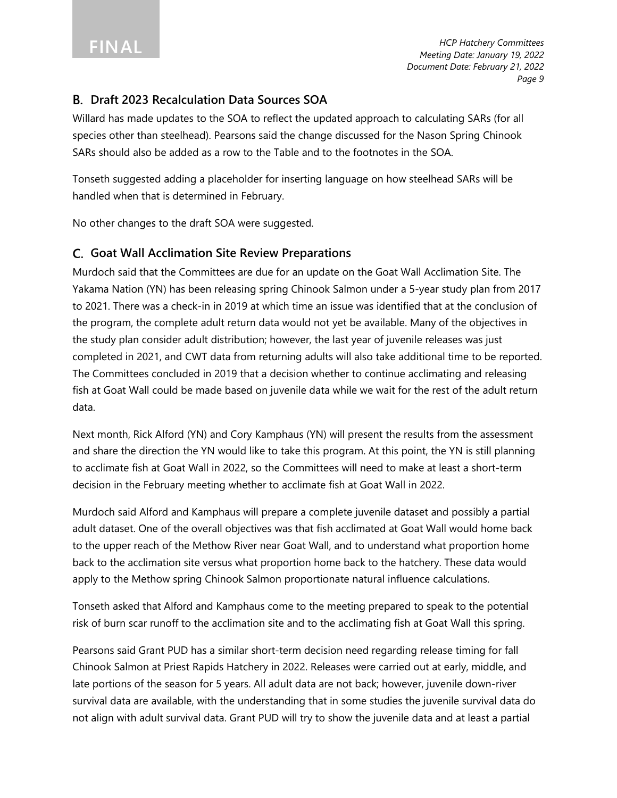## **Draft 2023 Recalculation Data Sources SOA**

Willard has made updates to the SOA to reflect the updated approach to calculating SARs (for all species other than steelhead). Pearsons said the change discussed for the Nason Spring Chinook SARs should also be added as a row to the Table and to the footnotes in the SOA.

Tonseth suggested adding a placeholder for inserting language on how steelhead SARs will be handled when that is determined in February.

No other changes to the draft SOA were suggested.

## **Goat Wall Acclimation Site Review Preparations**

Murdoch said that the Committees are due for an update on the Goat Wall Acclimation Site. The Yakama Nation (YN) has been releasing spring Chinook Salmon under a 5-year study plan from 2017 to 2021. There was a check-in in 2019 at which time an issue was identified that at the conclusion of the program, the complete adult return data would not yet be available. Many of the objectives in the study plan consider adult distribution; however, the last year of juvenile releases was just completed in 2021, and CWT data from returning adults will also take additional time to be reported. The Committees concluded in 2019 that a decision whether to continue acclimating and releasing fish at Goat Wall could be made based on juvenile data while we wait for the rest of the adult return data.

Next month, Rick Alford (YN) and Cory Kamphaus (YN) will present the results from the assessment and share the direction the YN would like to take this program. At this point, the YN is still planning to acclimate fish at Goat Wall in 2022, so the Committees will need to make at least a short-term decision in the February meeting whether to acclimate fish at Goat Wall in 2022.

Murdoch said Alford and Kamphaus will prepare a complete juvenile dataset and possibly a partial adult dataset. One of the overall objectives was that fish acclimated at Goat Wall would home back to the upper reach of the Methow River near Goat Wall, and to understand what proportion home back to the acclimation site versus what proportion home back to the hatchery. These data would apply to the Methow spring Chinook Salmon proportionate natural influence calculations.

Tonseth asked that Alford and Kamphaus come to the meeting prepared to speak to the potential risk of burn scar runoff to the acclimation site and to the acclimating fish at Goat Wall this spring.

Pearsons said Grant PUD has a similar short-term decision need regarding release timing for fall Chinook Salmon at Priest Rapids Hatchery in 2022. Releases were carried out at early, middle, and late portions of the season for 5 years. All adult data are not back; however, juvenile down-river survival data are available, with the understanding that in some studies the juvenile survival data do not align with adult survival data. Grant PUD will try to show the juvenile data and at least a partial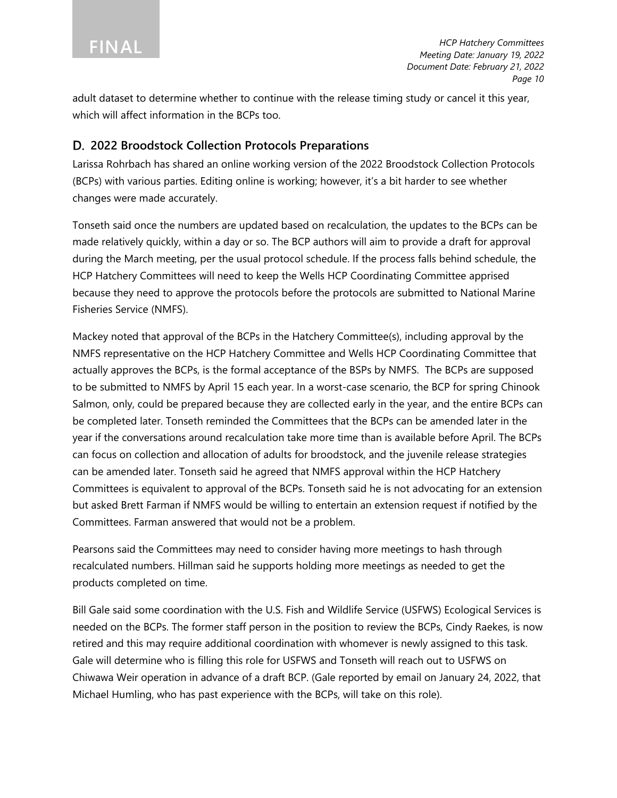adult dataset to determine whether to continue with the release timing study or cancel it this year, which will affect information in the BCPs too.

## **2022 Broodstock Collection Protocols Preparations**

Larissa Rohrbach has shared an online working version of the 2022 Broodstock Collection Protocols (BCPs) with various parties. Editing online is working; however, it's a bit harder to see whether changes were made accurately.

Tonseth said once the numbers are updated based on recalculation, the updates to the BCPs can be made relatively quickly, within a day or so. The BCP authors will aim to provide a draft for approval during the March meeting, per the usual protocol schedule. If the process falls behind schedule, the HCP Hatchery Committees will need to keep the Wells HCP Coordinating Committee apprised because they need to approve the protocols before the protocols are submitted to National Marine Fisheries Service (NMFS).

Mackey noted that approval of the BCPs in the Hatchery Committee(s), including approval by the NMFS representative on the HCP Hatchery Committee and Wells HCP Coordinating Committee that actually approves the BCPs, is the formal acceptance of the BSPs by NMFS. The BCPs are supposed to be submitted to NMFS by April 15 each year. In a worst-case scenario, the BCP for spring Chinook Salmon, only, could be prepared because they are collected early in the year, and the entire BCPs can be completed later. Tonseth reminded the Committees that the BCPs can be amended later in the year if the conversations around recalculation take more time than is available before April. The BCPs can focus on collection and allocation of adults for broodstock, and the juvenile release strategies can be amended later. Tonseth said he agreed that NMFS approval within the HCP Hatchery Committees is equivalent to approval of the BCPs. Tonseth said he is not advocating for an extension but asked Brett Farman if NMFS would be willing to entertain an extension request if notified by the Committees. Farman answered that would not be a problem.

Pearsons said the Committees may need to consider having more meetings to hash through recalculated numbers. Hillman said he supports holding more meetings as needed to get the products completed on time.

Bill Gale said some coordination with the U.S. Fish and Wildlife Service (USFWS) Ecological Services is needed on the BCPs. The former staff person in the position to review the BCPs, Cindy Raekes, is now retired and this may require additional coordination with whomever is newly assigned to this task. Gale will determine who is filling this role for USFWS and Tonseth will reach out to USFWS on Chiwawa Weir operation in advance of a draft BCP. (Gale reported by email on January 24, 2022, that Michael Humling, who has past experience with the BCPs, will take on this role).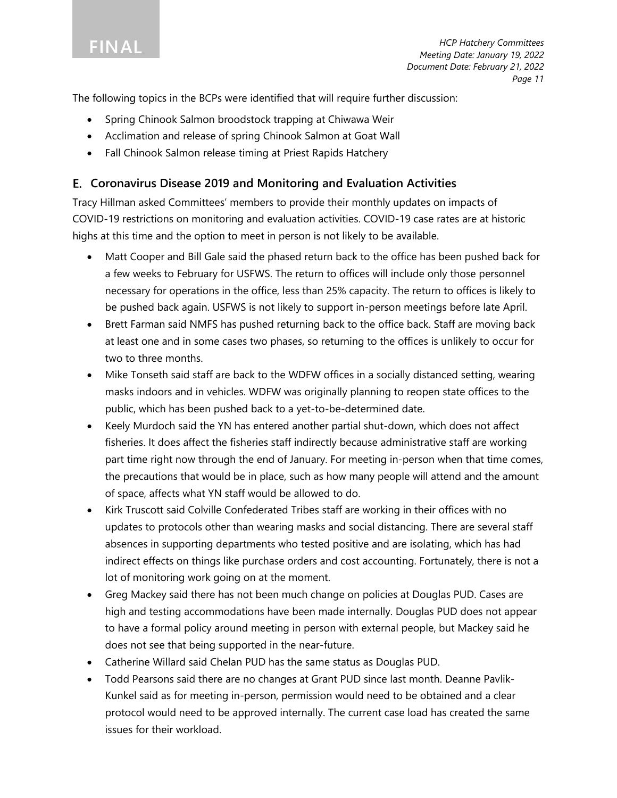**FINAL**

*HCP Hatchery Committees Meeting Date: January 19, 2022 Document Date: February 21, 2022 Page 11*

The following topics in the BCPs were identified that will require further discussion:

- Spring Chinook Salmon broodstock trapping at Chiwawa Weir
- Acclimation and release of spring Chinook Salmon at Goat Wall
- Fall Chinook Salmon release timing at Priest Rapids Hatchery

## **Coronavirus Disease 2019 and Monitoring and Evaluation Activities**

Tracy Hillman asked Committees' members to provide their monthly updates on impacts of COVID-19 restrictions on monitoring and evaluation activities. COVID-19 case rates are at historic highs at this time and the option to meet in person is not likely to be available.

- Matt Cooper and Bill Gale said the phased return back to the office has been pushed back for a few weeks to February for USFWS. The return to offices will include only those personnel necessary for operations in the office, less than 25% capacity. The return to offices is likely to be pushed back again. USFWS is not likely to support in-person meetings before late April.
- Brett Farman said NMFS has pushed returning back to the office back. Staff are moving back at least one and in some cases two phases, so returning to the offices is unlikely to occur for two to three months.
- Mike Tonseth said staff are back to the WDFW offices in a socially distanced setting, wearing masks indoors and in vehicles. WDFW was originally planning to reopen state offices to the public, which has been pushed back to a yet-to-be-determined date.
- Keely Murdoch said the YN has entered another partial shut-down, which does not affect fisheries. It does affect the fisheries staff indirectly because administrative staff are working part time right now through the end of January. For meeting in-person when that time comes, the precautions that would be in place, such as how many people will attend and the amount of space, affects what YN staff would be allowed to do.
- Kirk Truscott said Colville Confederated Tribes staff are working in their offices with no updates to protocols other than wearing masks and social distancing. There are several staff absences in supporting departments who tested positive and are isolating, which has had indirect effects on things like purchase orders and cost accounting. Fortunately, there is not a lot of monitoring work going on at the moment.
- Greg Mackey said there has not been much change on policies at Douglas PUD. Cases are high and testing accommodations have been made internally. Douglas PUD does not appear to have a formal policy around meeting in person with external people, but Mackey said he does not see that being supported in the near-future.
- Catherine Willard said Chelan PUD has the same status as Douglas PUD.
- Todd Pearsons said there are no changes at Grant PUD since last month. Deanne Pavlik-Kunkel said as for meeting in-person, permission would need to be obtained and a clear protocol would need to be approved internally. The current case load has created the same issues for their workload.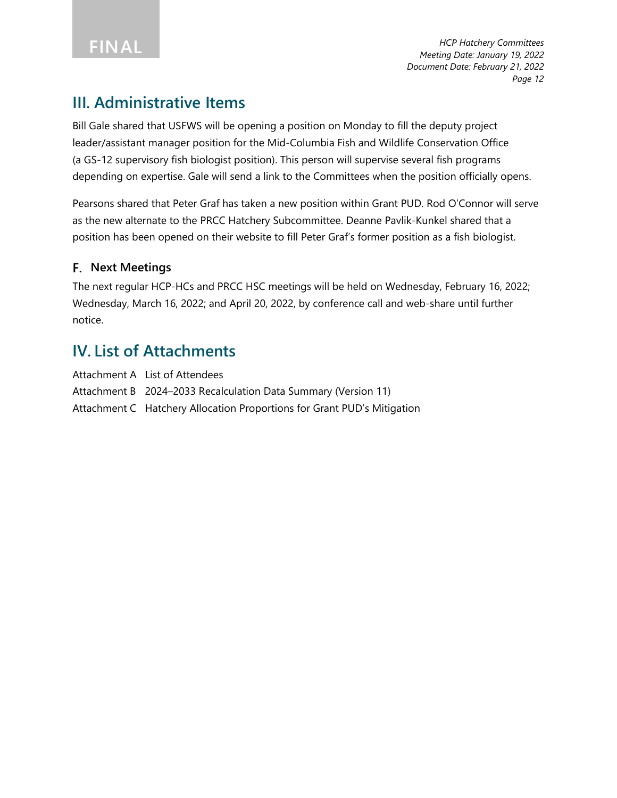## **III. Administrative Items**

Bill Gale shared that USFWS will be opening a position on Monday to fill the deputy project leader/assistant manager position for the Mid-Columbia Fish and Wildlife Conservation Office (a GS-12 supervisory fish biologist position). This person will supervise several fish programs depending on expertise. Gale will send a link to the Committees when the position officially opens.

Pearsons shared that Peter Graf has taken a new position within Grant PUD. Rod O'Connor will serve as the new alternate to the PRCC Hatchery Subcommittee. Deanne Pavlik-Kunkel shared that a position has been opened on their website to fill Peter Graf's former position as a fish biologist.

## **F.** Next Meetings

The next regular HCP-HCs and PRCC HSC meetings will be held on Wednesday, February 16, 2022; Wednesday, March 16, 2022; and April 20, 2022, by conference call and web-share until further notice.

## **IV. List of Attachments**

Attachment A List of Attendees Attachment B 2024–2033 Recalculation Data Summary (Version 11) Attachment C Hatchery Allocation Proportions for Grant PUD's Mitigation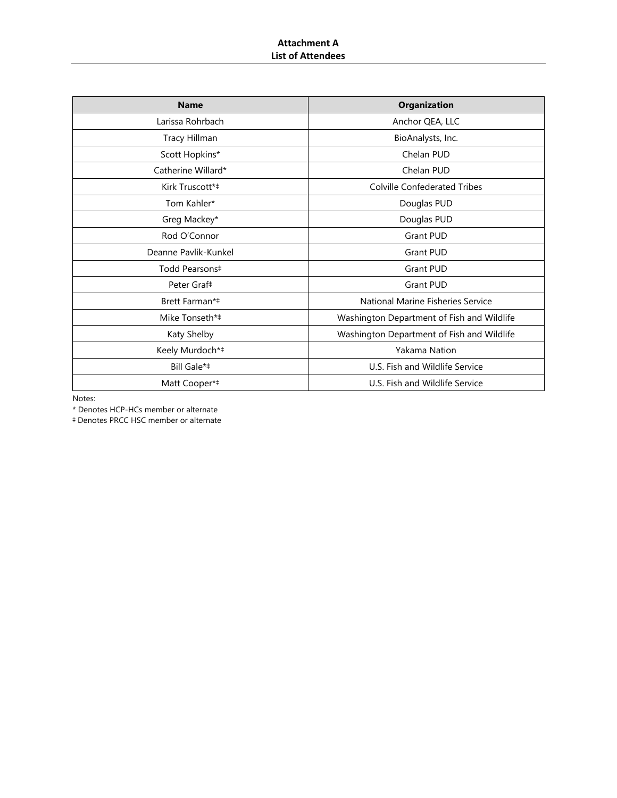| <b>Name</b>             | Organization                               |
|-------------------------|--------------------------------------------|
| Larissa Rohrbach        | Anchor QEA, LLC                            |
| Tracy Hillman           | BioAnalysts, Inc.                          |
| Scott Hopkins*          | Chelan PUD                                 |
| Catherine Willard*      | Chelan PUD                                 |
| Kirk Truscott*‡         | <b>Colville Confederated Tribes</b>        |
| Tom Kahler*             | Douglas PUD                                |
| Greg Mackey*            | Douglas PUD                                |
| Rod O'Connor            | <b>Grant PUD</b>                           |
| Deanne Pavlik-Kunkel    | <b>Grant PUD</b>                           |
| Todd Pearsons#          | <b>Grant PUD</b>                           |
| Peter Graf <sup>#</sup> | <b>Grant PUD</b>                           |
| Brett Farman*‡          | National Marine Fisheries Service          |
| Mike Tonseth*‡          | Washington Department of Fish and Wildlife |
| Katy Shelby             | Washington Department of Fish and Wildlife |
| Keely Murdoch*‡         | Yakama Nation                              |
| Bill Gale*#             | U.S. Fish and Wildlife Service             |
| Matt Cooper*#           | U.S. Fish and Wildlife Service             |

Notes:

\* Denotes HCP-HCs member or alternate

‡ Denotes PRCC HSC member or alternate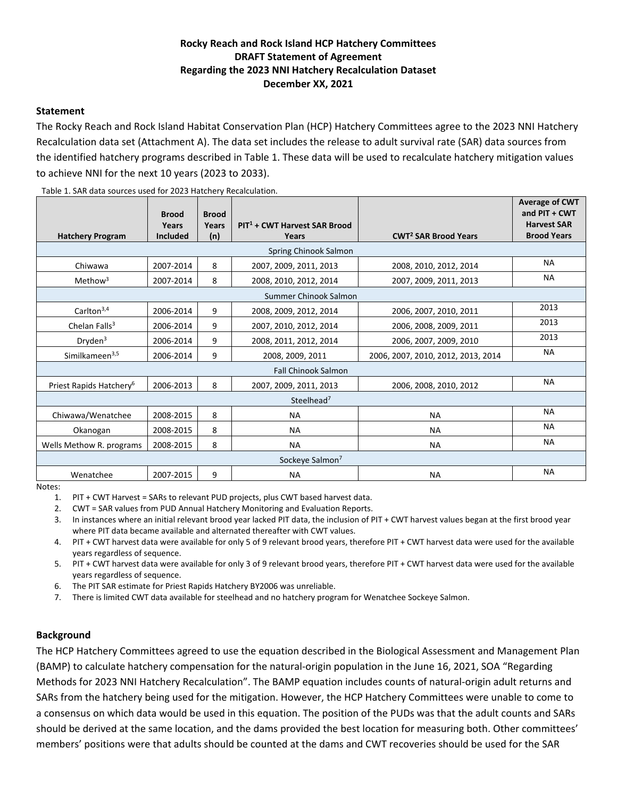## **Rocky Reach and Rock Island HCP Hatchery Committees DRAFT Statement of Agreement Regarding the 2023 NNI Hatchery Recalculation Dataset December XX, 2021**

#### **Statement**

The Rocky Reach and Rock Island Habitat Conservation Plan (HCP) Hatchery Committees agree to the 2023 NNI Hatchery Recalculation data set (Attachment A). The data set includes the release to adult survival rate (SAR) data sources from the identified hatchery programs described in Table 1. These data will be used to recalculate hatchery mitigation values to achieve NNI for the next 10 years (2023 to 2033).

| <b>Hatchery Program</b>             | <b>Brood</b><br>Years<br><b>Included</b> | <b>Brood</b><br>Years<br>(n) | PIT <sup>1</sup> + CWT Harvest SAR Brood<br>Years | <b>CWT<sup>2</sup> SAR Brood Years</b> | <b>Average of CWT</b><br>and PIT + CWT<br><b>Harvest SAR</b><br><b>Brood Years</b> |
|-------------------------------------|------------------------------------------|------------------------------|---------------------------------------------------|----------------------------------------|------------------------------------------------------------------------------------|
|                                     |                                          |                              | Spring Chinook Salmon                             |                                        |                                                                                    |
| Chiwawa                             | 2007-2014                                | 8                            | 2007, 2009, 2011, 2013                            | 2008, 2010, 2012, 2014                 | <b>NA</b>                                                                          |
| Methow <sup>3</sup>                 | 2007-2014                                | 8                            | 2008, 2010, 2012, 2014                            | 2007, 2009, 2011, 2013                 | <b>NA</b>                                                                          |
|                                     |                                          |                              | Summer Chinook Salmon                             |                                        |                                                                                    |
| Carlton $3,4$                       | 2006-2014                                | 9                            | 2008, 2009, 2012, 2014                            | 2006, 2007, 2010, 2011                 | 2013                                                                               |
| Chelan Falls $3$                    | 2006-2014                                | 9                            | 2007, 2010, 2012, 2014                            | 2006, 2008, 2009, 2011                 | 2013                                                                               |
| Dryden <sup>3</sup>                 | 2006-2014                                | 9                            | 2008, 2011, 2012, 2014                            | 2006, 2007, 2009, 2010                 | 2013                                                                               |
| Similkameen <sup>3,5</sup>          | 2006-2014                                | 9                            | 2008, 2009, 2011                                  | 2006, 2007, 2010, 2012, 2013, 2014     | <b>NA</b>                                                                          |
|                                     |                                          |                              | <b>Fall Chinook Salmon</b>                        |                                        |                                                                                    |
| Priest Rapids Hatchery <sup>6</sup> | 2006-2013                                | 8                            | 2007, 2009, 2011, 2013                            | 2006, 2008, 2010, 2012                 | <b>NA</b>                                                                          |
|                                     |                                          |                              | Steelhead <sup>7</sup>                            |                                        |                                                                                    |
| Chiwawa/Wenatchee                   | 2008-2015                                | 8                            | <b>NA</b>                                         | <b>NA</b>                              | <b>NA</b>                                                                          |
| Okanogan                            | 2008-2015                                | 8                            | <b>NA</b>                                         | <b>NA</b>                              | <b>NA</b>                                                                          |
| Wells Methow R. programs            | 2008-2015                                | 8                            | <b>NA</b>                                         | <b>NA</b>                              | <b>NA</b>                                                                          |
|                                     |                                          |                              | Sockeye Salmon <sup>7</sup>                       |                                        |                                                                                    |
| Wenatchee<br>$N = + - -$            | 2007-2015                                | 9                            | <b>NA</b>                                         | <b>NA</b>                              | <b>NA</b>                                                                          |

Table 1. SAR data sources used for 2023 Hatchery Recalculation.

Notes:

1. PIT + CWT Harvest = SARs to relevant PUD projects, plus CWT based harvest data.

2. CWT = SAR values from PUD Annual Hatchery Monitoring and Evaluation Reports.

3. In instances where an initial relevant brood year lacked PIT data, the inclusion of PIT + CWT harvest values began at the first brood year where PIT data became available and alternated thereafter with CWT values.

4. PIT + CWT harvest data were available for only 5 of 9 relevant brood years, therefore PIT + CWT harvest data were used for the available years regardless of sequence.

5. PIT + CWT harvest data were available for only 3 of 9 relevant brood years, therefore PIT + CWT harvest data were used for the available years regardless of sequence.

6. The PIT SAR estimate for Priest Rapids Hatchery BY2006 was unreliable.

7. There is limited CWT data available for steelhead and no hatchery program for Wenatchee Sockeye Salmon.

#### **Background**

The HCP Hatchery Committees agreed to use the equation described in the Biological Assessment and Management Plan (BAMP) to calculate hatchery compensation for the natural-origin population in the June 16, 2021, SOA "Regarding Methods for 2023 NNI Hatchery Recalculation". The BAMP equation includes counts of natural-origin adult returns and SARs from the hatchery being used for the mitigation. However, the HCP Hatchery Committees were unable to come to a consensus on which data would be used in this equation. The position of the PUDs was that the adult counts and SARs should be derived at the same location, and the dams provided the best location for measuring both. Other committees' members' positions were that adults should be counted at the dams and CWT recoveries should be used for the SAR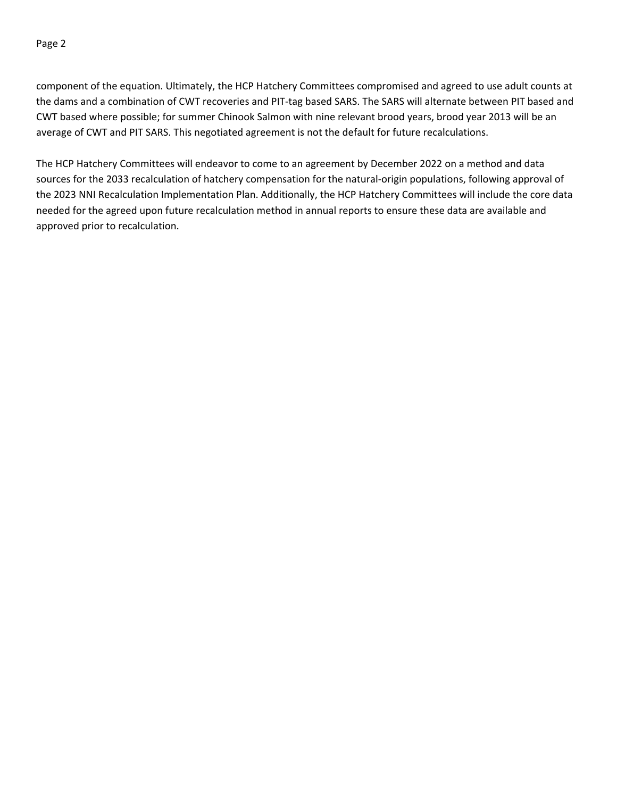#### Page 2

component of the equation. Ultimately, the HCP Hatchery Committees compromised and agreed to use adult counts at the dams and a combination of CWT recoveries and PIT-tag based SARS. The SARS will alternate between PIT based and CWT based where possible; for summer Chinook Salmon with nine relevant brood years, brood year 2013 will be an average of CWT and PIT SARS. This negotiated agreement is not the default for future recalculations.

The HCP Hatchery Committees will endeavor to come to an agreement by December 2022 on a method and data sources for the 2033 recalculation of hatchery compensation for the natural-origin populations, following approval of the 2023 NNI Recalculation Implementation Plan. Additionally, the HCP Hatchery Committees will include the core data needed for the agreed upon future recalculation method in annual reports to ensure these data are available and approved prior to recalculation.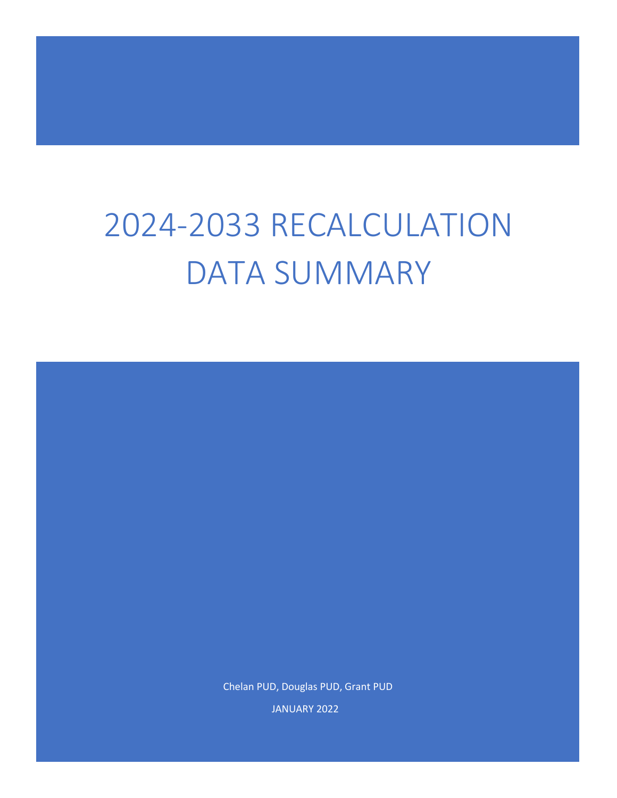# 2024-2033 RECALCULATION DATA SUMMARY

Chelan PUD, Douglas PUD, Grant PUD

JANUARY 2022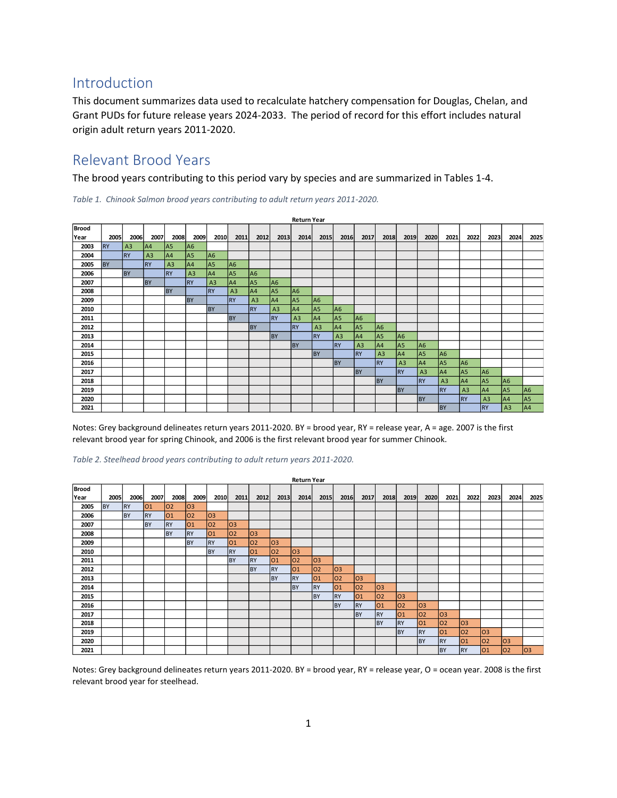## Introduction

This document summarizes data used to recalculate hatchery compensation for Douglas, Chelan, and Grant PUDs for future release years 2024-2033. The period of record for this effort includes natural origin adult return years 2011-2020.

## Relevant Brood Years

The brood years contributing to this period vary by species and are summarized in Tables 1-4.

|              | <b>Return Year</b> |            |                |                |                |                |                 |                |                 |                |                 |                |                |                 |                |                |                |                |                |                 |                |
|--------------|--------------------|------------|----------------|----------------|----------------|----------------|-----------------|----------------|-----------------|----------------|-----------------|----------------|----------------|-----------------|----------------|----------------|----------------|----------------|----------------|-----------------|----------------|
| <b>Brood</b> |                    |            |                |                |                |                |                 |                |                 |                |                 |                |                |                 |                |                |                |                |                |                 |                |
| Year         | 2005               | 2006       | 2007           | 2008           | 2009           | 2010           | 2011            | 2012           | 2013            | 2014           | 2015            | 2016           | 2017           | 2018            | 2019           | 2020           | 2021           | 2022           | 2023           | 2024            | 2025           |
| 2003         | <b>RY</b>          | A3         | IA4            | las.           | A6             |                |                 |                |                 |                |                 |                |                |                 |                |                |                |                |                |                 |                |
| 2004         |                    | <b>IRY</b> | A <sub>3</sub> | IA4            | A5             | la6            |                 |                |                 |                |                 |                |                |                 |                |                |                |                |                |                 |                |
| 2005         | <b>BY</b>          |            | IRY            | A <sub>3</sub> | A4             | las            | IA <sub>6</sub> |                |                 |                |                 |                |                |                 |                |                |                |                |                |                 |                |
| 2006         |                    | <b>BY</b>  |                | <b>IRY</b>     | A <sub>3</sub> | A4             | A <sub>5</sub>  | A <sub>6</sub> |                 |                |                 |                |                |                 |                |                |                |                |                |                 |                |
| 2007         |                    |            | <b>BY</b>      |                | <b>IRY</b>     | A <sub>3</sub> | A4              | A <sub>5</sub> | IA <sub>6</sub> |                |                 |                |                |                 |                |                |                |                |                |                 |                |
| 2008         |                    |            |                | <b>BY</b>      |                | <b>IRY</b>     | A <sub>3</sub>  | A4             | A <sub>5</sub>  | A <sub>6</sub> |                 |                |                |                 |                |                |                |                |                |                 |                |
| 2009         |                    |            |                |                | <b>BY</b>      |                | <b>RY</b>       | A <sub>3</sub> | A4              | A <sub>5</sub> | A <sub>6</sub>  |                |                |                 |                |                |                |                |                |                 |                |
| 2010         |                    |            |                |                |                | <b>BY</b>      |                 | <b>RY</b>      | A <sub>3</sub>  | A4             | IA <sub>5</sub> | IA6            |                |                 |                |                |                |                |                |                 |                |
| 2011         |                    |            |                |                |                |                | <b>BY</b>       |                | <b>RY</b>       | A <sub>3</sub> | IA4             | las            | IA6            |                 |                |                |                |                |                |                 |                |
| 2012         |                    |            |                |                |                |                |                 | <b>BY</b>      |                 | <b>RY</b>      | A <sub>3</sub>  | A4             | A <sub>5</sub> | A <sub>6</sub>  |                |                |                |                |                |                 |                |
| 2013         |                    |            |                |                |                |                |                 |                | <b>BY</b>       |                | <b>RY</b>       | A <sub>3</sub> | IA4            | IA <sub>5</sub> | A <sub>6</sub> |                |                |                |                |                 |                |
| 2014         |                    |            |                |                |                |                |                 |                |                 | <b>BY</b>      |                 | <b>RY</b>      | A <sub>3</sub> | AA              | A <sub>5</sub> | A <sub>6</sub> |                |                |                |                 |                |
| 2015         |                    |            |                |                |                |                |                 |                |                 |                | <b>BY</b>       |                | <b>RY</b>      | A <sub>3</sub>  | A4             | A <sub>5</sub> | A <sub>6</sub> |                |                |                 |                |
| 2016         |                    |            |                |                |                |                |                 |                |                 |                |                 | <b>BY</b>      |                | <b>RY</b>       | A <sub>3</sub> | A4             | A <sub>5</sub> | A <sub>6</sub> |                |                 |                |
| 2017         |                    |            |                |                |                |                |                 |                |                 |                |                 |                | <b>BY</b>      |                 | <b>RY</b>      | A <sub>3</sub> | AA             | <b>A5</b>      | A <sub>6</sub> |                 |                |
| 2018         |                    |            |                |                |                |                |                 |                |                 |                |                 |                |                | <b>BY</b>       |                | <b>RY</b>      | A <sub>3</sub> | A4             | A <sub>5</sub> | IA <sub>6</sub> |                |
| 2019         |                    |            |                |                |                |                |                 |                |                 |                |                 |                |                |                 | <b>BY</b>      |                | <b>RY</b>      | A <sub>3</sub> | A4             | A <sub>5</sub>  | A <sub>6</sub> |
| 2020         |                    |            |                |                |                |                |                 |                |                 |                |                 |                |                |                 |                | <b>BY</b>      |                | <b>RY</b>      | A <sub>3</sub> | AA              | A <sub>5</sub> |
| 2021         |                    |            |                |                |                |                |                 |                |                 |                |                 |                |                |                 |                |                | <b>BY</b>      |                | <b>RY</b>      | A3              | IA4            |

*Table 1. Chinook Salmon brood years contributing to adult return years 2011-2020.*

Notes: Grey background delineates return years 2011-2020. BY = brood year, RY = release year, A = age. 2007 is the first relevant brood year for spring Chinook, and 2006 is the first relevant brood year for summer Chinook.

#### *Table 2. Steelhead brood years contributing to adult return years 2011-2020.*

|                      | <b>Return Year</b> |            |            |            |              |             |                 |           |              |                 |           |                 |                 |           |           |                 |                 |           |      |      |                 |
|----------------------|--------------------|------------|------------|------------|--------------|-------------|-----------------|-----------|--------------|-----------------|-----------|-----------------|-----------------|-----------|-----------|-----------------|-----------------|-----------|------|------|-----------------|
| <b>Brood</b><br>Year | 2005               | 2006       | 2007       | 2008       | 2009         | <b>2010</b> | 2011            | 2012      | 2013         | 2014            | 2015      | 2016            | 2017            | 2018      | 2019      | 2020            | 2021            | 2022      | 2023 | 2024 | 2025            |
| 2005                 | <b>BY</b>          | <b>IRY</b> | 01         | 02         | $ 03\rangle$ |             |                 |           |              |                 |           |                 |                 |           |           |                 |                 |           |      |      |                 |
| 2006                 |                    | <b>BY</b>  | <b>IRY</b> | O1         | $ 02\rangle$ | lo3         |                 |           |              |                 |           |                 |                 |           |           |                 |                 |           |      |      |                 |
| 2007                 |                    |            | <b>BY</b>  | <b>IRY</b> | 01           | lo2         | lO <sub>3</sub> |           |              |                 |           |                 |                 |           |           |                 |                 |           |      |      |                 |
| 2008                 |                    |            |            | <b>BY</b>  | <b>IRY</b>   | 01          | 102             | O3        |              |                 |           |                 |                 |           |           |                 |                 |           |      |      |                 |
| 2009                 |                    |            |            |            | <b>BY</b>    | RY          | 01              | 102       | $ 03\rangle$ |                 |           |                 |                 |           |           |                 |                 |           |      |      |                 |
| 2010                 |                    |            |            |            |              | <b>BY</b>   | <b>RY</b>       | 01        | 02           | lo <sub>3</sub> |           |                 |                 |           |           |                 |                 |           |      |      |                 |
| 2011                 |                    |            |            |            |              |             | <b>BY</b>       | <b>RY</b> | 01           | 02              | 03        |                 |                 |           |           |                 |                 |           |      |      |                 |
| 2012                 |                    |            |            |            |              |             |                 | <b>BY</b> | <b>RY</b>    | 01              | 102       | lO <sub>3</sub> |                 |           |           |                 |                 |           |      |      |                 |
| 2013                 |                    |            |            |            |              |             |                 |           | <b>BY</b>    | <b>RY</b>       | 01        | 102             | lO <sub>3</sub> |           |           |                 |                 |           |      |      |                 |
| 2014                 |                    |            |            |            |              |             |                 |           |              | <b>BY</b>       | <b>RY</b> | 01              | 102             | 03        |           |                 |                 |           |      |      |                 |
| 2015                 |                    |            |            |            |              |             |                 |           |              |                 | <b>BY</b> | <b>RY</b>       | 01              | O2        | 03        |                 |                 |           |      |      |                 |
| 2016                 |                    |            |            |            |              |             |                 |           |              |                 |           | <b>BY</b>       | <b>RY</b>       | 01        | 02        | $\overline{O3}$ |                 |           |      |      |                 |
| 2017                 |                    |            |            |            |              |             |                 |           |              |                 |           |                 | <b>BY</b>       | <b>RY</b> | 01        | 102             | lo <sub>3</sub> |           |      |      |                 |
| 2018                 |                    |            |            |            |              |             |                 |           |              |                 |           |                 |                 | <b>BY</b> | <b>RY</b> | 01              | 02              | 03        |      |      |                 |
| 2019                 |                    |            |            |            |              |             |                 |           |              |                 |           |                 |                 |           | <b>BY</b> | <b>RY</b>       | 01              | 02        | 03   |      |                 |
| 2020                 |                    |            |            |            |              |             |                 |           |              |                 |           |                 |                 |           |           | <b>BY</b>       | <b>RY</b>       | 01        | 02   | O3   |                 |
| 2021                 |                    |            |            |            |              |             |                 |           |              |                 |           |                 |                 |           |           |                 | <b>BY</b>       | <b>RY</b> | 01   | 102  | lo <sub>3</sub> |

Notes: Grey background delineates return years 2011-2020. BY = brood year, RY = release year, O = ocean year. 2008 is the first relevant brood year for steelhead.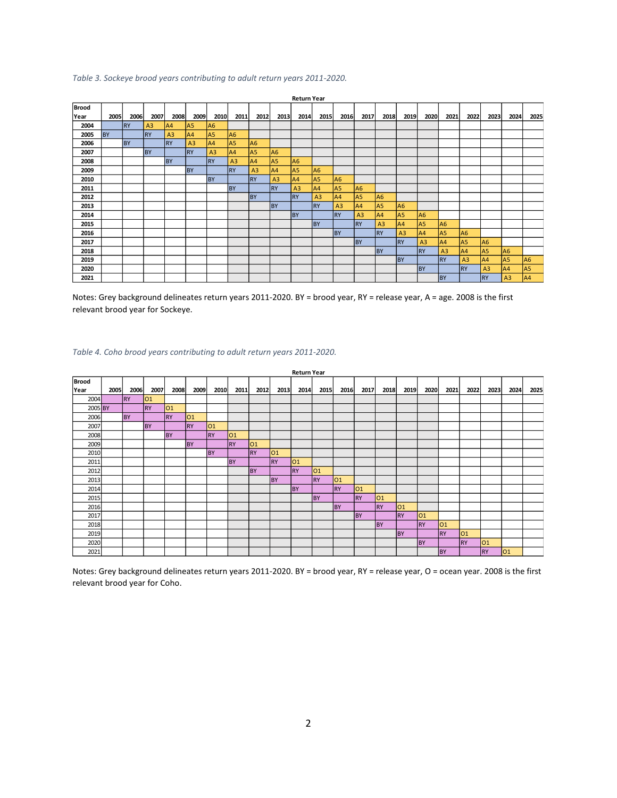#### *Table 3. Sockeye brood years contributing to adult return years 2011-2020.*

|              | <b>Return Year</b> |           |                |                |                |                |                |                |                |                |                |                |                |                |                |                |                |                |                |                |                |
|--------------|--------------------|-----------|----------------|----------------|----------------|----------------|----------------|----------------|----------------|----------------|----------------|----------------|----------------|----------------|----------------|----------------|----------------|----------------|----------------|----------------|----------------|
| <b>Brood</b> |                    |           |                |                |                |                |                |                |                |                |                |                |                |                |                |                |                |                |                |                |                |
| Year         | 2005               | 2006      | 2007           | 2008           | 2009           | 2010           | 2011           | 2012           | 2013           | 2014           | 2015           | 2016           | 2017           | 2018           | 2019           | 2020           | 2021           | 2022           | 2023           | 2024           | 2025           |
| 2004         |                    | <b>RY</b> | A <sub>3</sub> | IA4            | A <sub>5</sub> | lA6            |                |                |                |                |                |                |                |                |                |                |                |                |                |                |                |
| 2005         | <b>BY</b>          |           | <b>IRY</b>     | A <sub>3</sub> | A4             | A5             | A6             |                |                |                |                |                |                |                |                |                |                |                |                |                |                |
| 2006         |                    | BY        |                | <b>IRY</b>     | A <sub>3</sub> | IA4            | A <sub>5</sub> | A <sub>6</sub> |                |                |                |                |                |                |                |                |                |                |                |                |                |
| 2007         |                    |           | <b>BY</b>      |                | <b>RY</b>      | A <sub>3</sub> | A4             | A <sub>5</sub> | A <sub>6</sub> |                |                |                |                |                |                |                |                |                |                |                |                |
| 2008         |                    |           |                | <b>BY</b>      |                | <b>IRY</b>     | A <sub>3</sub> | A4             | A <sub>5</sub> | A <sub>6</sub> |                |                |                |                |                |                |                |                |                |                |                |
| 2009         |                    |           |                |                | <b>BY</b>      |                | <b>RY</b>      | A <sub>3</sub> | A4             | A <sub>5</sub> | A <sub>6</sub> |                |                |                |                |                |                |                |                |                |                |
| 2010         |                    |           |                |                |                | <b>BY</b>      |                | <b>RY</b>      | A <sub>3</sub> | A4             | A <sub>5</sub> | A <sub>6</sub> |                |                |                |                |                |                |                |                |                |
| 2011         |                    |           |                |                |                |                | <b>BY</b>      |                | <b>RY</b>      | A3             | A4             | <b>A5</b>      | A <sub>6</sub> |                |                |                |                |                |                |                |                |
| 2012         |                    |           |                |                |                |                |                | <b>BY</b>      |                | <b>RY</b>      | A <sub>3</sub> | A4             | A <sub>5</sub> | A <sub>6</sub> |                |                |                |                |                |                |                |
| 2013         |                    |           |                |                |                |                |                |                | <b>BY</b>      |                | <b>RY</b>      | A <sub>3</sub> | A4             | A <sub>5</sub> | A <sub>6</sub> |                |                |                |                |                |                |
| 2014         |                    |           |                |                |                |                |                |                |                | <b>BY</b>      |                | <b>RY</b>      | A <sub>3</sub> | A4             | A <sub>5</sub> | A <sub>6</sub> |                |                |                |                |                |
| 2015         |                    |           |                |                |                |                |                |                |                |                | <b>BY</b>      |                | <b>RY</b>      | A <sub>3</sub> | A4             | A <sub>5</sub> | A <sub>6</sub> |                |                |                |                |
| 2016         |                    |           |                |                |                |                |                |                |                |                |                | <b>BY</b>      |                | <b>RY</b>      | A <sub>3</sub> | AA             | A <sub>5</sub> | A <sub>6</sub> |                |                |                |
| 2017         |                    |           |                |                |                |                |                |                |                |                |                |                | <b>BY</b>      |                | <b>RY</b>      | A <sub>3</sub> | A4             | A5             | A <sub>6</sub> |                |                |
| 2018         |                    |           |                |                |                |                |                |                |                |                |                |                |                | <b>BY</b>      |                | <b>RY</b>      | A <sub>3</sub> | AA             | A <sub>5</sub> | A <sub>6</sub> |                |
| 2019         |                    |           |                |                |                |                |                |                |                |                |                |                |                |                | <b>BY</b>      |                | <b>RY</b>      | A <sub>3</sub> | A4             | A <sub>5</sub> | A <sub>6</sub> |
| 2020         |                    |           |                |                |                |                |                |                |                |                |                |                |                |                |                | <b>BY</b>      |                | <b>RY</b>      | A <sub>3</sub> | A4             | A <sub>5</sub> |
| 2021         |                    |           |                |                |                |                |                |                |                |                |                |                |                |                |                |                | <b>BY</b>      |                | <b>RY</b>      | A <sub>3</sub> | A4             |

Notes: Grey background delineates return years 2011-2020. BY = brood year, RY = release year, A = age. 2008 is the first relevant brood year for Sockeye.

#### *Table 4. Coho brood years contributing to adult return years 2011-2020.*

|              | <b>Return Year</b> |           |              |            |           |              |           |           |           |           |           |           |           |           |           |           |           |           |           |      |      |
|--------------|--------------------|-----------|--------------|------------|-----------|--------------|-----------|-----------|-----------|-----------|-----------|-----------|-----------|-----------|-----------|-----------|-----------|-----------|-----------|------|------|
| <b>Brood</b> |                    |           |              |            |           |              |           |           |           |           |           |           |           |           |           |           |           |           |           |      |      |
| Year         | 2005               | 2006      | 2007         | 2008       | 2009      | 2010         | 2011      | 2012      | 2013      | 2014      | 2015      | 2016      | 2017      | 2018      | 2019      | 2020      | 2021      | 2022      | 2023      | 2024 | 2025 |
| 2004         |                    | RY        | $ 01\rangle$ |            |           |              |           |           |           |           |           |           |           |           |           |           |           |           |           |      |      |
| 2005 BY      |                    |           | <b>IRY</b>   | l01        |           |              |           |           |           |           |           |           |           |           |           |           |           |           |           |      |      |
| 2006         |                    | <b>BY</b> |              | <b>IRY</b> | O1        |              |           |           |           |           |           |           |           |           |           |           |           |           |           |      |      |
| 2007         |                    |           | <b>BY</b>    |            | <b>RY</b> | $ 01\rangle$ |           |           |           |           |           |           |           |           |           |           |           |           |           |      |      |
| 2008         |                    |           |              | <b>BY</b>  |           | <b>RY</b>    | 01        |           |           |           |           |           |           |           |           |           |           |           |           |      |      |
| 2009         |                    |           |              |            | <b>BY</b> |              | <b>RY</b> | 01        |           |           |           |           |           |           |           |           |           |           |           |      |      |
| 2010         |                    |           |              |            |           | <b>BY</b>    |           | <b>RY</b> | O1        |           |           |           |           |           |           |           |           |           |           |      |      |
| 2011         |                    |           |              |            |           |              | <b>BY</b> |           | <b>RY</b> | 01        |           |           |           |           |           |           |           |           |           |      |      |
| 2012         |                    |           |              |            |           |              |           | <b>BY</b> |           | <b>RY</b> | 01        |           |           |           |           |           |           |           |           |      |      |
| 2013         |                    |           |              |            |           |              |           |           | <b>BY</b> |           | <b>RY</b> | 01        |           |           |           |           |           |           |           |      |      |
| 2014         |                    |           |              |            |           |              |           |           |           | <b>BY</b> |           | <b>RY</b> | 01        |           |           |           |           |           |           |      |      |
| 2015         |                    |           |              |            |           |              |           |           |           |           | <b>BY</b> |           | <b>RY</b> | 01        |           |           |           |           |           |      |      |
| 2016         |                    |           |              |            |           |              |           |           |           |           |           | <b>BY</b> |           | <b>RY</b> | 01        |           |           |           |           |      |      |
| 2017         |                    |           |              |            |           |              |           |           |           |           |           |           | <b>BY</b> |           | <b>RY</b> | 01        |           |           |           |      |      |
| 2018         |                    |           |              |            |           |              |           |           |           |           |           |           |           | <b>BY</b> |           | <b>RY</b> | 01        |           |           |      |      |
| 2019         |                    |           |              |            |           |              |           |           |           |           |           |           |           |           | <b>BY</b> |           | <b>RY</b> | 01        |           |      |      |
| 2020         |                    |           |              |            |           |              |           |           |           |           |           |           |           |           |           | <b>BY</b> |           | <b>RY</b> | 01        |      |      |
| 2021         |                    |           |              |            |           |              |           |           |           |           |           |           |           |           |           |           | <b>BY</b> |           | <b>RY</b> | 01   |      |

Notes: Grey background delineates return years 2011-2020. BY = brood year, RY = release year, O = ocean year. 2008 is the first relevant brood year for Coho.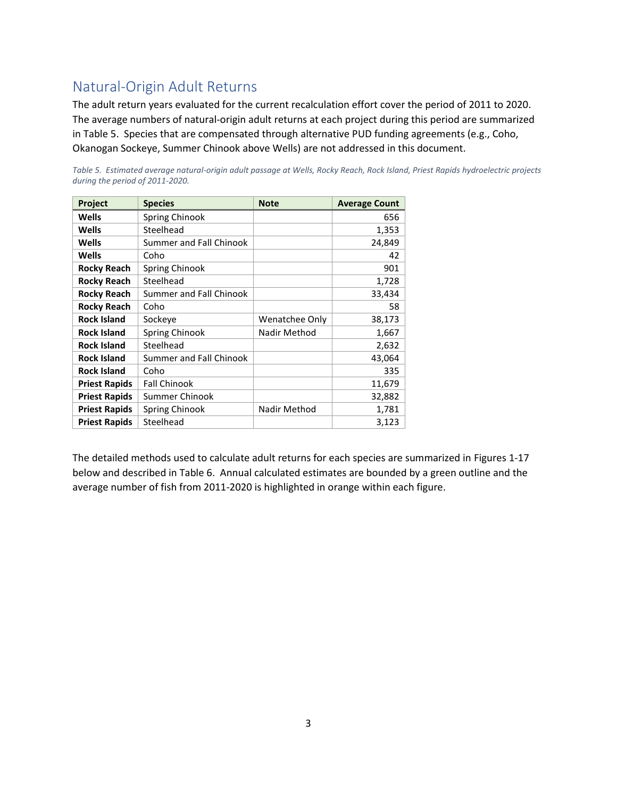## Natural-Origin Adult Returns

The adult return years evaluated for the current recalculation effort cover the period of 2011 to 2020. The average numbers of natural-origin adult returns at each project during this period are summarized in Table 5. Species that are compensated through alternative PUD funding agreements (e.g., Coho, Okanogan Sockeye, Summer Chinook above Wells) are not addressed in this document.

| Project              | <b>Species</b>          | <b>Note</b>    | <b>Average Count</b> |
|----------------------|-------------------------|----------------|----------------------|
| Wells                | Spring Chinook          |                | 656                  |
| Wells                | Steelhead               |                | 1,353                |
| Wells                | Summer and Fall Chinook |                | 24,849               |
| Wells                | Coho                    |                | 42                   |
| <b>Rocky Reach</b>   | Spring Chinook          |                | 901                  |
| <b>Rocky Reach</b>   | Steelhead               |                | 1,728                |
| <b>Rocky Reach</b>   | Summer and Fall Chinook |                | 33,434               |
| <b>Rocky Reach</b>   | Coho                    |                | 58                   |
| <b>Rock Island</b>   | Sockeye                 | Wenatchee Only | 38,173               |
| <b>Rock Island</b>   | Spring Chinook          | Nadir Method   | 1,667                |
| <b>Rock Island</b>   | Steelhead               |                | 2,632                |
| <b>Rock Island</b>   | Summer and Fall Chinook |                | 43,064               |
| <b>Rock Island</b>   | Coho                    |                | 335                  |
| <b>Priest Rapids</b> | <b>Fall Chinook</b>     |                | 11,679               |
| <b>Priest Rapids</b> | Summer Chinook          |                | 32,882               |
| <b>Priest Rapids</b> | Spring Chinook          | Nadir Method   | 1,781                |
| <b>Priest Rapids</b> | Steelhead               |                | 3,123                |

*Table 5. Estimated average natural-origin adult passage at Wells, Rocky Reach, Rock Island, Priest Rapids hydroelectric projects during the period of 2011-2020.*

The detailed methods used to calculate adult returns for each species are summarized in Figures 1-17 below and described in Table 6. Annual calculated estimates are bounded by a green outline and the average number of fish from 2011-2020 is highlighted in orange within each figure.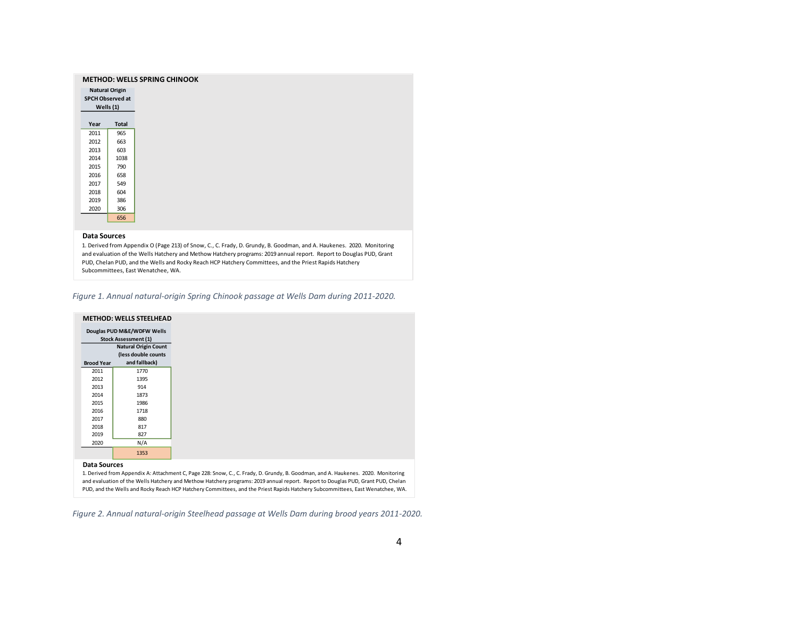|      | <b>METHOD: WELLS SPRING CHINOOK</b> |
|------|-------------------------------------|
|      | <b>Natural Origin</b>               |
|      | SPCH Observed at                    |
|      | Wells $(1)$                         |
| Year | <b>Total</b>                        |
| 2011 | 965                                 |
| 2012 | 663                                 |
| 2013 | 603                                 |
| 2014 | 1038                                |
| 2015 | 790                                 |
| 2016 | 658                                 |
| 2017 | 549                                 |
| 2018 | 604                                 |
| 2019 | 386                                 |
| 2020 | 306                                 |
|      | 656                                 |

1. Derived from Appendix O (Page 213) of Snow, C., C. Frady, D. Grundy, B. Goodman, and A. Haukenes. 2020. Monitoring and evaluation of the Wells Hatchery and Methow Hatchery programs: 2019 annual report. Report to Douglas PUD, Grant PUD, Chelan PUD, and the Wells and Rocky Reach HCP Hatchery Committees, and the Priest Rapids Hatchery Subcommittees, East Wenatchee, WA.

*Figure 1. Annual natural-origin Spring Chinook passage at Wells Dam during 2011-2020.*

|                     | <b>METHOD: WELLS STEELHEAD</b> |  |  |
|---------------------|--------------------------------|--|--|
|                     | Douglas PUD M&E/WDFW Wells     |  |  |
|                     | <b>Stock Assessment (1)</b>    |  |  |
|                     | <b>Natural Origin Count</b>    |  |  |
|                     | (less double counts            |  |  |
| <b>Brood Year</b>   | and fallback)                  |  |  |
| 2011                | 1770                           |  |  |
| 2012                | 1395                           |  |  |
| 2013                | 914                            |  |  |
| 2014                | 1873                           |  |  |
| 2015                | 1986                           |  |  |
| 2016                | 1718                           |  |  |
| 2017                | 880                            |  |  |
| 2018                | 817                            |  |  |
| 2019                | 827                            |  |  |
| 2020                | N/A                            |  |  |
|                     | 1353                           |  |  |
|                     |                                |  |  |
| <b>Data Sources</b> |                                |  |  |
|                     |                                |  |  |

1. Derived from Appendix A: Attachment C, Page 228: Snow, C., C. Frady, D. Grundy, B. Goodman, and A. Haukenes. 2020. Monitoring and evaluation of the Wells Hatchery and Methow Hatchery programs: 2019 annual report. Report to Douglas PUD, Grant PUD, Chelan PUD, and the Wells and Rocky Reach HCP Hatchery Committees, and the Priest Rapids Hatchery Subcommittees, East Wenatchee, WA.

*Figure 2. Annual natural-origin Steelhead passage at Wells Dam during brood years 2011-2020.*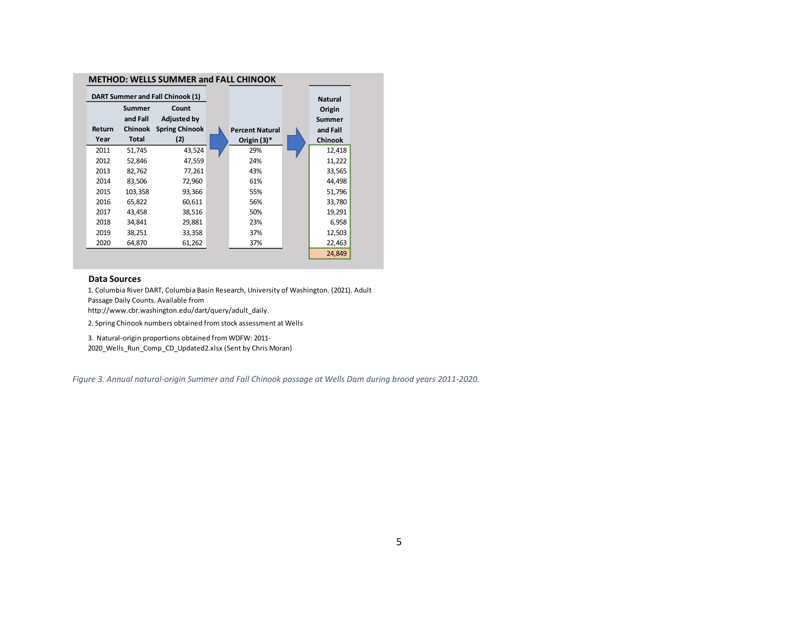| <b>METHOD: WELLS SUMMER and FALL CHINOOK</b> |              |                                  |  |                        |  |                |  |  |  |  |  |  |
|----------------------------------------------|--------------|----------------------------------|--|------------------------|--|----------------|--|--|--|--|--|--|
|                                              |              | DART Summer and Fall Chinook (1) |  |                        |  | <b>Natural</b> |  |  |  |  |  |  |
|                                              | Summer       | Count                            |  |                        |  | Origin         |  |  |  |  |  |  |
|                                              | and Fall     | <b>Adjusted by</b>               |  |                        |  | Summer         |  |  |  |  |  |  |
| Return                                       | Chinook      | <b>Spring Chinook</b>            |  | <b>Percent Natural</b> |  | and Fall       |  |  |  |  |  |  |
| Year                                         | <b>Total</b> | (2)                              |  | Origin $(3)^*$         |  | <b>Chinook</b> |  |  |  |  |  |  |
| 2011                                         | 51,745       | 43,524                           |  | 29%                    |  | 12,418         |  |  |  |  |  |  |
| 2012                                         | 52,846       | 47,559                           |  | 24%                    |  | 11,222         |  |  |  |  |  |  |
| 2013                                         | 82,762       | 77,261                           |  | 43%                    |  | 33,565         |  |  |  |  |  |  |
| 2014                                         | 83,506       | 72,960                           |  | 61%                    |  | 44,498         |  |  |  |  |  |  |
| 2015                                         | 103,358      | 93,366                           |  | 55%                    |  | 51,796         |  |  |  |  |  |  |
| 2016                                         | 65,822       | 60,611                           |  | 56%                    |  | 33,780         |  |  |  |  |  |  |
| 2017                                         | 43,458       | 38,516                           |  | 50%                    |  | 19,291         |  |  |  |  |  |  |
| 2018                                         | 34,841       | 29,881                           |  | 23%                    |  | 6,958          |  |  |  |  |  |  |
| 2019                                         | 38,251       | 33,358                           |  | 37%                    |  | 12,503         |  |  |  |  |  |  |
| 2020                                         | 64,870       | 61,262                           |  | 37%                    |  | 22,463         |  |  |  |  |  |  |
|                                              |              |                                  |  |                        |  | 24,849         |  |  |  |  |  |  |

1. Columbia River DART, Columbia Basin Research, University of Washington. (2021). Adult Passage Daily Counts. Available from

http://www.cbr.washington.edu/dart/query/adult\_daily.

2. Spring Chinook numbers obtained from stock assessment at Wells

3. Natural-origin proportions obtained from WDFW: 2011-

2020\_Wells\_Run\_Comp\_CD\_Updated2.xlsx (Sent by Chris Moran)

*Figure 3. Annual natural-origin Summer and Fall Chinook passage at Wells Dam during brood years 2011-2020.*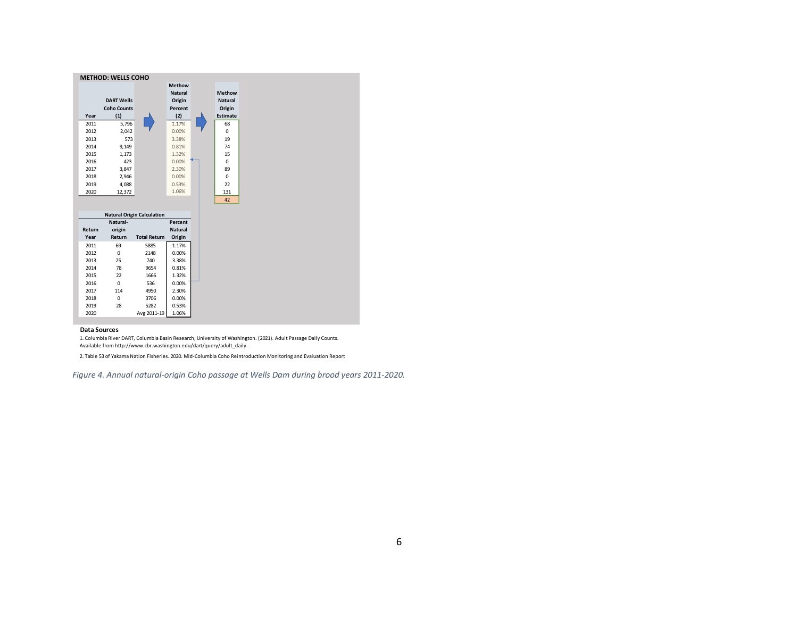|        | <b>METHOD: WELLS COHO</b> |                                   |                |  |                |
|--------|---------------------------|-----------------------------------|----------------|--|----------------|
|        |                           |                                   | Methow         |  |                |
|        |                           |                                   | <b>Natural</b> |  | <b>Methow</b>  |
|        | <b>DART Wells</b>         |                                   | Origin         |  | <b>Natural</b> |
|        | <b>Coho Counts</b>        |                                   | Percent        |  | Origin         |
| Year   | (1)                       |                                   | (2)            |  | Estimate       |
| 2011   | 5,796                     |                                   | 1.17%          |  | 68             |
| 2012   | 2,042                     |                                   | 0.00%          |  | $\mathbf 0$    |
| 2013   | 573                       |                                   | 3.38%          |  | 19             |
| 2014   | 9,149                     |                                   | 0.81%          |  | 74             |
| 2015   | 1,173                     |                                   | 1.32%          |  | 15             |
| 2016   | 423                       |                                   | 0.00%          |  | $\mathbf 0$    |
| 2017   | 3,847                     |                                   | 2.30%          |  | 89             |
| 2018   | 2,946                     |                                   | 0.00%          |  | $\mathbf 0$    |
| 2019   | 4,088                     |                                   | 0.53%          |  | 22             |
| 2020   | 12,372                    |                                   | 1.06%          |  | 131            |
|        |                           |                                   |                |  | 42             |
|        |                           |                                   |                |  |                |
|        | Natural-                  | <b>Natural Origin Calculation</b> | Percent        |  |                |
| Return | origin                    |                                   | <b>Natural</b> |  |                |
| Year   | Return                    | <b>Total Return</b>               | Origin         |  |                |
| 2011   | 69                        | 5885                              | 1.17%          |  |                |
| 2012   | $\mathbf 0$               | 2148                              | 0.00%          |  |                |
| 2013   | 25                        | 740                               | 3.38%          |  |                |
| 2014   | 78                        | 9654                              |                |  |                |
|        | 22                        | 1666                              | 0.81%          |  |                |
| 2015   | 0                         |                                   | 1.32%          |  |                |
| 2016   |                           | 536                               | 0.00%          |  |                |
| 2017   | 114                       | 4950                              | 2.30%          |  |                |
| 2018   | $\mathbf 0$               | 3706                              | 0.00%          |  |                |
| 2019   | 28                        | 5282                              | 0.53%          |  |                |
| 2020   |                           | Avg 2011-19                       | 1.06%          |  |                |

1. Columbia River DART, Columbia Basin Research, University of Washington. (2021). Adult Passage Daily Counts. Available from http://www.cbr.washington.edu/dart/query/adult\_daily.

2. Table 53 of Yakama Nation Fisheries. 2020. Mid-Columbia Coho Reintroduction Monitoring and Evaluation Report

*Figure 4. Annual natural-origin Coho passage at Wells Dam during brood years 2011-2020.*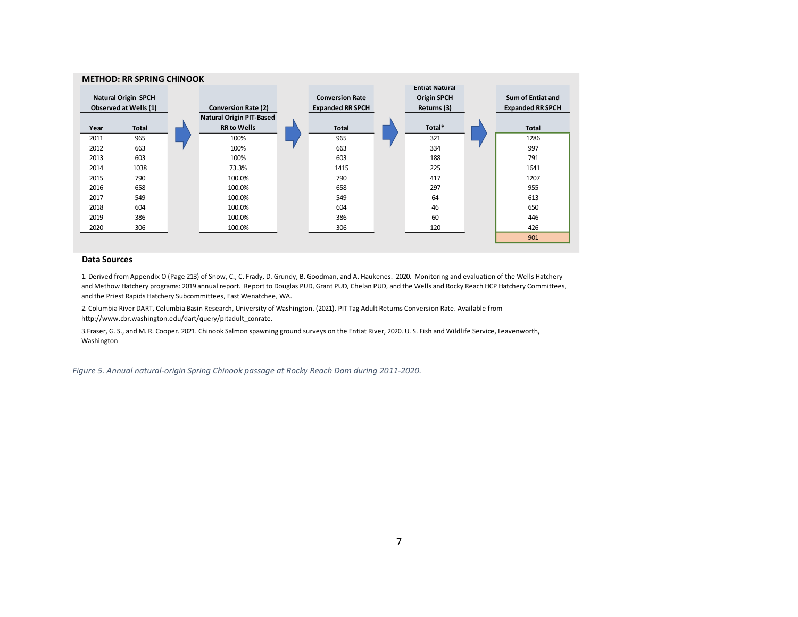|      | <b>METHOD: RR SPRING CHINOOK</b> |                                 |                         |                       |                         |
|------|----------------------------------|---------------------------------|-------------------------|-----------------------|-------------------------|
|      |                                  |                                 |                         | <b>Entiat Natural</b> |                         |
|      | <b>Natural Origin SPCH</b>       |                                 | <b>Conversion Rate</b>  | <b>Origin SPCH</b>    | Sum of Entiat and       |
|      | <b>Observed at Wells (1)</b>     | <b>Conversion Rate (2)</b>      | <b>Expanded RR SPCH</b> | Returns (3)           | <b>Expanded RR SPCH</b> |
|      |                                  | <b>Natural Origin PIT-Based</b> |                         |                       |                         |
| Year | Total                            | <b>RR to Wells</b>              | <b>Total</b>            | Total*                | <b>Total</b>            |
| 2011 | 965                              | 100%                            | 965                     | 321                   | 1286                    |
| 2012 | 663                              | 100%                            | 663                     | 334                   | 997                     |
| 2013 | 603                              | 100%                            | 603                     | 188                   | 791                     |
| 2014 | 1038                             | 73.3%                           | 1415                    | 225                   | 1641                    |
| 2015 | 790                              | 100.0%                          | 790                     | 417                   | 1207                    |
| 2016 | 658                              | 100.0%                          | 658                     | 297                   | 955                     |
| 2017 | 549                              | 100.0%                          | 549                     | 64                    | 613                     |
| 2018 | 604                              | 100.0%                          | 604                     | 46                    | 650                     |
| 2019 | 386                              | 100.0%                          | 386                     | 60                    | 446                     |
| 2020 | 306                              | 100.0%                          | 306                     | 120                   | 426                     |
|      |                                  |                                 |                         |                       | 901                     |

1. Derived from Appendix O (Page 213) of Snow, C., C. Frady, D. Grundy, B. Goodman, and A. Haukenes. 2020. Monitoring and evaluation of the Wells Hatchery and Methow Hatchery programs: 2019 annual report. Report to Douglas PUD, Grant PUD, Chelan PUD, and the Wells and Rocky Reach HCP Hatchery Committees, and the Priest Rapids Hatchery Subcommittees, East Wenatchee, WA.

2. Columbia River DART, Columbia Basin Research, University of Washington. (2021). PIT Tag Adult Returns Conversion Rate. Available from http://www.cbr.washington.edu/dart/query/pitadult\_conrate.

3.Fraser, G. S., and M. R. Cooper. 2021. Chinook Salmon spawning ground surveys on the Entiat River, 2020. U. S. Fish and Wildlife Service, Leavenworth, Washington

*Figure 5. Annual natural-origin Spring Chinook passage at Rocky Reach Dam during 2011-2020.*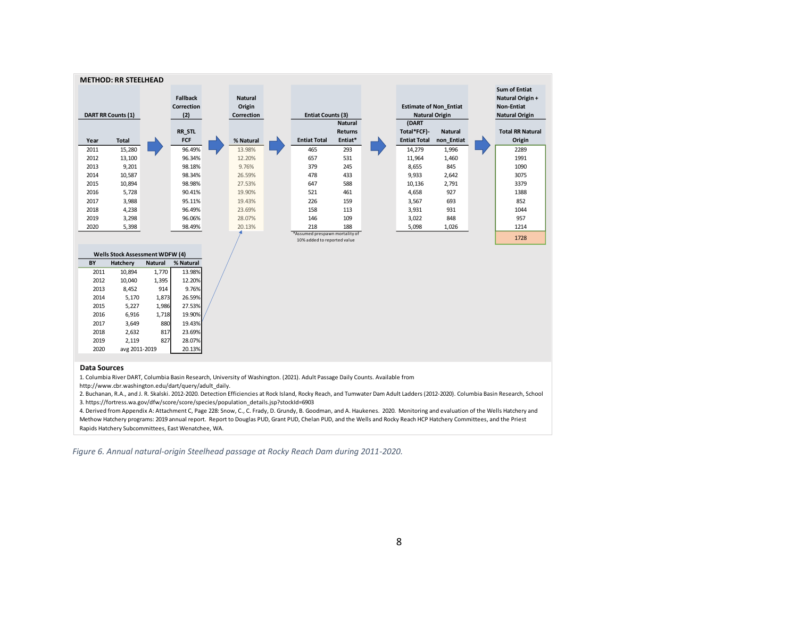|      | <b>METHOD: RR STEELHEAD</b>     |                |                                      |                                        |                                                               |                |                                                        |                |                                                                                 |
|------|---------------------------------|----------------|--------------------------------------|----------------------------------------|---------------------------------------------------------------|----------------|--------------------------------------------------------|----------------|---------------------------------------------------------------------------------|
|      | <b>DART RR Counts (1)</b>       |                | <b>Fallback</b><br>Correction<br>(2) | <b>Natural</b><br>Origin<br>Correction | <b>Entiat Counts (3)</b>                                      |                | <b>Estimate of Non_Entiat</b><br><b>Natural Origin</b> |                | Sum of Entiat<br>Natural Origin +<br><b>Non-Entiat</b><br><b>Natural Origin</b> |
|      |                                 |                |                                      |                                        |                                                               | <b>Natural</b> | (DART                                                  |                |                                                                                 |
|      |                                 |                | RR_STL                               |                                        |                                                               | <b>Returns</b> | Total*FCF)-                                            | <b>Natural</b> | <b>Total RR Natural</b>                                                         |
| Year | <b>Total</b>                    |                | <b>FCF</b>                           | % Natural                              | <b>Entiat Total</b>                                           | Entiat*        | <b>Entiat Total</b>                                    | non_Entiat     | Origin                                                                          |
| 2011 | 15,280                          |                | 96.49%                               | 13.98%                                 | 465                                                           | 293            | 14,279                                                 | 1,996          | 2289                                                                            |
| 2012 | 13,100                          |                | 96.34%                               | 12.20%                                 | 657                                                           | 531            | 11,964                                                 | 1,460          | 1991                                                                            |
| 2013 | 9,201                           |                | 98.18%                               | 9.76%                                  | 379                                                           | 245            | 8,655                                                  | 845            | 1090                                                                            |
| 2014 | 10,587                          |                | 98.34%                               | 26.59%                                 | 478                                                           | 433            | 9,933                                                  | 2,642          | 3075                                                                            |
| 2015 | 10,894                          |                | 98.98%                               | 27.53%                                 | 647                                                           | 588            | 10,136                                                 | 2,791          | 3379                                                                            |
| 2016 | 5,728                           |                | 90.41%                               | 19.90%                                 | 521                                                           | 461            | 4,658                                                  | 927            | 1388                                                                            |
| 2017 | 3,988                           |                | 95.11%                               | 19.43%                                 | 226                                                           | 159            | 3,567                                                  | 693            | 852                                                                             |
| 2018 | 4,238                           |                | 96.49%                               | 23.69%                                 | 158                                                           | 113            | 3,931                                                  | 931            | 1044                                                                            |
| 2019 | 3,298                           |                | 96.06%                               | 28.07%                                 | 146                                                           | 109            | 3,022                                                  | 848            | 957                                                                             |
| 2020 | 5,398                           |                | 98.49%                               | 20.13%                                 | 218                                                           | 188            | 5,098                                                  | 1,026          | 1214                                                                            |
|      |                                 |                |                                      |                                        | *Assumed prespawn mortality of<br>10% added to reported value |                |                                                        |                | 1728                                                                            |
|      |                                 |                |                                      |                                        |                                                               |                |                                                        |                |                                                                                 |
|      | Wells Stock Assessment WDFW (4) |                |                                      |                                        |                                                               |                |                                                        |                |                                                                                 |
| BY   | Hatchery                        | <b>Natural</b> | % Natural                            |                                        |                                                               |                |                                                        |                |                                                                                 |
| 2011 | 10,894                          | 1,770          | 13.98%                               |                                        |                                                               |                |                                                        |                |                                                                                 |
| 2012 | 10,040                          | 1,395          | 12.20%                               |                                        |                                                               |                |                                                        |                |                                                                                 |

|  | <b>Data Sources</b> |
|--|---------------------|
|--|---------------------|

1. Columbia River DART, Columbia Basin Research, University of Washington. (2021). Adult Passage Daily Counts. Available from

http://www.cbr.washington.edu/dart/query/adult\_daily.

2013 8,452 914 9.76% 5,170 1,873 26.59% 5,227 1,986 27.53% 6,916 1,718 19.90% 3,649 880 19.43% 2,632 817 23.69% 2,119 827 28.07% 20.13% avg 2011-2019

3. https://fortress.wa.gov/dfw/score/score/species/population\_details.jsp?stockId=6903 2. Buchanan, R.A., and J. R. Skalski. 2012-2020. Detection Efficiencies at Rock Island, Rocky Reach, and Tumwater Dam Adult Ladders (2012-2020). Columbia Basin Research, School

4. Derived from Appendix A: Attachment C, Page 228: Snow, C., C. Frady, D. Grundy, B. Goodman, and A. Haukenes. 2020. Monitoring and evaluation of the Wells Hatchery and Methow Hatchery programs: 2019 annual report. Report to Douglas PUD, Grant PUD, Chelan PUD, and the Wells and Rocky Reach HCP Hatchery Committees, and the Priest Rapids Hatchery Subcommittees, East Wenatchee, WA.

*Figure 6. Annual natural-origin Steelhead passage at Rocky Reach Dam during 2011-2020.*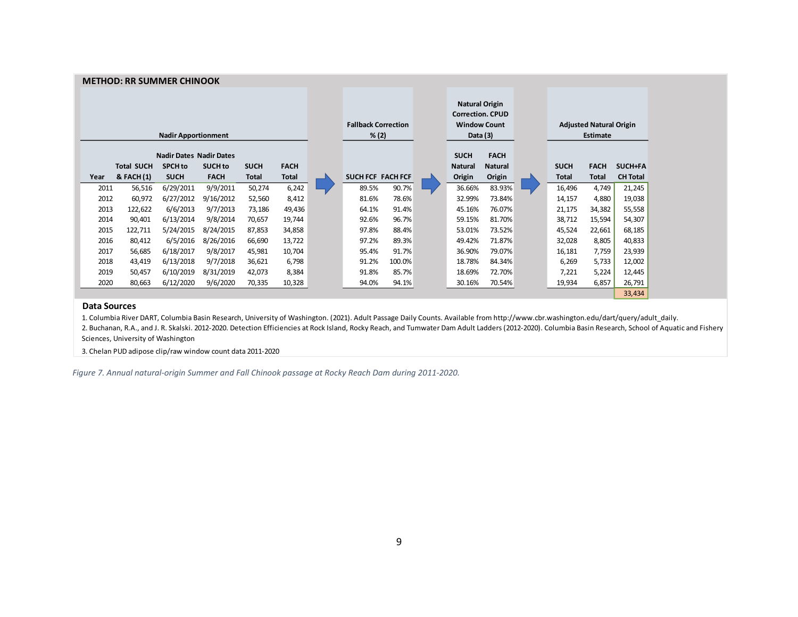|      | <b>METHOD: RR SUMMER CHINOOK</b> |                                |             |              |                                     |                   |                                                                                     |             |             |                                                   |        |                 |
|------|----------------------------------|--------------------------------|-------------|--------------|-------------------------------------|-------------------|-------------------------------------------------------------------------------------|-------------|-------------|---------------------------------------------------|--------|-----------------|
|      |                                  | <b>Nadir Apportionment</b>     |             |              | <b>Fallback Correction</b><br>% (2) |                   | <b>Natural Origin</b><br><b>Correction, CPUD</b><br><b>Window Count</b><br>Data (3) |             |             | <b>Adjusted Natural Origin</b><br><b>Estimate</b> |        |                 |
|      |                                  | <b>Nadir Dates Nadir Dates</b> |             |              |                                     |                   |                                                                                     | <b>SUCH</b> | <b>FACH</b> |                                                   |        |                 |
|      | <b>Total SUCH</b>                | <b>SPCH</b> to                 | <b>FACH</b> |              |                                     | <b>Natural</b>    | <b>Natural</b>                                                                      | <b>SUCH</b> | <b>FACH</b> | SUCH+FA                                           |        |                 |
| Year | & FACH (1)                       | <b>SUCH</b>                    | <b>FACH</b> | <b>Total</b> | <b>Total</b>                        | SUCH FCF FACH FCF |                                                                                     | Origin      | Origin      | Total                                             | Total  | <b>CH Total</b> |
| 2011 | 56,516                           | 6/29/2011                      | 9/9/2011    | 50,274       | 6,242                               | 89.5%             | 90.7%                                                                               | 36.66%      | 83.93%      | 16,496                                            | 4,749  | 21,245          |
| 2012 | 60,972                           | 6/27/2012                      | 9/16/2012   | 52,560       | 8,412                               | 81.6%             | 78.6%                                                                               | 32.99%      | 73.84%      | 14,157                                            | 4,880  | 19,038          |
| 2013 | 122,622                          | 6/6/2013                       | 9/7/2013    | 73,186       | 49,436                              | 64.1%             | 91.4%                                                                               | 45.16%      | 76.07%      | 21,175                                            | 34,382 | 55,558          |
| 2014 | 90,401                           | 6/13/2014                      | 9/8/2014    | 70,657       | 19,744                              | 92.6%             | 96.7%                                                                               | 59.15%      | 81.70%      | 38,712                                            | 15,594 | 54,307          |
| 2015 | 122,711                          | 5/24/2015                      | 8/24/2015   | 87,853       | 34,858                              | 97.8%             | 88.4%                                                                               | 53.01%      | 73.52%      | 45,524                                            | 22,661 | 68,185          |
| 2016 | 80,412                           | 6/5/2016                       | 8/26/2016   | 66,690       | 13,722                              | 97.2%             | 89.3%                                                                               | 49.42%      | 71.87%      | 32,028                                            | 8,805  | 40,833          |
| 2017 | 56,685                           | 6/18/2017                      | 9/8/2017    | 45,981       | 10,704                              | 95.4%             | 91.7%                                                                               | 36.90%      | 79.07%      | 16,181                                            | 7,759  | 23,939          |
| 2018 | 43,419                           | 6/13/2018                      | 9/7/2018    | 36,621       | 6,798                               | 91.2%             | 100.0%                                                                              | 18.78%      | 84.34%      | 6,269                                             | 5,733  | 12,002          |
| 2019 | 50,457                           | 6/10/2019                      | 8/31/2019   | 42,073       | 8,384                               | 91.8%             | 85.7%                                                                               | 18.69%      | 72.70%      | 7,221                                             | 5,224  | 12,445          |
| 2020 | 80,663                           | 6/12/2020                      | 9/6/2020    | 70,335       | 10,328                              | 94.0%             | 94.1%                                                                               | 30.16%      | 70.54%      | 19,934                                            | 6,857  | 26,791          |
|      |                                  |                                |             |              |                                     |                   |                                                                                     |             |             |                                                   |        | 33,434          |

1. Columbia River DART, Columbia Basin Research, University of Washington. (2021). Adult Passage Daily Counts. Available from http://www.cbr.washington.edu/dart/query/adult\_daily. 2. Buchanan, R.A., and J. R. Skalski. 2012-2020. Detection Efficiencies at Rock Island, Rocky Reach, and Tumwater Dam Adult Ladders (2012-2020). Columbia Basin Research, School of Aquatic and Fishery

Sciences, University of Washington

3. Chelan PUD adipose clip/raw window count data 2011-2020

*Figure 7. Annual natural-origin Summer and Fall Chinook passage at Rocky Reach Dam during 2011-2020.*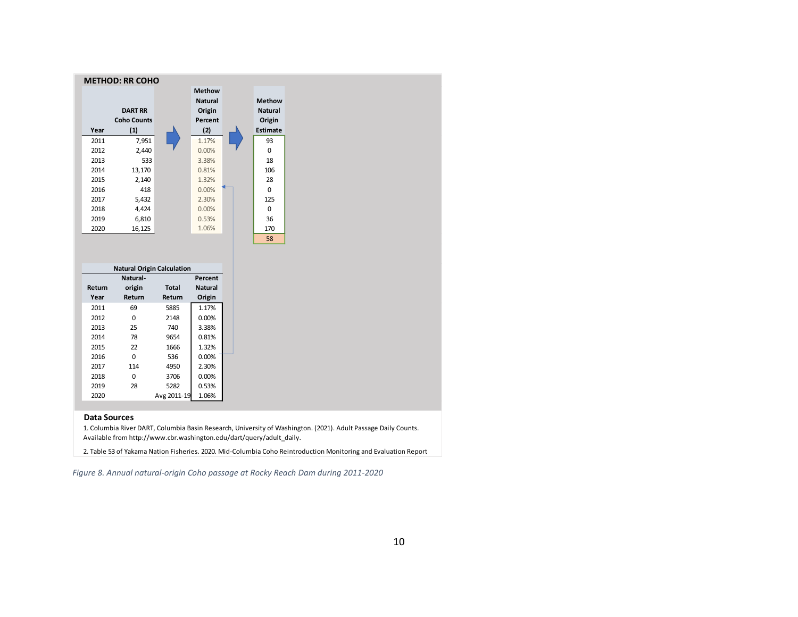|        | <b>METHOD: RR COHO</b> |                                   |                |                |
|--------|------------------------|-----------------------------------|----------------|----------------|
|        |                        |                                   | <b>Methow</b>  |                |
|        |                        |                                   | <b>Natural</b> | <b>Methow</b>  |
|        | <b>DART RR</b>         |                                   | Origin         | <b>Natural</b> |
|        | <b>Coho Counts</b>     |                                   | Percent        | Origin         |
| Year   | (1)                    |                                   | (2)            | Estimate       |
| 2011   | 7,951                  |                                   | 1.17%          | 93             |
| 2012   | 2,440                  |                                   | 0.00%          | $\mathbf 0$    |
| 2013   | 533                    |                                   | 3.38%          | 18             |
| 2014   | 13,170                 |                                   | 0.81%          | 106            |
| 2015   | 2,140                  |                                   | 1.32%          | 28             |
| 2016   | 418                    |                                   | 0.00%          | $\mathbf 0$    |
| 2017   | 5,432                  |                                   | 2.30%          | 125            |
| 2018   | 4,424                  |                                   | 0.00%          | $\pmb{0}$      |
| 2019   | 6,810                  |                                   | 0.53%          | 36             |
| 2020   | 16,125                 |                                   | 1.06%          | 170            |
|        |                        |                                   |                | 58             |
|        |                        |                                   |                |                |
|        |                        |                                   |                |                |
|        |                        | <b>Natural Origin Calculation</b> |                |                |
|        | Natural-               |                                   | Percent        |                |
| Return | origin                 | <b>Total</b>                      | <b>Natural</b> |                |
| Year   | Return                 | Return                            | Origin         |                |
| 2011   | 69                     | 5885                              | 1.17%          |                |
| 2012   | $\pmb{0}$              | 2148                              | 0.00%          |                |
| 2013   | 25                     | 740                               | 3.38%          |                |
| 2014   | 78                     | 9654                              | 0.81%          |                |
| 2015   | 22                     | 1666                              | 1.32%          |                |
| 2016   | $\pmb{0}$              | 536                               | 0.00%          |                |
| 2017   | 114                    | 4950                              | 2.30%          |                |
| 2018   | $\pmb{0}$              | 3706                              | 0.00%          |                |
| 2019   | 28                     | 5282                              | 0.53%          |                |
| 2020   |                        | Avg 2011-19                       | 1.06%          |                |
|        |                        |                                   |                |                |

1. Columbia River DART, Columbia Basin Research, University of Washington. (2021). Adult Passage Daily Counts. Available from http://www.cbr.washington.edu/dart/query/adult\_daily.

2. Table 53 of Yakama Nation Fisheries. 2020. Mid-Columbia Coho Reintroduction Monitoring and Evaluation Report

*Figure 8. Annual natural-origin Coho passage at Rocky Reach Dam during 2011-2020*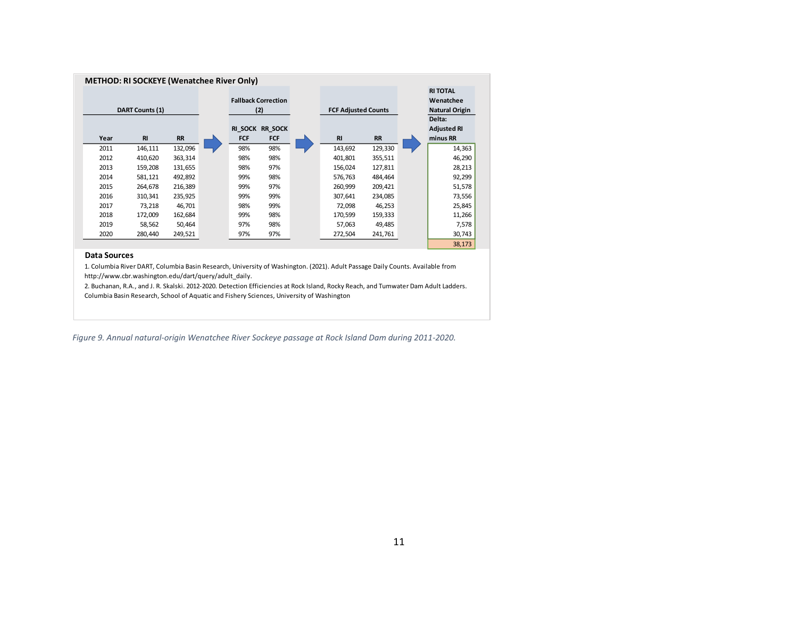|      | <b>METHOD: RI SOCKEYE (Wenatchee River Only)</b> |           |                |                            |                            |           |                       |  |
|------|--------------------------------------------------|-----------|----------------|----------------------------|----------------------------|-----------|-----------------------|--|
|      |                                                  |           |                |                            |                            |           | <b>RI TOTAL</b>       |  |
|      |                                                  |           |                | <b>Fallback Correction</b> |                            |           | Wenatchee             |  |
|      | DART Counts (1)                                  |           |                | (2)                        | <b>FCF Adjusted Counts</b> |           | <b>Natural Origin</b> |  |
|      |                                                  |           |                |                            |                            |           | Delta:                |  |
|      |                                                  |           | <b>RI SOCK</b> | <b>RR SOCK</b>             |                            |           | <b>Adjusted RI</b>    |  |
| Year | R1                                               | <b>RR</b> | <b>FCF</b>     | FCF                        | R1                         | <b>RR</b> | minus RR              |  |
| 2011 | 146,111                                          | 132,096   | 98%            | 98%                        | 143,692                    | 129,330   | 14,363                |  |
| 2012 | 410,620                                          | 363,314   | 98%            | 98%                        | 401,801                    | 355,511   | 46,290                |  |
| 2013 | 159,208                                          | 131,655   | 98%            | 97%                        | 156,024                    | 127,811   | 28,213                |  |
| 2014 | 581,121                                          | 492,892   | 99%            | 98%                        | 576,763                    | 484,464   | 92,299                |  |
| 2015 | 264,678                                          | 216,389   | 99%            | 97%                        | 260,999                    | 209,421   | 51,578                |  |
| 2016 | 310,341                                          | 235,925   | 99%            | 99%                        | 307,641                    | 234,085   | 73,556                |  |
| 2017 | 73,218                                           | 46,701    | 98%            | 99%                        | 72,098                     | 46,253    | 25,845                |  |
| 2018 | 172,009                                          | 162,684   | 99%            | 98%                        | 170,599                    | 159,333   | 11,266                |  |
| 2019 | 58,562                                           | 50,464    | 97%            | 98%                        | 57,063                     | 49,485    | 7,578                 |  |
| 2020 | 280,440                                          | 249,521   | 97%            | 97%                        | 272,504                    | 241,761   | 30,743                |  |
|      |                                                  |           |                |                            |                            |           | 38,173                |  |

1. Columbia River DART, Columbia Basin Research, University of Washington. (2021). Adult Passage Daily Counts. Available from http://www.cbr.washington.edu/dart/query/adult\_daily.

2. Buchanan, R.A., and J. R. Skalski. 2012-2020. Detection Efficiencies at Rock Island, Rocky Reach, and Tumwater Dam Adult Ladders. Columbia Basin Research, School of Aquatic and Fishery Sciences, University of Washington

*Figure 9. Annual natural-origin Wenatchee River Sockeye passage at Rock Island Dam during 2011-2020.*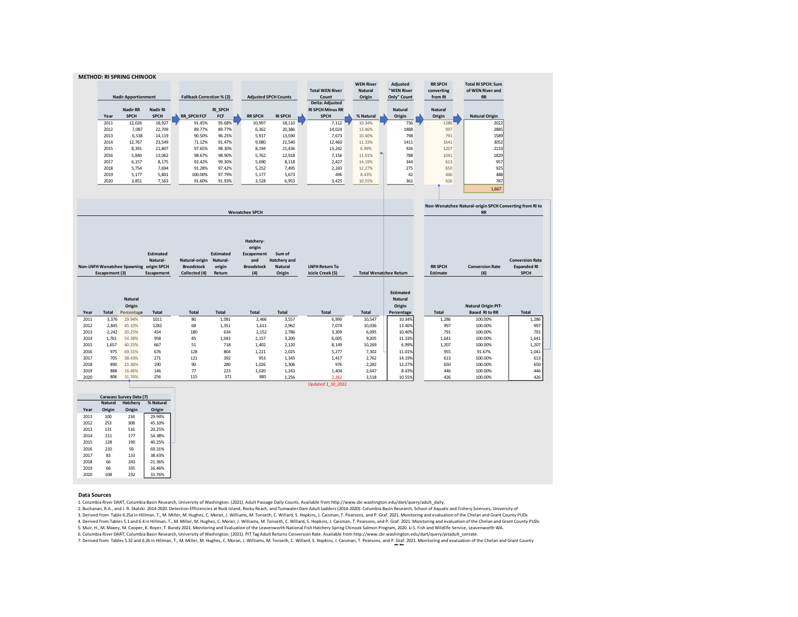|                     |                       | <b>METHOD: RI SPRING CHINOOK</b>   |                                      |                                     |                                 |                                                               |                                          |                                                                                                                                                                                                                                                                                                                                                                                            |                               |                                                     |                              |                                                                                                                                                                                                                                                                                                                                                                                                                                                                                                                                                                                                                                                                                                                                                                                                                                                                                                                                                                                                                                                                                                                                                            |                                              |
|---------------------|-----------------------|------------------------------------|--------------------------------------|-------------------------------------|---------------------------------|---------------------------------------------------------------|------------------------------------------|--------------------------------------------------------------------------------------------------------------------------------------------------------------------------------------------------------------------------------------------------------------------------------------------------------------------------------------------------------------------------------------------|-------------------------------|-----------------------------------------------------|------------------------------|------------------------------------------------------------------------------------------------------------------------------------------------------------------------------------------------------------------------------------------------------------------------------------------------------------------------------------------------------------------------------------------------------------------------------------------------------------------------------------------------------------------------------------------------------------------------------------------------------------------------------------------------------------------------------------------------------------------------------------------------------------------------------------------------------------------------------------------------------------------------------------------------------------------------------------------------------------------------------------------------------------------------------------------------------------------------------------------------------------------------------------------------------------|----------------------------------------------|
|                     |                       |                                    |                                      |                                     |                                 |                                                               |                                          | <b>Total WEN River</b>                                                                                                                                                                                                                                                                                                                                                                     | <b>WEN River</b><br>Natural   | Adjusted<br>"WEN River                              | <b>RR SPCH</b><br>converting | <b>Total RI SPCH: Sum</b><br>of WEN River and                                                                                                                                                                                                                                                                                                                                                                                                                                                                                                                                                                                                                                                                                                                                                                                                                                                                                                                                                                                                                                                                                                              |                                              |
|                     |                       | <b>Nadir Apportionment</b>         |                                      | <b>Fallback Correction % (2)</b>    |                                 | <b>Adjusted SPCH Counts</b>                                   |                                          | Count                                                                                                                                                                                                                                                                                                                                                                                      | Origin                        | <b>Only" Count</b>                                  | from RI                      | ${\sf RR}$                                                                                                                                                                                                                                                                                                                                                                                                                                                                                                                                                                                                                                                                                                                                                                                                                                                                                                                                                                                                                                                                                                                                                 |                                              |
|                     |                       | <b>Nadir RR</b>                    | Nadir RI                             |                                     | <b>RI SPCH</b>                  |                                                               |                                          | Delta: Adjusted<br><b>RI SPCH Minus RR</b>                                                                                                                                                                                                                                                                                                                                                 |                               | Natural                                             | <b>Natural</b>               |                                                                                                                                                                                                                                                                                                                                                                                                                                                                                                                                                                                                                                                                                                                                                                                                                                                                                                                                                                                                                                                                                                                                                            |                                              |
|                     | Year                  | <b>SPCH</b>                        | <b>SPCH</b>                          | <b>RR SPCH FCF</b>                  | FCF                             | <b>RR SPCH</b>                                                | <b>RI SPCH</b>                           | <b>SPCH</b>                                                                                                                                                                                                                                                                                                                                                                                | % Natural                     | Origin                                              | Origin                       | <b>Natural Origin</b>                                                                                                                                                                                                                                                                                                                                                                                                                                                                                                                                                                                                                                                                                                                                                                                                                                                                                                                                                                                                                                                                                                                                      |                                              |
|                     | 2011<br>2012          | 12,026                             | 18,927<br>22.709                     | 91.45%<br>89.77%                    | 95.68%<br>89.77%                | 10,997                                                        | 18,110<br>20,386                         | 7,112<br>14,024                                                                                                                                                                                                                                                                                                                                                                            | 10.34%<br>13.46%              | 736<br>1888                                         | 1286<br>997                  | 2022<br>2885                                                                                                                                                                                                                                                                                                                                                                                                                                                                                                                                                                                                                                                                                                                                                                                                                                                                                                                                                                                                                                                                                                                                               |                                              |
|                     | 2013                  | 7,087<br>6,538                     | 14,119                               | 90.50%                              | 96.25%                          | 6,362<br>5,917                                                | 13,590                                   | 7,673                                                                                                                                                                                                                                                                                                                                                                                      | 10.40%                        | 798                                                 | 791                          | 1589                                                                                                                                                                                                                                                                                                                                                                                                                                                                                                                                                                                                                                                                                                                                                                                                                                                                                                                                                                                                                                                                                                                                                       |                                              |
|                     | 2014                  | 12,767                             | 23,549                               | 71.12%                              | 91.47%                          | 9,080                                                         | 21,540                                   | 12,460                                                                                                                                                                                                                                                                                                                                                                                     | 11.33%                        | 1411                                                | 1641                         | 3052                                                                                                                                                                                                                                                                                                                                                                                                                                                                                                                                                                                                                                                                                                                                                                                                                                                                                                                                                                                                                                                                                                                                                       |                                              |
|                     | 2015                  | 8,391                              | 21,807                               | 97.65%                              | 98.30%                          | 8,194                                                         | 21.436                                   | 13.242                                                                                                                                                                                                                                                                                                                                                                                     | 6.99%                         | 926                                                 | 1207                         | 2133                                                                                                                                                                                                                                                                                                                                                                                                                                                                                                                                                                                                                                                                                                                                                                                                                                                                                                                                                                                                                                                                                                                                                       |                                              |
|                     | 2016                  | 5,840                              | 13,062                               | 98.67%                              | 98.90%                          | 5,762                                                         | 12,918                                   | 7,156                                                                                                                                                                                                                                                                                                                                                                                      | 11.01%                        | 788                                                 | 1041                         | 1829                                                                                                                                                                                                                                                                                                                                                                                                                                                                                                                                                                                                                                                                                                                                                                                                                                                                                                                                                                                                                                                                                                                                                       |                                              |
|                     | 2017                  | 6,157                              | 8,175                                | 92.42%                              | 99.30%                          | 5,690                                                         | 8,118                                    | 2,427                                                                                                                                                                                                                                                                                                                                                                                      | 14.19%                        | 344                                                 | 613                          | 957                                                                                                                                                                                                                                                                                                                                                                                                                                                                                                                                                                                                                                                                                                                                                                                                                                                                                                                                                                                                                                                                                                                                                        |                                              |
|                     | 2018<br>2019          | 5,754                              | 7,694<br>5,801                       | 91.28%<br>100.00%                   | 97.42%<br>97.79%                | 5,252<br>5,177                                                | 7,495<br>5,673                           | 2,243<br>496                                                                                                                                                                                                                                                                                                                                                                               | 12.27%<br>8.43%               | 275<br>42                                           | 650<br>446                   | 925<br>488                                                                                                                                                                                                                                                                                                                                                                                                                                                                                                                                                                                                                                                                                                                                                                                                                                                                                                                                                                                                                                                                                                                                                 |                                              |
|                     | 2020                  | 5,177<br>3,851                     | 7,563                                | 91.60%                              | 91.93%                          | 3,528                                                         | 6,953                                    | 3,425                                                                                                                                                                                                                                                                                                                                                                                      | 10.55%                        | 361                                                 | 426                          | 787                                                                                                                                                                                                                                                                                                                                                                                                                                                                                                                                                                                                                                                                                                                                                                                                                                                                                                                                                                                                                                                                                                                                                        |                                              |
|                     |                       |                                    |                                      |                                     |                                 |                                                               |                                          |                                                                                                                                                                                                                                                                                                                                                                                            |                               |                                                     |                              | 1,667                                                                                                                                                                                                                                                                                                                                                                                                                                                                                                                                                                                                                                                                                                                                                                                                                                                                                                                                                                                                                                                                                                                                                      |                                              |
|                     |                       |                                    |                                      |                                     |                                 |                                                               |                                          |                                                                                                                                                                                                                                                                                                                                                                                            |                               |                                                     |                              |                                                                                                                                                                                                                                                                                                                                                                                                                                                                                                                                                                                                                                                                                                                                                                                                                                                                                                                                                                                                                                                                                                                                                            |                                              |
|                     |                       |                                    |                                      |                                     |                                 |                                                               |                                          |                                                                                                                                                                                                                                                                                                                                                                                            |                               |                                                     |                              | Non-Wenatchee Natural-origin SPCH Converting from RI to                                                                                                                                                                                                                                                                                                                                                                                                                                                                                                                                                                                                                                                                                                                                                                                                                                                                                                                                                                                                                                                                                                    |                                              |
|                     |                       |                                    |                                      |                                     |                                 | <b>Wenatchee SPCH</b>                                         |                                          |                                                                                                                                                                                                                                                                                                                                                                                            |                               |                                                     |                              | <b>RR</b>                                                                                                                                                                                                                                                                                                                                                                                                                                                                                                                                                                                                                                                                                                                                                                                                                                                                                                                                                                                                                                                                                                                                                  |                                              |
|                     |                       | <b>Non-LNFH Wenatchee Spawning</b> | Estimated<br>Natural-<br>origin SPCH | Natural-origin<br><b>Broodstock</b> | Estimated<br>Natural-<br>origin | Hatchery-<br>origin<br>Escapement<br>and<br><b>Broodstock</b> | Sum of<br>Hatchery and<br><b>Natural</b> | <b>LNFH Return To</b>                                                                                                                                                                                                                                                                                                                                                                      |                               |                                                     | <b>RR SPCH</b>               | <b>Conversion Rate</b>                                                                                                                                                                                                                                                                                                                                                                                                                                                                                                                                                                                                                                                                                                                                                                                                                                                                                                                                                                                                                                                                                                                                     | <b>Conversion Rate</b><br><b>Expanded RI</b> |
|                     | <b>Escapement (3)</b> |                                    | Escapement                           | Collected (4)                       | Return                          | (4)                                                           | Origin                                   | Icicle Creek (5)                                                                                                                                                                                                                                                                                                                                                                           | <b>Total Wenatchee Return</b> |                                                     | Estimate                     | (6)                                                                                                                                                                                                                                                                                                                                                                                                                                                                                                                                                                                                                                                                                                                                                                                                                                                                                                                                                                                                                                                                                                                                                        | SPCH                                         |
|                     | <b>Total</b>          | Natural<br>Origin<br>Percentage    | <b>Total</b>                         | <b>Total</b>                        | <b>Total</b>                    | <b>Total</b>                                                  | <b>Total</b>                             | <b>Total</b>                                                                                                                                                                                                                                                                                                                                                                               | <b>Total</b>                  | <b>Estimated</b><br>Natural<br>Origin<br>Percentage | <b>Total</b>                 | <b>Natural Origin PIT-</b><br>Based RI to RR                                                                                                                                                                                                                                                                                                                                                                                                                                                                                                                                                                                                                                                                                                                                                                                                                                                                                                                                                                                                                                                                                                               | <b>Total</b>                                 |
| Year<br>2011        | 3,376                 | 29.94%                             | 1011                                 | 80                                  | 1,091                           | 2,466                                                         | 3,557                                    | 6,990                                                                                                                                                                                                                                                                                                                                                                                      | 10,547                        | 10.34%                                              | 1,286                        | 100.00%                                                                                                                                                                                                                                                                                                                                                                                                                                                                                                                                                                                                                                                                                                                                                                                                                                                                                                                                                                                                                                                                                                                                                    | 1,286                                        |
| 2012                | 2,845                 | 45.10%                             | 1283                                 | 68                                  | 1,351                           | 1,611                                                         | 2,962                                    | 7,074                                                                                                                                                                                                                                                                                                                                                                                      | 10,036                        | 13.46%                                              | 997                          | 100.00%                                                                                                                                                                                                                                                                                                                                                                                                                                                                                                                                                                                                                                                                                                                                                                                                                                                                                                                                                                                                                                                                                                                                                    | 997                                          |
| 2013                | 2,242                 | 20.25%                             | 454                                  | 180                                 | 634                             | 2,152                                                         | 2,786                                    | 3,309                                                                                                                                                                                                                                                                                                                                                                                      | 6,095                         | 10.40%                                              | 791                          | 100.00%                                                                                                                                                                                                                                                                                                                                                                                                                                                                                                                                                                                                                                                                                                                                                                                                                                                                                                                                                                                                                                                                                                                                                    | 791                                          |
| 2014                | 1,761                 | 54.38%                             | 958                                  | 85                                  | 1,043                           | 2,157                                                         | 3,200                                    | 6,005                                                                                                                                                                                                                                                                                                                                                                                      | 9,205                         | 11.33%                                              | 1,641                        | 100.00%                                                                                                                                                                                                                                                                                                                                                                                                                                                                                                                                                                                                                                                                                                                                                                                                                                                                                                                                                                                                                                                                                                                                                    | 1,641                                        |
| 2015                | 1,657                 | 40.25%                             | 667                                  | 51                                  | 718                             | 1,402                                                         | 2,120                                    | 8,149                                                                                                                                                                                                                                                                                                                                                                                      | 10,269                        | 6.99%                                               | 1,207                        | 100.00%                                                                                                                                                                                                                                                                                                                                                                                                                                                                                                                                                                                                                                                                                                                                                                                                                                                                                                                                                                                                                                                                                                                                                    | 1,207                                        |
| 2016<br>2017        | 975<br>705            | 69.31%<br>38.43%                   | 676<br>271                           | 128<br>121                          | 804<br>392                      | 1,221<br>953                                                  | 2,025<br>1,345                           | 5,277<br>1,417                                                                                                                                                                                                                                                                                                                                                                             | 7,302<br>2,762                | 11.01%<br>14.19%                                    | 955<br>613                   | 91.67%<br>100.00%                                                                                                                                                                                                                                                                                                                                                                                                                                                                                                                                                                                                                                                                                                                                                                                                                                                                                                                                                                                                                                                                                                                                          | 1,041<br>613                                 |
| 2018                | 890                   | 21.36%                             | 190                                  | 90                                  | 280                             | 1,026                                                         | 1,306                                    | 976                                                                                                                                                                                                                                                                                                                                                                                        | 2,282                         | 12.27%                                              | 650                          | 100.00%                                                                                                                                                                                                                                                                                                                                                                                                                                                                                                                                                                                                                                                                                                                                                                                                                                                                                                                                                                                                                                                                                                                                                    | 650                                          |
| 2019                | 888                   | 16.46%                             | 146                                  | 77                                  | 223                             | 1,020                                                         | 1,243                                    | 1,404                                                                                                                                                                                                                                                                                                                                                                                      | 2,647                         | 8.43%                                               | 446                          | 100.00%                                                                                                                                                                                                                                                                                                                                                                                                                                                                                                                                                                                                                                                                                                                                                                                                                                                                                                                                                                                                                                                                                                                                                    | 446                                          |
| 2020                | 806                   | 31.76%                             | 256                                  | 115                                 | 371                             | 885                                                           | 1,256                                    | 2.262                                                                                                                                                                                                                                                                                                                                                                                      | 3,518                         | 10.55%                                              | 426                          | 100.00%                                                                                                                                                                                                                                                                                                                                                                                                                                                                                                                                                                                                                                                                                                                                                                                                                                                                                                                                                                                                                                                                                                                                                    | 426                                          |
|                     |                       |                                    |                                      |                                     |                                 |                                                               |                                          | <b>Updated 1_10_2022</b>                                                                                                                                                                                                                                                                                                                                                                   |                               |                                                     |                              |                                                                                                                                                                                                                                                                                                                                                                                                                                                                                                                                                                                                                                                                                                                                                                                                                                                                                                                                                                                                                                                                                                                                                            |                                              |
|                     |                       | <b>Caracass Survey Data (7)</b>    |                                      |                                     |                                 |                                                               |                                          |                                                                                                                                                                                                                                                                                                                                                                                            |                               |                                                     |                              |                                                                                                                                                                                                                                                                                                                                                                                                                                                                                                                                                                                                                                                                                                                                                                                                                                                                                                                                                                                                                                                                                                                                                            |                                              |
|                     | Natural               | Hatchery                           | % Natural                            |                                     |                                 |                                                               |                                          |                                                                                                                                                                                                                                                                                                                                                                                            |                               |                                                     |                              |                                                                                                                                                                                                                                                                                                                                                                                                                                                                                                                                                                                                                                                                                                                                                                                                                                                                                                                                                                                                                                                                                                                                                            |                                              |
| Year                | Origin                | Origin                             | Origin                               |                                     |                                 |                                                               |                                          |                                                                                                                                                                                                                                                                                                                                                                                            |                               |                                                     |                              |                                                                                                                                                                                                                                                                                                                                                                                                                                                                                                                                                                                                                                                                                                                                                                                                                                                                                                                                                                                                                                                                                                                                                            |                                              |
| 2011                | 100                   | 234                                | 29.94%                               |                                     |                                 |                                                               |                                          |                                                                                                                                                                                                                                                                                                                                                                                            |                               |                                                     |                              |                                                                                                                                                                                                                                                                                                                                                                                                                                                                                                                                                                                                                                                                                                                                                                                                                                                                                                                                                                                                                                                                                                                                                            |                                              |
| 2012<br>2013        | 253<br>131            | 308<br>516                         | 45.10%<br>20.25%                     |                                     |                                 |                                                               |                                          |                                                                                                                                                                                                                                                                                                                                                                                            |                               |                                                     |                              |                                                                                                                                                                                                                                                                                                                                                                                                                                                                                                                                                                                                                                                                                                                                                                                                                                                                                                                                                                                                                                                                                                                                                            |                                              |
| 2014                | 211                   | 177                                | 54.38%                               |                                     |                                 |                                                               |                                          |                                                                                                                                                                                                                                                                                                                                                                                            |                               |                                                     |                              |                                                                                                                                                                                                                                                                                                                                                                                                                                                                                                                                                                                                                                                                                                                                                                                                                                                                                                                                                                                                                                                                                                                                                            |                                              |
| 2015                | 128                   | 190                                | 40.25%                               |                                     |                                 |                                                               |                                          |                                                                                                                                                                                                                                                                                                                                                                                            |                               |                                                     |                              |                                                                                                                                                                                                                                                                                                                                                                                                                                                                                                                                                                                                                                                                                                                                                                                                                                                                                                                                                                                                                                                                                                                                                            |                                              |
| 2016                | 210                   | 93                                 | 69.31%                               |                                     |                                 |                                                               |                                          |                                                                                                                                                                                                                                                                                                                                                                                            |                               |                                                     |                              |                                                                                                                                                                                                                                                                                                                                                                                                                                                                                                                                                                                                                                                                                                                                                                                                                                                                                                                                                                                                                                                                                                                                                            |                                              |
| 2017                | 83                    | 133                                | 38.43%                               |                                     |                                 |                                                               |                                          |                                                                                                                                                                                                                                                                                                                                                                                            |                               |                                                     |                              |                                                                                                                                                                                                                                                                                                                                                                                                                                                                                                                                                                                                                                                                                                                                                                                                                                                                                                                                                                                                                                                                                                                                                            |                                              |
| 2018                | 66                    | 243                                | 21.36%                               |                                     |                                 |                                                               |                                          |                                                                                                                                                                                                                                                                                                                                                                                            |                               |                                                     |                              |                                                                                                                                                                                                                                                                                                                                                                                                                                                                                                                                                                                                                                                                                                                                                                                                                                                                                                                                                                                                                                                                                                                                                            |                                              |
| 2019<br>2020        | 66<br>108             | 335<br>232                         | 16.46%<br>31.76%                     |                                     |                                 |                                                               |                                          |                                                                                                                                                                                                                                                                                                                                                                                            |                               |                                                     |                              |                                                                                                                                                                                                                                                                                                                                                                                                                                                                                                                                                                                                                                                                                                                                                                                                                                                                                                                                                                                                                                                                                                                                                            |                                              |
|                     |                       |                                    |                                      |                                     |                                 |                                                               |                                          |                                                                                                                                                                                                                                                                                                                                                                                            |                               |                                                     |                              |                                                                                                                                                                                                                                                                                                                                                                                                                                                                                                                                                                                                                                                                                                                                                                                                                                                                                                                                                                                                                                                                                                                                                            |                                              |
| <b>Data Sources</b> |                       |                                    |                                      |                                     |                                 |                                                               |                                          | 1. Columbia River DART, Columbia Basin Research, University of Washington. (2021). Adult Passage Daily Counts. Available from http://www.cbr.washington.edu/dart/query/adult_daily.<br>6. Columbia River DART, Columbia Basin Research, University of Washington. (2021). PIT Tag Adult Returns Conversion Rate. Available from http://www.cbr.washington.edu/dart/query/pitadult_conrate. |                               |                                                     |                              | 2. Buchanan, R.A., and J. R. Skalski. 2014-2020. Detection Efficiencies at Rock Island, Rocky Reach, and Tumwater Dam Adult Ladders (2014-2020). Columbia Basin Research, School of Aquatic and Fishery Sciences, University o<br>3. Derived from Table 6.25a in Hillman, T., M. Miller, M. Hughes, C. Moran, J. Williams, M. Tonseth, C. Willard, S. Hopkins, J. Caisman, T. Pearsons, and P. Graf. 2021. Monitoring and evaluation of the Chelan and Grant Cou<br>4. Derived from Tables 5.1 and 6.4 in Hillman, T., M. Miller, M. Hughes, C. Moran, J. Williams, M. Tonseth, C. Willard, S. Hopkins, J. Caisman, T. Pearsons, and P. Graf. 2021. Monitoring and evaluation of the Chelan and Gr<br>5. Muir, H., M. Maxey, M. Cooper, K. Royer, T. Bundy 2021. Monitoring and Evaluation of the Leavenworth National Fish Hatchery Spring Chinook Salmon Program, 2020. U.S. Fish and Wildlife Service, Leavenworth WA.<br>7. Derived from Tables 5.32 and 6.26 in Hillman, T., M. Miller, M. Hughes, C. Moran, J. Williams, M. Tonseth, C. Willard, S. Hopkins, J. Caisman, T. Pearsons, and P. Graf. 2021. Monitoring and evaluation of the Chelan and |                                              |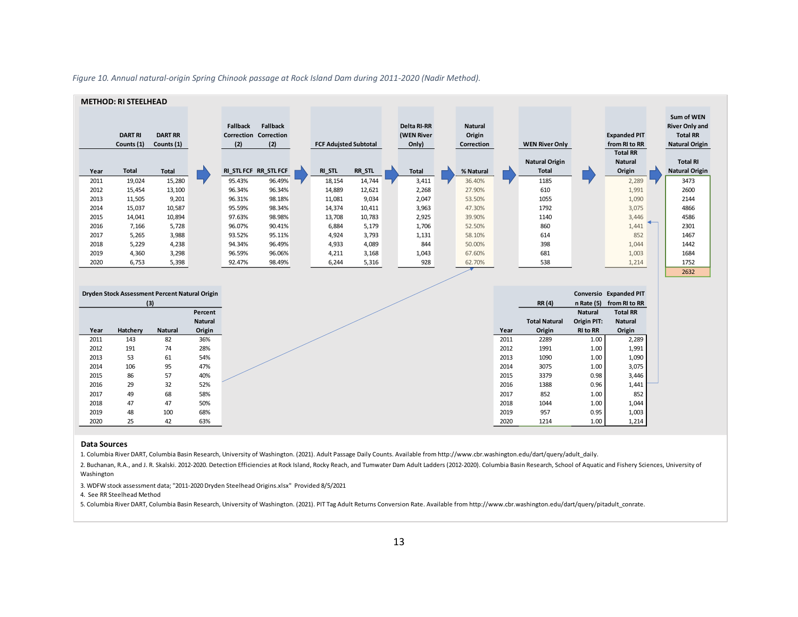|      | <b>METHOD: RI STEELHEAD</b>  |                              |                        |                                                        |                              |        |                                    |                                        |                       |                                                         |                                                                                 |
|------|------------------------------|------------------------------|------------------------|--------------------------------------------------------|------------------------------|--------|------------------------------------|----------------------------------------|-----------------------|---------------------------------------------------------|---------------------------------------------------------------------------------|
|      | <b>DART RI</b><br>Counts (1) | <b>DART RR</b><br>Counts (1) | <b>Fallback</b><br>(2) | <b>Fallback</b><br><b>Correction Correction</b><br>(2) | <b>FCF Aduisted Subtotal</b> |        | Delta RI-RR<br>(WEN River<br>Only) | <b>Natural</b><br>Origin<br>Correction | <b>WEN River Only</b> | <b>Expanded PIT</b><br>from RI to RR<br><b>Total RR</b> | Sum of WEN<br><b>River Only and</b><br><b>Total RR</b><br><b>Natural Origin</b> |
|      |                              |                              |                        |                                                        |                              |        |                                    |                                        | <b>Natural Origin</b> | <b>Natural</b>                                          | <b>Total RI</b>                                                                 |
| Year | <b>Total</b>                 | <b>Total</b>                 |                        | RI STL FCF RR STL FCF                                  | RI_STL                       | RR_STL | <b>Total</b>                       | % Natural                              | <b>Total</b>          | Origin                                                  | <b>Natural Origin</b>                                                           |
| 2011 | 19,024                       | 15,280                       | 95.43%                 | 96.49%                                                 | 18,154                       | 14,744 | 3,411                              | 36.40%                                 | 1185                  | 2,289                                                   | 3473                                                                            |
| 2012 | 15,454                       | 13,100                       | 96.34%                 | 96.34%                                                 | 14,889                       | 12,621 | 2,268                              | 27.90%                                 | 610                   | 1,991                                                   | 2600                                                                            |
| 2013 | 11,505                       | 9,201                        | 96.31%                 | 98.18%                                                 | 11,081                       | 9,034  | 2,047                              | 53.50%                                 | 1055                  | 1,090                                                   | 2144                                                                            |
| 2014 | 15,037                       | 10,587                       | 95.59%                 | 98.34%                                                 | 14,374                       | 10,411 | 3,963                              | 47.30%                                 | 1792                  | 3,075                                                   | 4866                                                                            |
| 2015 | 14,041                       | 10,894                       | 97.63%                 | 98.98%                                                 | 13,708                       | 10,783 | 2,925                              | 39.90%                                 | 1140                  | 3,446                                                   | 4586                                                                            |
| 2016 | 7,166                        | 5,728                        | 96.07%                 | 90.41%                                                 | 6,884                        | 5,179  | 1,706                              | 52.50%                                 | 860                   | 1,441                                                   | 2301                                                                            |
| 2017 | 5,265                        | 3,988                        | 93.52%                 | 95.11%                                                 | 4,924                        | 3,793  | 1,131                              | 58.10%                                 | 614                   | 852                                                     | 1467                                                                            |
| 2018 | 5,229                        | 4,238                        | 94.34%                 | 96.49%                                                 | 4,933                        | 4,089  | 844                                | 50.00%                                 | 398                   | 1,044                                                   | 1442                                                                            |
| 2019 | 4,360                        | 3,298                        | 96.59%                 | 96.06%                                                 | 4,211                        | 3,168  | 1,043                              | 67.60%                                 | 681                   | 1,003                                                   | 1684                                                                            |
| 2020 | 6,753                        | 5,398                        | 92.47%                 | 98.49%                                                 | 6,244                        | 5,316  | 928                                | 62.70%                                 | 538                   | 1,214                                                   | 1752                                                                            |
|      |                              |                              |                        |                                                        |                              |        |                                    |                                        |                       |                                                         | 2632                                                                            |

*Figure 10. Annual natural-origin Spring Chinook passage at Rock Island Dam during 2011-2020 (Nadir Method).*

|      | Dryden Stock Assessment Percent Natural Origin |         |                |      |                      |                 | Conversio Expanded PIT |
|------|------------------------------------------------|---------|----------------|------|----------------------|-----------------|------------------------|
|      | (3)                                            |         |                |      | <b>RR</b> (4)        | n Rate (5)      | from RI to RR          |
|      |                                                |         | Percent        |      |                      | <b>Natural</b>  | <b>Total RR</b>        |
|      |                                                |         | <b>Natural</b> |      | <b>Total Natural</b> | Origin PIT:     | <b>Natural</b>         |
| Year | Hatchery                                       | Natural | Origin         | Year | Origin               | <b>RI to RR</b> | Origin                 |
| 2011 | 143                                            | 82      | 36%            | 2011 | 2289                 | 1.00            | 2,289                  |
| 2012 | 191                                            | 74      | 28%            | 2012 | 1991                 | 1.00            | 1,991                  |
| 2013 | 53                                             | 61      | 54%            | 2013 | 1090                 | 1.00            | 1,090                  |
| 2014 | 106                                            | 95      | 47%            | 2014 | 3075                 | 1.00            | 3,075                  |
| 2015 | 86                                             | 57      | 40%            | 2015 | 3379                 | 0.98            | 3,446                  |
| 2016 | 29                                             | 32      | 52%            | 2016 | 1388                 | 0.96            | 1,441                  |
| 2017 | 49                                             | 68      | 58%            | 2017 | 852                  | 1.00            | 852                    |
| 2018 | 47                                             | 47      | 50%            | 2018 | 1044                 | 1.00            | 1,044                  |
| 2019 | 48                                             | 100     | 68%            | 2019 | 957                  | 0.95            | 1,003                  |
| 2020 | 25                                             | 42      | 63%            | 2020 | 1214                 | 1.00            | 1,214                  |

#### **Data Sources**

1. Columbia River DART, Columbia Basin Research, University of Washington. (2021). Adult Passage Daily Counts. Available from http://www.cbr.washington.edu/dart/query/adult\_daily.

2. Buchanan, R.A., and J. R. Skalski. 2012-2020. Detection Efficiencies at Rock Island, Rocky Reach, and Tumwater Dam Adult Ladders (2012-2020). Columbia Basin Research, School of Aquatic and Fishery Sciences, University of Washington

3. WDFW stock assessment data; "2011-2020 Dryden Steelhead Origins.xlsx" Provided 8/5/2021

4. See RR Steelhead Method

5. Columbia River DART, Columbia Basin Research, University of Washington. (2021). PIT Tag Adult Returns Conversion Rate. Available from http://www.cbr.washington.edu/dart/query/pitadult\_conrate.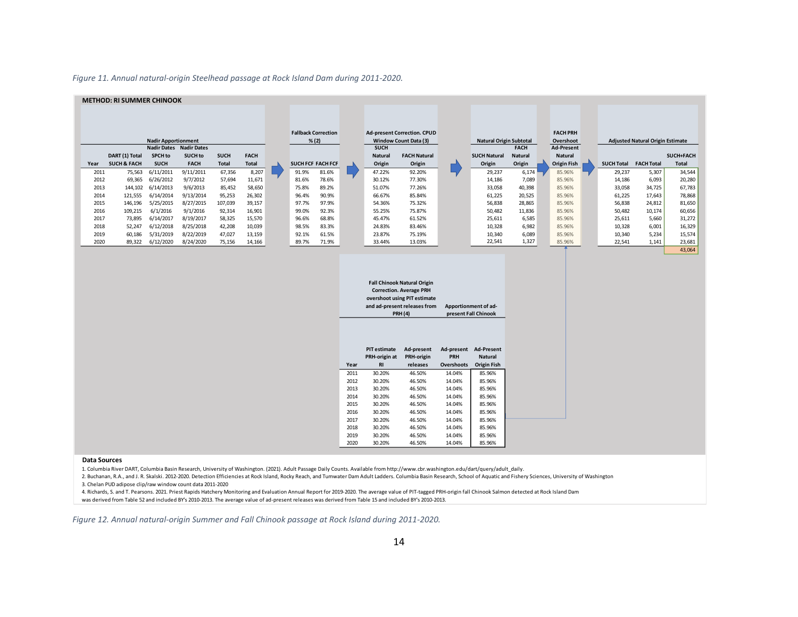#### *Figure 11. Annual natural-origin Steelhead passage at Rock Island Dam during 2011-2020.*

#### **METHOD: RI SUMMER CHINOOK**

|      |                        | <b>Nadir Apportionment</b> |                    |              |              |       | <b>Fallback Correction</b><br>% (2) |                | <b>Ad-present Correction. CPUD</b><br><b>Window Count Data (3)</b> | <b>Natural Origin Subtotal</b> |                | <b>FACH PRH</b><br>Overshoot |                   | <b>Adjusted Natural Origin Estimate</b> |              |
|------|------------------------|----------------------------|--------------------|--------------|--------------|-------|-------------------------------------|----------------|--------------------------------------------------------------------|--------------------------------|----------------|------------------------------|-------------------|-----------------------------------------|--------------|
|      |                        | <b>Nadir Dates</b>         | <b>Nadir Dates</b> |              |              |       |                                     | <b>SUCH</b>    |                                                                    |                                | <b>FACH</b>    | <b>Ad-Present</b>            |                   |                                         |              |
|      | DART (1) Total         | <b>SPCH</b> to             | SUCH to            | <b>SUCH</b>  | <b>FACH</b>  |       |                                     | <b>Natural</b> | <b>FACH Natural</b>                                                | <b>SUCH Natural</b>            | <b>Natural</b> | <b>Natural</b>               |                   |                                         | SUCH+FACH    |
| Year | <b>SUCH &amp; FACH</b> | <b>SUCH</b>                | <b>FACH</b>        | <b>Total</b> | <b>Total</b> |       | SUCH FCF FACH FCF                   | Origin         | Origin                                                             | Origin                         | Origin         | <b>Origin Fish</b>           | <b>SUCH Total</b> | <b>FACH Total</b>                       | <b>Total</b> |
| 2011 | 75,563                 | 6/11/2011                  | 9/11/2011          | 67,356       | 8,207        | 91.9% | 81.6%                               | 47.22%         | 92.20%                                                             | 29,237                         | 6,174          | 85.96%                       | 29,237            | 5,307                                   | 34,544       |
| 2012 | 69,365                 | 6/26/2012                  | 9/7/2012           | 57,694       | 11,671       | 81.6% | 78.6%                               | 30.12%         | 77.30%                                                             | 14,186                         | 7.089          | 85.96%                       | 14,186            | 6,093                                   | 20,280       |
| 2013 | 144.102                | 6/14/2013                  | 9/6/2013           | 85.452       | 58,650       | 75.8% | 89.2%                               | 51.07%         | 77.26%                                                             | 33,058                         | 40,398         | 85.96%                       | 33,058            | 34.725                                  | 67,783       |
| 2014 | 121,555                | 6/14/2014                  | 9/13/2014          | 95,253       | 26,302       | 96.4% | 90.9%                               | 66.67%         | 85.84%                                                             | 61,225                         | 20,525         | 85.96%                       | 61,225            | 17,643                                  | 78,868       |
| 2015 | 146,196                | 5/25/2015                  | 8/27/2015          | 107,039      | 39,157       | 97.7% | 97.9%                               | 54.36%         | 75.32%                                                             | 56.838                         | 28,865         | 85.96%                       | 56,838            | 24,812                                  | 81,650       |
| 2016 | 109,215                | 6/1/2016                   | 9/1/2016           | 92,314       | 16,901       | 99.0% | 92.3%                               | 55.25%         | 75.87%                                                             | 50,482                         | 11,836         | 85.96%                       | 50,482            | 10,174                                  | 60,656       |
| 2017 | 73,895                 | 6/14/2017                  | 8/19/2017          | 58,325       | 15,570       | 96.6% | 68.8%                               | 45.47%         | 61.52%                                                             | 25,611                         | 6,585          | 85.96%                       | 25,611            | 5,660                                   | 31,272       |
| 2018 | 52,247                 | 6/12/2018                  | 8/25/2018          | 42,208       | 10,039       | 98.5% | 83.3%                               | 24.83%         | 83.46%                                                             | 10,328                         | 6,982          | 85.96%                       | 10,328            | 6,001                                   | 16,329       |
| 2019 | 60,186                 | 5/31/2019                  | 8/22/2019          | 47,027       | 13,159       | 92.1% | 61.5%                               | 23.87%         | 75.19%                                                             | 10,340                         | 6,089          | 85.96%                       | 10,340            | 5,234                                   | 15,574       |
| 2020 | 89,322                 | 6/12/2020                  | 8/24/2020          | 75,156       | 14,166       | 89.7% | 71.9%                               | 33.44%         | 13.03%                                                             | 22,541                         | 1,327          | 85.96%                       | 22,541            | 1,141                                   | 23,681       |
|      |                        |                            |                    |              |              |       |                                     |                |                                                                    |                                |                |                              |                   |                                         | 43,064       |

|              |                                                   | <b>Fall Chinook Natural Origin</b><br><b>Correction. Average PRH</b><br>overshoot using PIT estimate<br>and ad-present releases from<br><b>PRH (4)</b> |                                               | Apportionment of ad-<br>present Fall Chinook |
|--------------|---------------------------------------------------|--------------------------------------------------------------------------------------------------------------------------------------------------------|-----------------------------------------------|----------------------------------------------|
| Year         | <b>PIT</b> estimate<br>PRH-origin at<br><b>RI</b> | Ad-present<br>PRH-origin<br>releases                                                                                                                   | Ad-present<br><b>PRH</b><br><b>Overshoots</b> | <b>Ad-Present</b><br><b>Natural</b>          |
|              |                                                   |                                                                                                                                                        |                                               | <b>Origin Fish</b>                           |
|              |                                                   |                                                                                                                                                        |                                               |                                              |
| 2011         | 30.20%                                            | 46.50%                                                                                                                                                 | 14.04%                                        | 85.96%                                       |
| 2012         | 30.20%                                            | 46.50%                                                                                                                                                 | 14.04%                                        | 85.96%                                       |
| 2013         | 30.20%                                            | 46.50%                                                                                                                                                 | 14.04%                                        | 85.96%                                       |
| 2014<br>2015 | 30.20%<br>30.20%                                  | 46.50%<br>46.50%                                                                                                                                       | 14.04%<br>14.04%                              | 85.96%<br>85.96%                             |
| 2016         | 30.20%                                            | 46.50%                                                                                                                                                 | 14.04%                                        | 85.96%                                       |
| 2017         | 30.20%                                            | 46.50%                                                                                                                                                 | 14.04%                                        | 85.96%                                       |
| 2018         | 30.20%                                            | 46.50%                                                                                                                                                 | 14.04%                                        | 85.96%                                       |
| 2019         | 30.20%                                            | 46.50%                                                                                                                                                 | 14.04%                                        | 85.96%                                       |

#### **Data Sources**

1. Columbia River DART, Columbia Basin Research, University of Washington. (2021). Adult Passage Daily Counts. Available from http://www.cbr.washington.edu/dart/query/adult\_daily.

2. Buchanan, R.A., and J. R. Skalski. 2012-2020. Detection Efficiencies at Rock Island, Rocky Reach, and Tumwater Dam Adult Ladders. Columbia Basin Research, School of Aquatic and Fishery Sciences, University of Washington

3. Chelan PUD adipose clip/raw window count data 2011-2020

4. Richards, S. and T. Pearsons. 2021. Priest Rapids Hatchery Monitoring and Evaluation Annual Report for 2019-2020. The average value of PIT-tagged PRH-origin fall Chinook Salmon detected at Rock Island Dam

was derived from Table 52 and included BY's 2010-2013. The average value of ad-present releases was derived from Table 15 and included BY's 2010-2013.

*Figure 12. Annual natural-origin Summer and Fall Chinook passage at Rock Island during 2011-2020.*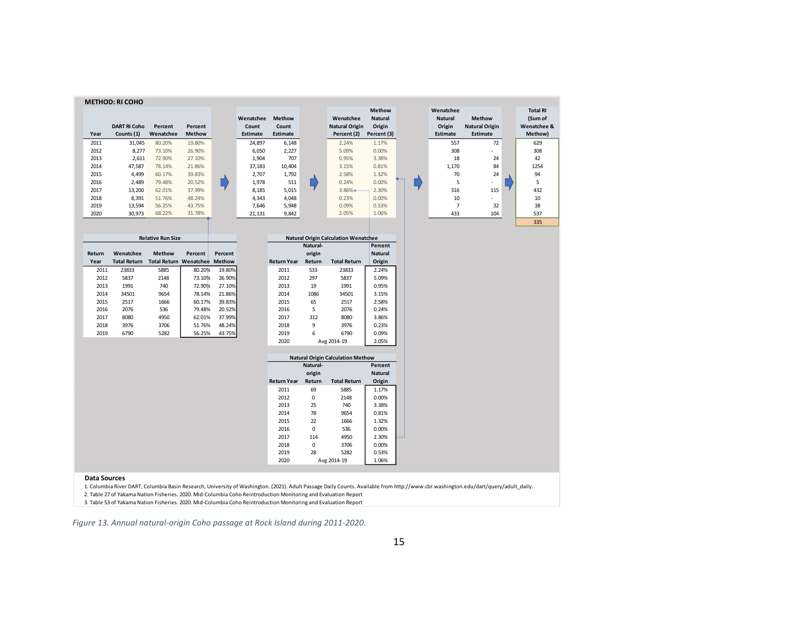| Year   | <b>METHOD: RI COHO</b><br><b>DART RI Coho</b><br>Counts (1) | Percent<br>Wenatchee          | Percent<br><b>Methow</b> |               | Wenatchee<br>Count<br><b>Estimate</b> | <b>Methow</b><br>Count<br><b>Estimate</b> |             | Wenatchee<br><b>Natural Origin</b><br>Percent (2) | <b>Methow</b><br><b>Natural</b><br>Origin<br>Percent (3) | Wenatchee<br><b>Natural</b><br>Origin<br><b>Estimate</b> | <b>Methow</b><br><b>Natural Origin</b><br><b>Estimate</b> | <b>Total RI</b><br>(Sum of<br>Wenatchee &<br>Methow) |
|--------|-------------------------------------------------------------|-------------------------------|--------------------------|---------------|---------------------------------------|-------------------------------------------|-------------|---------------------------------------------------|----------------------------------------------------------|----------------------------------------------------------|-----------------------------------------------------------|------------------------------------------------------|
| 2011   | 31,045                                                      | 80.20%                        | 19.80%                   |               | 24,897                                | 6,148                                     |             | 2.24%                                             | 1.17%                                                    | 557                                                      | 72                                                        | 629                                                  |
| 2012   | 8,277                                                       | 73.10%                        | 26.90%                   |               | 6,050                                 | 2,227                                     |             | 5.09%                                             | 0.00%                                                    | 308                                                      | ä,                                                        | 308                                                  |
| 2013   | 2,611                                                       | 72.90%                        | 27.10%                   |               | 1,904                                 | 707                                       |             | 0.95%                                             | 3.38%                                                    | 18                                                       | 24                                                        | 42                                                   |
| 2014   | 47,587                                                      | 78.14%                        | 21.86%                   |               | 37,183                                | 10,404                                    |             | 3.15%                                             | 0.81%                                                    | 1,170                                                    | 84                                                        | 1254                                                 |
| 2015   | 4,499                                                       | 60.17%                        | 39.83%                   |               | 2,707                                 | 1,792                                     |             | 2.58%                                             | 1.32%                                                    | 70                                                       | 24                                                        | 94                                                   |
| 2016   | 2,489                                                       | 79.48%                        | 20.52%                   |               | 1,978                                 | 511                                       |             | 0.24%                                             | 0.00%                                                    | 5                                                        |                                                           | 5                                                    |
| 2017   | 13,200                                                      | 62.01%                        | 37.99%                   |               | 8,185                                 | 5,015                                     |             | 3.86%                                             | 2.30%                                                    | 316                                                      | 115                                                       | 432                                                  |
| 2018   | 8,391                                                       | 51.76%                        | 48.24%                   |               | 4,343                                 | 4,048                                     |             | 0.23%                                             | 0.00%                                                    | 10                                                       | ٠                                                         | 10                                                   |
| 2019   | 13,594                                                      | 56.25%                        | 43.75%                   |               | 7,646                                 | 5,948                                     |             | 0.09%                                             | 0.53%                                                    | $\overline{7}$                                           | 32                                                        | 38                                                   |
| 2020   | 30,973                                                      | 68.22%                        | 31.78%                   |               | 21,131                                | 9,842                                     |             | 2.05%                                             | 1.06%                                                    | 433                                                      | 104                                                       | 537                                                  |
|        |                                                             |                               |                          |               |                                       |                                           |             |                                                   |                                                          |                                                          |                                                           | 335                                                  |
|        |                                                             | <b>Relative Run Size</b>      |                          |               |                                       |                                           |             | <b>Natural Origin Calculation Wenatchee</b>       |                                                          |                                                          |                                                           |                                                      |
|        |                                                             |                               |                          |               |                                       |                                           | Natural-    |                                                   | Percent                                                  |                                                          |                                                           |                                                      |
| Return | Wenatchee                                                   | <b>Methow</b>                 | Percent                  | Percent       |                                       |                                           | origin      |                                                   | <b>Natural</b>                                           |                                                          |                                                           |                                                      |
| Year   | <b>Total Return</b>                                         | <b>Total Return Wenatchee</b> |                          | <b>Methow</b> |                                       | <b>Return Year</b>                        | Return      | <b>Total Return</b>                               | Origin                                                   |                                                          |                                                           |                                                      |
| 2011   | 23833                                                       | 5885                          | 80.20%                   | 19.80%        |                                       | 2011                                      | 533         | 23833                                             | 2.24%                                                    |                                                          |                                                           |                                                      |
| 2012   | 5837                                                        | 2148                          | 73.10%                   | 26.90%        |                                       | 2012                                      | 297         | 5837                                              | 5.09%                                                    |                                                          |                                                           |                                                      |
| 2013   | 1991                                                        | 740                           | 72.90%                   | 27.10%        |                                       | 2013                                      | 19          | 1991                                              | 0.95%                                                    |                                                          |                                                           |                                                      |
| 2014   | 34501                                                       | 9654                          | 78.14%                   | 21.86%        |                                       | 2014                                      | 1086        | 34501                                             | 3.15%                                                    |                                                          |                                                           |                                                      |
| 2015   | 2517                                                        | 1666                          | 60.17%                   | 39.83%        |                                       | 2015                                      | 65          | 2517                                              | 2.58%                                                    |                                                          |                                                           |                                                      |
| 2016   | 2076                                                        | 536                           | 79.48%                   | 20.52%        |                                       | 2016                                      | 5           | 2076                                              | 0.24%                                                    |                                                          |                                                           |                                                      |
| 2017   | 8080                                                        | 4950                          | 62.01%                   | 37.99%        |                                       | 2017                                      | 312         | 8080                                              | 3.86%                                                    |                                                          |                                                           |                                                      |
| 2018   | 3976                                                        | 3706                          | 51.76%                   | 48.24%        |                                       | 2018                                      | 9           | 3976                                              | 0.23%                                                    |                                                          |                                                           |                                                      |
| 2019   | 6790                                                        | 5282                          | 56.25%                   | 43.75%        |                                       | 2019                                      | 6           | 6790                                              | 0.09%                                                    |                                                          |                                                           |                                                      |
|        |                                                             |                               |                          |               |                                       | 2020                                      |             | Avg 2014-19                                       | 2.05%                                                    |                                                          |                                                           |                                                      |
|        |                                                             |                               |                          |               |                                       |                                           |             |                                                   |                                                          |                                                          |                                                           |                                                      |
|        |                                                             |                               |                          |               |                                       |                                           |             | <b>Natural Origin Calculation Methow</b>          |                                                          |                                                          |                                                           |                                                      |
|        |                                                             |                               |                          |               |                                       |                                           | Natural-    |                                                   | Percent                                                  |                                                          |                                                           |                                                      |
|        |                                                             |                               |                          |               |                                       |                                           | origin      |                                                   | <b>Natural</b>                                           |                                                          |                                                           |                                                      |
|        |                                                             |                               |                          |               |                                       | <b>Return Year</b>                        | Return      | <b>Total Return</b>                               | Origin                                                   |                                                          |                                                           |                                                      |
|        |                                                             |                               |                          |               |                                       | 2011                                      | 69          | 5885                                              | 1.17%                                                    |                                                          |                                                           |                                                      |
|        |                                                             |                               |                          |               |                                       | 2012                                      | 0           | 2148                                              | 0.00%                                                    |                                                          |                                                           |                                                      |
|        |                                                             |                               |                          |               |                                       | 2013                                      | 25          | 740                                               | 3.38%                                                    |                                                          |                                                           |                                                      |
|        |                                                             |                               |                          |               |                                       | 2014                                      | 78          | 9654                                              | 0.81%                                                    |                                                          |                                                           |                                                      |
|        |                                                             |                               |                          |               |                                       | 2015                                      | 22          | 1666                                              | 1.32%                                                    |                                                          |                                                           |                                                      |
|        |                                                             |                               |                          |               |                                       | 2016                                      | 0           | 536                                               | 0.00%                                                    |                                                          |                                                           |                                                      |
|        |                                                             |                               |                          |               |                                       | 2017                                      | 114         | 4950                                              | 2.30%                                                    |                                                          |                                                           |                                                      |
|        |                                                             |                               |                          |               |                                       | 2018                                      | $\mathsf 0$ | 3706                                              | 0.00%                                                    |                                                          |                                                           |                                                      |
|        |                                                             |                               |                          |               |                                       | 2019<br>2020                              | 28          | 5282<br>Avg 2014-19                               | 0.53%<br>1.06%                                           |                                                          |                                                           |                                                      |

1. Columbia River DART, Columbia Basin Research, University of Washington. (2021). Adult Passage Daily Counts. Available from http://www.cbr.washington.edu/dart/query/adult\_daily.

2. Table 27 of Yakama Nation Fisheries. 2020. Mid-Columbia Coho Reintroduction Monitoring and Evaluation Report

3. Table 53 of Yakama Nation Fisheries. 2020. Mid-Columbia Coho Reintroduction Monitoring and Evaluation Report

*Figure 13. Annual natural-origin Coho passage at Rock Island during 2011-2020.*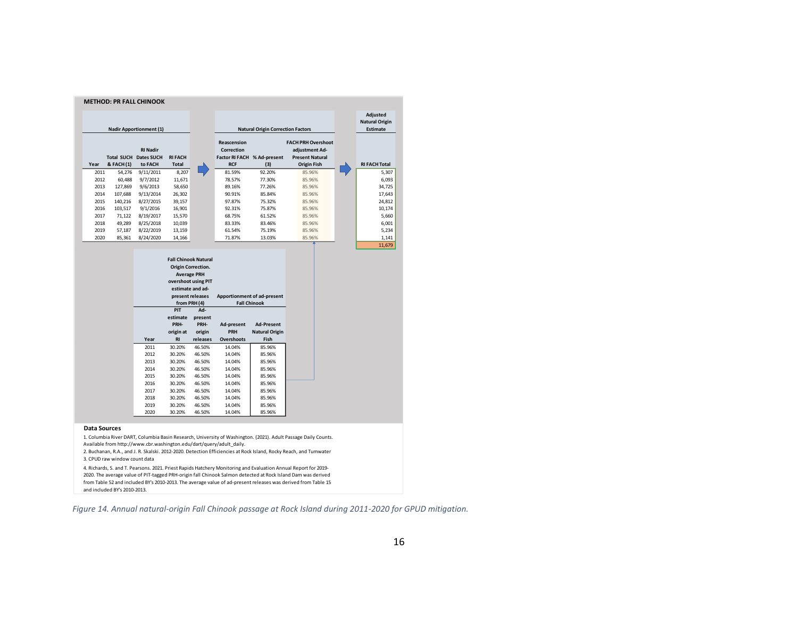|      |            | <b>Nadir Apportionment (1)</b>                      |                         |                                                                                   |                                                                        | <b>Natural Origin Correction Factors</b> |                                                                                             | Adjusted<br>Natural Origin<br>Estimate |
|------|------------|-----------------------------------------------------|-------------------------|-----------------------------------------------------------------------------------|------------------------------------------------------------------------|------------------------------------------|---------------------------------------------------------------------------------------------|----------------------------------------|
| Year | & FACH (1) | <b>RI Nadir</b><br>Total SUCH Dates SUCH<br>to FACH | <b>RI FACH</b><br>Total |                                                                                   | Reascension<br>Correction<br>Factor RI FACH % Ad-present<br><b>RCF</b> | (3)                                      | <b>FACH PRH Overshoot</b><br>adjustment Ad-<br><b>Present Natural</b><br><b>Origin Fish</b> | <b>RI FACH Total</b>                   |
| 2011 | 54,276     | 9/11/2011                                           | 8,207                   |                                                                                   | 81.59%                                                                 | 92.20%                                   | 85.96%                                                                                      | 5,307                                  |
| 2012 | 60,488     | 9/7/2012                                            | 11,671                  |                                                                                   | 78.57%                                                                 | 77.30%                                   | 85.96%                                                                                      | 6,093                                  |
| 2013 | 127,869    | 9/6/2013                                            | 58,650                  |                                                                                   | 89.16%                                                                 | 77.26%                                   | 85.96%                                                                                      | 34,725                                 |
| 2014 | 107,688    | 9/13/2014                                           | 26,302                  |                                                                                   | 90.91%                                                                 | 85.84%                                   | 85.96%                                                                                      | 17,643                                 |
| 2015 | 140,216    | 8/27/2015                                           | 39,157                  |                                                                                   | 97.87%                                                                 | 75.32%                                   | 85.96%                                                                                      | 24,812                                 |
| 2016 | 103,517    | 9/1/2016                                            | 16,901                  |                                                                                   | 92.31%                                                                 | 75.87%                                   | 85.96%                                                                                      | 10,174                                 |
| 2017 | 71,122     | 8/19/2017                                           | 15,570                  |                                                                                   | 68.75%                                                                 | 61.52%                                   | 85.96%                                                                                      | 5,660                                  |
| 2018 | 49,289     | 8/25/2018                                           | 10,039                  |                                                                                   | 83.33%                                                                 | 83.46%                                   | 85.96%                                                                                      | 6,001                                  |
| 2019 | 57,187     | 8/22/2019                                           | 13,159                  |                                                                                   | 61.54%                                                                 | 75.19%                                   | 85.96%                                                                                      | 5,234                                  |
| 2020 | 85,361     | 8/24/2020                                           | 14,166                  |                                                                                   | 71.87%                                                                 | 13.03%                                   | 85.96%                                                                                      | 1,141                                  |
|      |            |                                                     |                         | <b>Average PRH</b><br>overshoot using PIT<br>estimate and ad-<br>present releases | <b>Apportionment of ad-present</b>                                     |                                          |                                                                                             |                                        |
|      |            |                                                     |                         | from PRH (4)                                                                      |                                                                        | <b>Fall Chinook</b>                      |                                                                                             |                                        |
|      |            |                                                     | PIT                     | Ad-                                                                               |                                                                        |                                          |                                                                                             |                                        |
|      |            |                                                     | estimate                | present                                                                           |                                                                        |                                          |                                                                                             |                                        |
|      |            |                                                     | PRH-                    | PRH-                                                                              | Ad-present                                                             | <b>Ad-Present</b>                        |                                                                                             |                                        |
|      |            |                                                     | origin at               | origin                                                                            | <b>PRH</b>                                                             | <b>Natural Origin</b>                    |                                                                                             |                                        |
|      |            | Year                                                | RI                      | releases                                                                          | <b>Overshoots</b>                                                      | Fish                                     |                                                                                             |                                        |
|      |            | 2011                                                | 30.20%                  | 46.50%                                                                            | 14.04%                                                                 | 85.96%                                   |                                                                                             |                                        |
|      |            | 2012                                                | 30.20%                  | 46.50%                                                                            | 14.04%                                                                 | 85.96%                                   |                                                                                             |                                        |
|      |            | 2013                                                | 30.20%                  | 46.50%                                                                            | 14.04%                                                                 | 85.96%                                   |                                                                                             |                                        |
|      |            | 2014                                                | 30.20%                  | 46.50%                                                                            | 14.04%                                                                 | 85.96%                                   |                                                                                             |                                        |
|      |            | 2015                                                | 30.20%                  | 46.50%                                                                            | 14.04%                                                                 | 85.96%                                   |                                                                                             |                                        |
|      |            |                                                     |                         |                                                                                   |                                                                        |                                          |                                                                                             |                                        |
|      |            | 2016                                                | 30.20%                  | 46.50%                                                                            | 14.04%                                                                 | 85.96%                                   |                                                                                             |                                        |
|      |            | 2017                                                | 30.20%                  | 46.50%                                                                            | 14.04%                                                                 | 85.96%                                   |                                                                                             |                                        |
|      |            | 2018                                                | 30.20%                  | 46.50%                                                                            | 14.04%                                                                 | 85.96%                                   |                                                                                             |                                        |
|      |            | 2019<br>2020                                        | 30.20%<br>30.20%        | 46.50%<br>46.50%                                                                  | 14.04%<br>14.04%                                                       | 85.96%<br>85.96%                         |                                                                                             |                                        |

1. Columbia River DART, Columbia Basin Research, University of Washington. (2021). Adult Passage Daily Counts. Available from http://www.cbr.washington.edu/dart/query/adult\_daily.

3. CPUD raw window count data 2. Buchanan, R.A., and J. R. Skalski. 2012-2020. Detection Efficiencies at Rock Island, Rocky Reach, and Tumwater

4. Richards, S. and T. Pearsons. 2021. Priest Rapids Hatchery Monitoring and Evaluation Annual Report for 2019- 2020. The average value of PIT-tagged PRH-origin fall Chinook Salmon detected at Rock Island Dam was derived from Table 52 and included BY's 2010-2013. The average value of ad-present releases was derived from Table 15 and included BY's 2010-2013.

*Figure 14. Annual natural-origin Fall Chinook passage at Rock Island during 2011-2020 for GPUD mitigation.*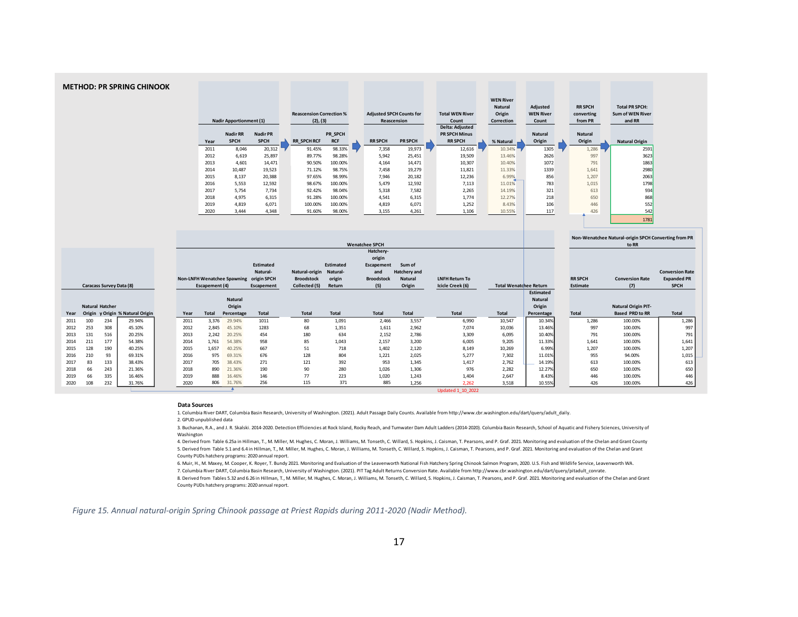|              |                          | <b>METHOD: PR SPRING CHINOOK</b> |              |                       |                                |                                |                    |                                 |                                                |                     |                                        |                                                            |                                       |                                         |                                                            |                        |
|--------------|--------------------------|----------------------------------|--------------|-----------------------|--------------------------------|--------------------------------|--------------------|---------------------------------|------------------------------------------------|---------------------|----------------------------------------|------------------------------------------------------------|---------------------------------------|-----------------------------------------|------------------------------------------------------------|------------------------|
|              |                          |                                  |              |                       | <b>Nadir Apportionment (1)</b> |                                | (2), (3)           | <b>Reascension Correction %</b> | <b>Adjusted SPCH Counts for</b><br>Reascension |                     | <b>Total WEN River</b><br>Count        | <b>WEN River</b><br><b>Natural</b><br>Origin<br>Correction | Adjusted<br><b>WEN River</b><br>Count | <b>RR SPCH</b><br>converting<br>from PR | <b>Total PR SPCH:</b><br><b>Sum of WEN River</b><br>and RR |                        |
|              |                          |                                  |              |                       |                                |                                |                    |                                 |                                                |                     | Delta: Adjusted                        |                                                            |                                       |                                         |                                                            |                        |
|              |                          |                                  |              | Year                  | <b>Nadir RR</b><br><b>SPCH</b> | <b>Nadir PR</b><br><b>SPCH</b> | <b>RR SPCH RCF</b> | PR SPCH<br><b>RCF</b>           | <b>RR SPCH</b>                                 | <b>PR SPCH</b>      | <b>PR SPCH Minus</b><br><b>RR SPCH</b> | % Natural                                                  | <b>Natural</b><br>Origin              | <b>Natural</b><br>Origin                | <b>Natural Origin</b>                                      |                        |
|              |                          |                                  |              | 2011                  | 8,046                          | 20,312                         | 91.45%             | 98.33%                          | 7,358                                          | 19,973              | 12,616                                 | 10.34%                                                     | 1305                                  | 1,286                                   | 2591                                                       |                        |
|              |                          |                                  |              | 2012                  | 6,619                          | 25,897                         | 89.77%             | 98.28%                          | 5,942                                          | 25,451              | 19,509                                 | 13.46%                                                     | 2626                                  | 997                                     | 3623                                                       |                        |
|              |                          |                                  |              | 2013                  | 4,601                          | 14,471                         | 90.50%             | 100.00%                         | 4,164                                          | 14,471              | 10,307                                 | 10.40%                                                     | 1072                                  | 791                                     | 1863                                                       |                        |
|              |                          |                                  |              | 2014                  | 10,487                         | 19,523                         | 71.12%             | 98.75%                          | 7,458                                          | 19,279              | 11,821                                 | 11.33%                                                     | 1339                                  | 1,641                                   | 2980                                                       |                        |
|              |                          |                                  |              | 2015                  | 8,137                          | 20,388                         | 97.65%             | 98.99%                          | 7,946                                          | 20,182              | 12,236                                 | 6.99%                                                      | 856                                   | 1,207                                   | 2063                                                       |                        |
|              |                          |                                  |              | 2016                  | 5,553                          | 12,592                         | 98.67%             | 100.00%                         | 5,479                                          | 12,592              | 7,113                                  | 11.01%                                                     | 783                                   | 1,015                                   | 1798                                                       |                        |
|              |                          |                                  |              | 2017                  | 5,754                          | 7,734                          | 92.42%             | 98.04%                          | 5,318                                          | 7,582               | 2,265                                  | 14.19%<br>12.27%                                           | 321                                   | 613                                     | 934<br>868                                                 |                        |
|              |                          |                                  |              | 2018<br>2019          | 4,975<br>4,819                 | 6,315<br>6,071                 | 91.28%<br>100.00%  | 100.00%<br>100.00%              | 4,541<br>4,819                                 | 6,315<br>6,071      | 1,774<br>1,252                         | 8.43%                                                      | 218<br>106                            | 650<br>446                              | 552                                                        |                        |
|              |                          |                                  |              | 2020                  | 3.444                          | 4,348                          | 91.60%             | 98.00%                          | 3.155                                          | 4,261               | 1,106                                  | 10.55%                                                     | 117                                   | 426                                     | 542                                                        |                        |
|              |                          |                                  |              |                       |                                |                                |                    |                                 |                                                |                     |                                        |                                                            |                                       |                                         | 1781                                                       |                        |
|              |                          |                                  |              |                       |                                |                                |                    |                                 |                                                |                     |                                        |                                                            |                                       |                                         |                                                            |                        |
|              |                          |                                  |              |                       |                                |                                |                    |                                 |                                                |                     |                                        |                                                            |                                       |                                         |                                                            |                        |
|              |                          |                                  |              |                       |                                |                                |                    |                                 |                                                |                     |                                        |                                                            |                                       |                                         | Non-Wenatchee Natural-origin SPCH Converting from PR       |                        |
|              |                          |                                  |              |                       |                                |                                |                    |                                 | <b>Wenatchee SPCH</b><br>Hatchery-             |                     |                                        |                                                            |                                       |                                         | to RR                                                      |                        |
|              |                          |                                  |              |                       |                                |                                |                    |                                 | origin                                         |                     |                                        |                                                            |                                       |                                         |                                                            |                        |
|              |                          |                                  |              |                       |                                | Estimated                      |                    | <b>Estimated</b>                | Escapement                                     | Sum of              |                                        |                                                            |                                       |                                         |                                                            |                        |
|              |                          |                                  |              |                       |                                | Natural-                       | Natural-origin     | Natural-                        | and                                            | <b>Hatchery</b> and |                                        |                                                            |                                       |                                         |                                                            | <b>Conversion Rate</b> |
|              |                          |                                  |              |                       | Non-LNFH Wenatchee Spawning    | origin SPCH                    | <b>Broodstock</b>  | origin                          | <b>Broodstock</b>                              | Natural             | <b>LNFH Return To</b>                  |                                                            |                                       | <b>RR SPCH</b>                          | <b>Conversion Rate</b>                                     | <b>Expanded PR</b>     |
|              | Caracass Survey Data (8) |                                  |              | <b>Escapement</b> (4) |                                | Escapement                     | Collected (5)      | Return                          | (5)                                            | Origin              | Icicle Creek (6)                       | <b>Total Wenatchee Return</b>                              |                                       | <b>Estimate</b>                         | (7)                                                        | <b>SPCH</b>            |
|              |                          |                                  |              |                       |                                |                                |                    |                                 |                                                |                     |                                        |                                                            | <b>Estimated</b>                      |                                         |                                                            |                        |
|              | <b>Natural Hatcher</b>   |                                  |              |                       | Natural<br>Origin              |                                |                    |                                 |                                                |                     |                                        |                                                            | Natural<br>Origin                     |                                         | <b>Natural Origin PIT-</b>                                 |                        |
| Year         |                          | Origin y Origin % Natural Origin | Year         | <b>Total</b>          | Percentage                     | <b>Total</b>                   | <b>Total</b>       | Total                           | Total                                          | Total               | <b>Total</b>                           | Total                                                      | Percentage                            | <b>Total</b>                            | <b>Based PRD to RR</b>                                     | <b>Total</b>           |
| 2011<br>100  | 234                      | 29.94%                           | 2011         | 3,376                 | 29.94%                         | 1011                           | 80                 | 1,091                           | 2,466                                          | 3,557               | 6,990                                  | 10,547                                                     | 10.34%                                | 1,286                                   | 100.00%                                                    | 1,286                  |
| 2012<br>253  | 308                      | 45.10%                           | 2012         | 2,845                 | 45.10%                         | 1283                           | 68                 | 1,351                           | 1,611                                          | 2,962               | 7,074                                  | 10,036                                                     | 13.46%                                | 997                                     | 100.00%                                                    | 997                    |
| 2013         | 131<br>516               | 20.25%                           | 2013         | 2,242                 | 20.25%                         | 454                            | 180                | 634                             | 2,152                                          | 2,786               | 3,309                                  | 6,095                                                      | 10.40%                                | 791                                     | 100.00%                                                    | 791                    |
|              | 177                      | 54.38%                           | 2014         | 1,761                 | 54.38%                         | 958                            | 85                 | 1,043                           | 2,157                                          | 3,200               | 6,005                                  | 9,205                                                      | 11.33%                                | 1,641                                   | 100.00%                                                    | 1,641                  |
| 211<br>2014  |                          | 40.25%                           | 2015         | 1,657                 | 40.25%                         | 667                            | 51                 | 718                             | 1,402                                          | 2,120               | 8,149                                  | 10,269                                                     | 6.99%                                 | 1,207                                   | 100.00%                                                    | 1,207                  |
| 128<br>2015  | 190                      |                                  |              |                       |                                |                                |                    |                                 |                                                |                     |                                        |                                                            |                                       |                                         |                                                            |                        |
| 210<br>2016  | 93                       | 69.31%                           | 2016         | 975                   | 69.31%                         | 676                            | 128                | 804                             | 1,221                                          | 2,025               | 5,277                                  | 7,302                                                      | 11.01%                                | 955                                     | 94.00%                                                     | 1,015                  |
| 2017<br>2018 | 83<br>133<br>66<br>243   | 38.43%<br>21.36%                 | 2017<br>2018 | 705<br>890            | 38.43%<br>21.36%               | 271<br>190                     | 121<br>90          | 392<br>280                      | 953<br>1.026                                   | 1,345<br>1.306      | 1,417<br>976                           | 2,762<br>2.282                                             | 14.19%<br>12.27%                      | 613<br>650                              | 100.00%<br>100.00%                                         | 613<br>650             |

1. Columbia River DART, Columbia Basin Research, University of Washington. (2021). Adult Passage Daily Counts. Available from http://www.cbr.washington.edu/dart/query/adult\_daily. 2. GPUD unpublished data

2019 66 335 | 16.46% | 2019 888 16.46% 146 77 223 1,020 1,243 1,404 2,647 | 8.43% | 446 100.00% | 446 2020 108 232 31.76% 2020 806 31.76% 256 115 371 885 1,256 2,262 3,518 10.55% 426 100.00% 426

3. Buchanan, R.A., and J. R. Skalski. 2014-2020. Detection Efficiencies at Rock Island, Rocky Reach, and Tumwater Dam Adult Ladders (2014-2020). Columbia Basin Research, School of Aquatic and Fishery Sciences, University o

ated 1\_10\_2022

4. Derived from Table 6.25a in Hillman, T., M. Miller, M. Hughes, C. Moran, J. Williams, M. Tonseth, C. Willard, S. Hopkins, J. Caisman, T. Pearsons, and P. Graf. 2021. Monitoring and evaluation of the Chelan and Grant Cou 5. Derived from Table 5.1 and 6.4 in Hillman, T., M. Miller, M. Hughes, C. Moran, J. Williams, M. Tonseth, C. Willard, S. Hopkins, J. Caisman, T. Pearsons, and P. Graf. 2021. Monitoring and evaluation of the Chelan and Grant County PUDs hatchery programs: 2020 annual report.

6. Muir, H., M. Maxey, M. Cooper, K. Royer, T. Bundy 2021. Monitoring and Evaluation of the Leavenworth National Fish Hatchery Spring Chinook Salmon Program, 2020. U.S. Fish and Wildlife Service, Leavenworth WA. 7. Columbia River DART, Columbia Basin Research, University of Washington. (2021). PIT Tag Adult Returns Conversion Rate. Available from http://www.cbr.washington.edu/dart/query/pitadult\_conrate.

8. Derived from Tables 5.32 and 6.26 in Hillman, T., M. Miller, M. Hughes, C. Moran, J. Williams, M. Tonseth, C. Willard, S. Hopkins, J. Caisman, T. Pearsons, and P. Graf. 2021. Monitoring and evaluation of the Chelan and County PUDs hatchery programs: 2020 annual report.

*Figure 15. Annual natural-origin Spring Chinook passage at Priest Rapids during 2011-2020 (Nadir Method).*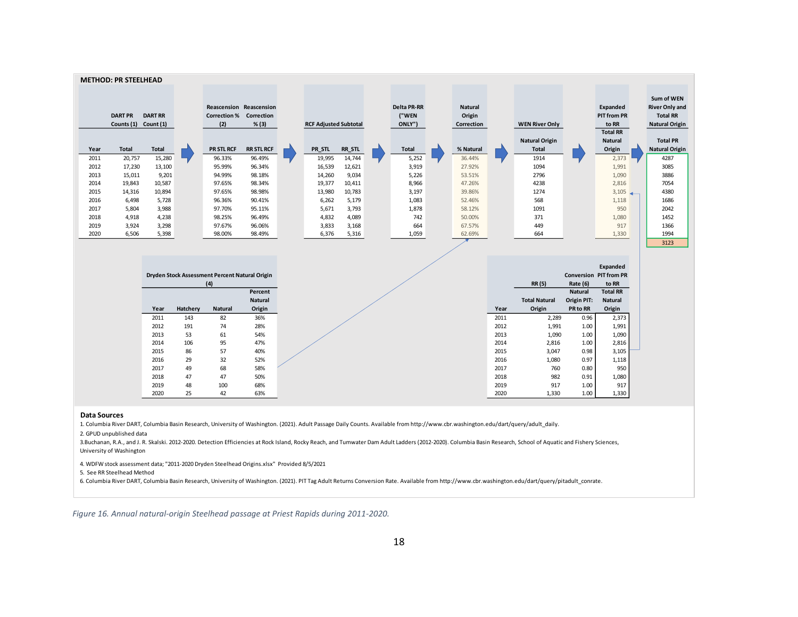|      | <b>METHOD: PR STEELHEAD</b>            |                |                            |                                                       |                              |        |                                       |                                        |                       |                                                            |                          |                                                                                 |
|------|----------------------------------------|----------------|----------------------------|-------------------------------------------------------|------------------------------|--------|---------------------------------------|----------------------------------------|-----------------------|------------------------------------------------------------|--------------------------|---------------------------------------------------------------------------------|
|      | <b>DART PR</b><br>Counts (1) Count (1) | <b>DART RR</b> | <b>Correction %</b><br>(2) | <b>Reascension Reascension</b><br>Correction<br>% (3) | <b>RCF Adjusted Subtotal</b> |        | <b>Delta PR-RR</b><br>("WEN<br>ONLY") | <b>Natural</b><br>Origin<br>Correction | <b>WEN River Only</b> | Expanded<br><b>PIT from PR</b><br>to RR<br><b>Total RR</b> |                          | Sum of WEN<br><b>River Only and</b><br><b>Total RR</b><br><b>Natural Origin</b> |
|      |                                        |                |                            |                                                       |                              |        |                                       |                                        | <b>Natural Origin</b> | <b>Natural</b>                                             |                          | <b>Total PR</b>                                                                 |
| Year | <b>Total</b>                           | Total          | <b>PR STL RCF</b>          | <b>RR STL RCF</b>                                     | PR_STL                       | RR_STL | <b>Total</b>                          | % Natural                              | Total                 | Origin                                                     |                          | <b>Natural Origin</b>                                                           |
| 2011 | 20,757                                 | 15,280         | 96.33%                     | 96.49%                                                | 19,995                       | 14,744 | 5,252                                 | 36.44%                                 | 1914                  | 2,373                                                      |                          | 4287                                                                            |
| 2012 | 17,230                                 | 13,100         | 95.99%                     | 96.34%                                                | 16,539                       | 12,621 | 3,919                                 | 27.92%                                 | 1094                  | 1,991                                                      |                          | 3085                                                                            |
| 2013 | 15,011                                 | 9,201          | 94.99%                     | 98.18%                                                | 14,260                       | 9,034  | 5,226                                 | 53.51%                                 | 2796                  | 1,090                                                      |                          | 3886                                                                            |
| 2014 | 19,843                                 | 10,587         | 97.65%                     | 98.34%                                                | 19,377                       | 10,411 | 8,966                                 | 47.26%                                 | 4238                  | 2,816                                                      |                          | 7054                                                                            |
| 2015 | 14,316                                 | 10,894         | 97.65%                     | 98.98%                                                | 13,980                       | 10,783 | 3,197                                 | 39.86%                                 | 1274                  | 3,105                                                      | $\overline{\phantom{a}}$ | 4380                                                                            |
| 2016 | 6,498                                  | 5,728          | 96.36%                     | 90.41%                                                | 6,262                        | 5,179  | 1,083                                 | 52.46%                                 | 568                   | 1,118                                                      |                          | 1686                                                                            |
| 2017 | 5,804                                  | 3,988          | 97.70%                     | 95.11%                                                | 5,671                        | 3,793  | 1,878                                 | 58.12%                                 | 1091                  | 950                                                        |                          | 2042                                                                            |
| 2018 | 4,918                                  | 4,238          | 98.25%                     | 96.49%                                                | 4,832                        | 4,089  | 742                                   | 50.00%                                 | 371                   | 1,080                                                      |                          | 1452                                                                            |
| 2019 | 3,924                                  | 3,298          | 97.67%                     | 96.06%                                                | 3,833                        | 3,168  | 664                                   | 67.57%                                 | 449                   | 917                                                        |                          | 1366                                                                            |
| 2020 | 6,506                                  | 5,398          | 98.00%                     | 98.49%                                                | 6,376                        | 5,316  | 1,059                                 | 62.69%                                 | 664                   | 1,330                                                      |                          | 1994                                                                            |
|      |                                        |                |                            |                                                       |                              |        |                                       |                                        |                       |                                                            |                          | 3123                                                                            |

|      |                                                |                |                |      |                      |             | Expanded                      |
|------|------------------------------------------------|----------------|----------------|------|----------------------|-------------|-------------------------------|
|      | Dryden Stock Assessment Percent Natural Origin |                |                |      |                      |             | <b>Conversion PIT from PR</b> |
|      |                                                | (4)            |                |      | <b>RR</b> (5)        | Rate (6)    | to RR                         |
|      |                                                |                | Percent        |      |                      | Natural     | <b>Total RR</b>               |
|      |                                                |                | <b>Natural</b> |      | <b>Total Natural</b> | Origin PIT: | <b>Natural</b>                |
| Year | Hatchery                                       | <b>Natural</b> | Origin         | Year | Origin               | PR to RR    | Origin                        |
| 2011 | 143                                            | 82             | 36%            | 2011 | 2,289                | 0.96        | 2,373                         |
| 2012 | 191                                            | 74             | 28%            | 2012 | 1,991                | 1.00        | 1,991                         |
| 2013 | 53                                             | 61             | 54%            | 2013 | 1,090                | 1.00        | 1,090                         |
| 2014 | 106                                            | 95             | 47%            | 2014 | 2,816                | 1.00        | 2,816                         |
| 2015 | 86                                             | 57             | 40%            | 2015 | 3,047                | 0.98        | 3,105                         |
| 2016 | 29                                             | 32             | 52%            | 2016 | 1,080                | 0.97        | 1,118                         |
| 2017 | 49                                             | 68             | 58%            | 2017 | 760                  | 0.80        | 950                           |
| 2018 | 47                                             | 47             | 50%            | 2018 | 982                  | 0.91        | 1,080                         |
| 2019 | 48                                             | 100            | 68%            | 2019 | 917                  | 1.00        | 917                           |
| 2020 | 25                                             | 42             | 63%            | 2020 | 1,330                | 1.00        | 1,330                         |

1. Columbia River DART, Columbia Basin Research, University of Washington. (2021). Adult Passage Daily Counts. Available from http://www.cbr.washington.edu/dart/query/adult\_daily.

2. GPUD unpublished data

3.Buchanan, R.A., and J. R. Skalski. 2012-2020. Detection Efficiencies at Rock Island, Rocky Reach, and Tumwater Dam Adult Ladders (2012-2020). Columbia Basin Research, School of Aquatic and Fishery Sciences, University of Washington

4. WDFW stock assessment data; "2011-2020 Dryden Steelhead Origins.xlsx" Provided 8/5/2021

5. See RR Steelhead Method

6. Columbia River DART, Columbia Basin Research, University of Washington. (2021). PIT Tag Adult Returns Conversion Rate. Available from http://www.cbr.washington.edu/dart/query/pitadult\_conrate.

*Figure 16. Annual natural-origin Steelhead passage at Priest Rapids during 2011-2020.*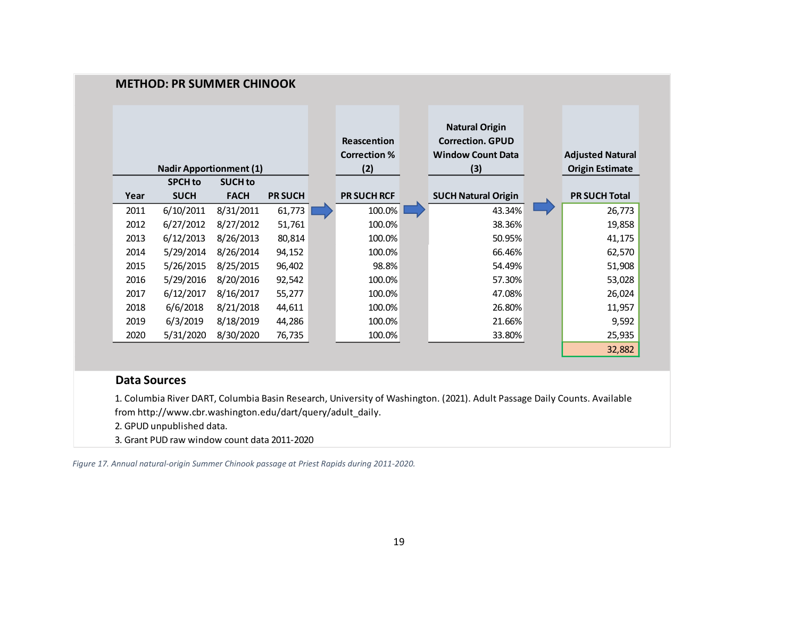|      | <b>METHOD: PR SUMMER CHINOOK</b>                 |                |                |                                                  |                                                                                     |                                                   |
|------|--------------------------------------------------|----------------|----------------|--------------------------------------------------|-------------------------------------------------------------------------------------|---------------------------------------------------|
|      | <b>Nadir Apportionment (1)</b><br><b>SPCH</b> to | <b>SUCH to</b> |                | <b>Reascention</b><br><b>Correction %</b><br>(2) | <b>Natural Origin</b><br><b>Correction, GPUD</b><br><b>Window Count Data</b><br>(3) | <b>Adjusted Natural</b><br><b>Origin Estimate</b> |
| Year | <b>SUCH</b>                                      | <b>FACH</b>    | <b>PR SUCH</b> | <b>PR SUCH RCF</b>                               | <b>SUCH Natural Origin</b>                                                          | <b>PR SUCH Total</b>                              |
| 2011 | 6/10/2011                                        | 8/31/2011      | 61,773         | 100.0%                                           | 43.34%                                                                              | 26,773                                            |
| 2012 | 6/27/2012                                        | 8/27/2012      | 51,761         | 100.0%                                           | 38.36%                                                                              | 19,858                                            |
| 2013 | 6/12/2013                                        | 8/26/2013      | 80,814         | 100.0%                                           | 50.95%                                                                              | 41,175                                            |
| 2014 | 5/29/2014                                        | 8/26/2014      | 94,152         | 100.0%                                           | 66.46%                                                                              | 62,570                                            |
| 2015 | 5/26/2015                                        | 8/25/2015      | 96,402         | 98.8%                                            | 54.49%                                                                              | 51,908                                            |
| 2016 | 5/29/2016                                        | 8/20/2016      | 92,542         | 100.0%                                           | 57.30%                                                                              | 53,028                                            |
| 2017 | 6/12/2017                                        | 8/16/2017      | 55,277         | 100.0%                                           | 47.08%                                                                              | 26,024                                            |
| 2018 | 6/6/2018                                         | 8/21/2018      | 44,611         | 100.0%                                           | 26.80%                                                                              | 11,957                                            |
| 2019 | 6/3/2019                                         | 8/18/2019      | 44,286         | 100.0%                                           | 21.66%                                                                              | 9,592                                             |
| 2020 | 5/31/2020                                        | 8/30/2020      | 76,735         | 100.0%                                           | 33.80%                                                                              | 25,935                                            |
|      |                                                  |                |                |                                                  |                                                                                     | 32,882                                            |

1. Columbia River DART, Columbia Basin Research, University of Washington. (2021). Adult Passage Daily Counts. Available from http://www.cbr.washington.edu/dart/query/adult\_daily.

2. GPUD unpublished data.

3. Grant PUD raw window count data 2011-2020

*Figure 17. Annual natural-origin Summer Chinook passage at Priest Rapids during 2011-2020.*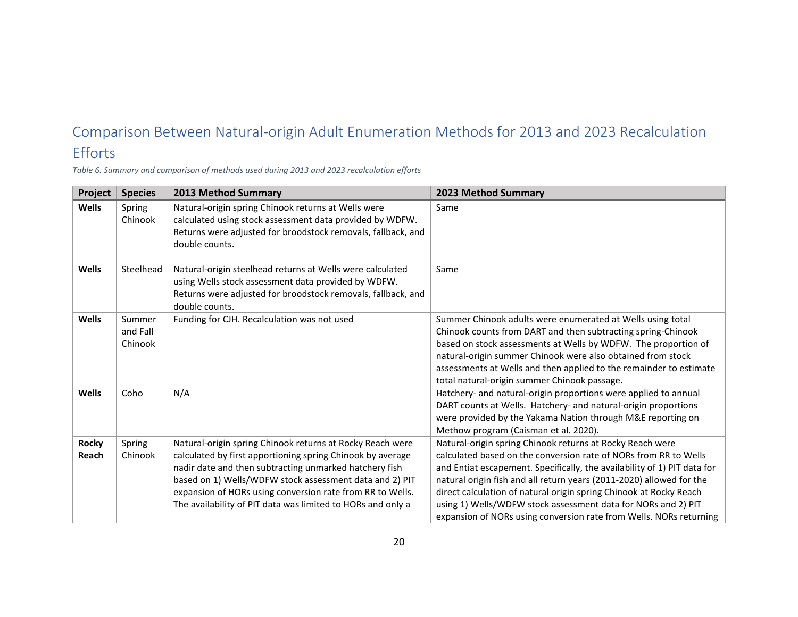## Comparison Between Natural-origin Adult Enumeration Methods for 2013 and 2023 Recalculation Efforts

*Table 6. Summary and comparison of methods used during 2013 and 2023 recalculation efforts*

| Project               | <b>Species</b>                | 2013 Method Summary                                                                                                                                                                                                                                                                                                                                                      | 2023 Method Summary                                                                                                                                                                                                                                                                                                                                                                                                                                                                            |
|-----------------------|-------------------------------|--------------------------------------------------------------------------------------------------------------------------------------------------------------------------------------------------------------------------------------------------------------------------------------------------------------------------------------------------------------------------|------------------------------------------------------------------------------------------------------------------------------------------------------------------------------------------------------------------------------------------------------------------------------------------------------------------------------------------------------------------------------------------------------------------------------------------------------------------------------------------------|
| Wells                 | Spring<br>Chinook             | Natural-origin spring Chinook returns at Wells were<br>calculated using stock assessment data provided by WDFW.<br>Returns were adjusted for broodstock removals, fallback, and<br>double counts.                                                                                                                                                                        | Same                                                                                                                                                                                                                                                                                                                                                                                                                                                                                           |
| Wells                 | Steelhead                     | Natural-origin steelhead returns at Wells were calculated<br>using Wells stock assessment data provided by WDFW.<br>Returns were adjusted for broodstock removals, fallback, and<br>double counts.                                                                                                                                                                       | Same                                                                                                                                                                                                                                                                                                                                                                                                                                                                                           |
| Wells                 | Summer<br>and Fall<br>Chinook | Funding for CJH. Recalculation was not used                                                                                                                                                                                                                                                                                                                              | Summer Chinook adults were enumerated at Wells using total<br>Chinook counts from DART and then subtracting spring-Chinook<br>based on stock assessments at Wells by WDFW. The proportion of<br>natural-origin summer Chinook were also obtained from stock<br>assessments at Wells and then applied to the remainder to estimate<br>total natural-origin summer Chinook passage.                                                                                                              |
| Wells                 | Coho                          | N/A                                                                                                                                                                                                                                                                                                                                                                      | Hatchery- and natural-origin proportions were applied to annual<br>DART counts at Wells. Hatchery- and natural-origin proportions<br>were provided by the Yakama Nation through M&E reporting on<br>Methow program (Caisman et al. 2020).                                                                                                                                                                                                                                                      |
| <b>Rocky</b><br>Reach | Spring<br>Chinook             | Natural-origin spring Chinook returns at Rocky Reach were<br>calculated by first apportioning spring Chinook by average<br>nadir date and then subtracting unmarked hatchery fish<br>based on 1) Wells/WDFW stock assessment data and 2) PIT<br>expansion of HORs using conversion rate from RR to Wells.<br>The availability of PIT data was limited to HORs and only a | Natural-origin spring Chinook returns at Rocky Reach were<br>calculated based on the conversion rate of NORs from RR to Wells<br>and Entiat escapement. Specifically, the availability of 1) PIT data for<br>natural origin fish and all return years (2011-2020) allowed for the<br>direct calculation of natural origin spring Chinook at Rocky Reach<br>using 1) Wells/WDFW stock assessment data for NORs and 2) PIT<br>expansion of NORs using conversion rate from Wells. NORs returning |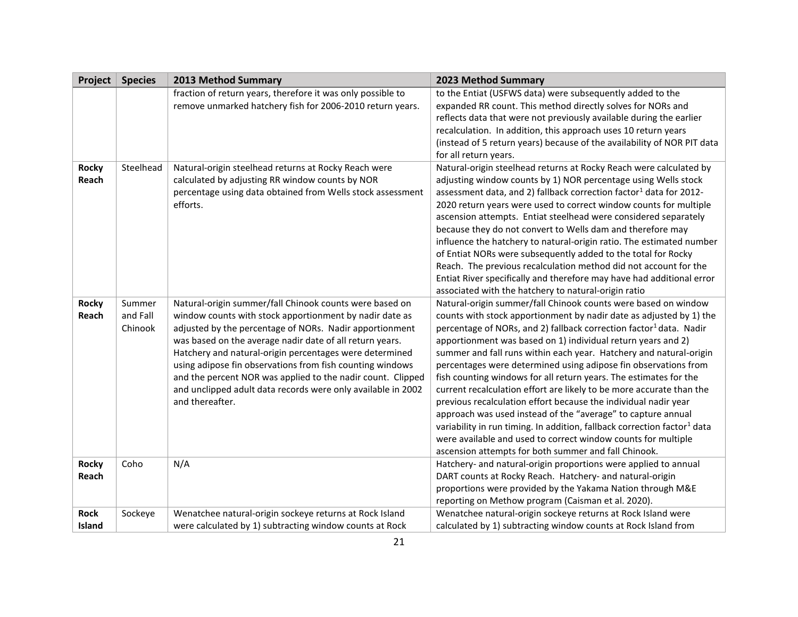| Project               | <b>Species</b>                | <b>2013 Method Summary</b>                                                                                                                                                                                                                                                                                                                                                                                                                                                                                          | 2023 Method Summary                                                                                                                                                                                                                                                                                                                                                                                                                                                                                                                                                                                                                                                                                                                                                                                                                                                                                                               |
|-----------------------|-------------------------------|---------------------------------------------------------------------------------------------------------------------------------------------------------------------------------------------------------------------------------------------------------------------------------------------------------------------------------------------------------------------------------------------------------------------------------------------------------------------------------------------------------------------|-----------------------------------------------------------------------------------------------------------------------------------------------------------------------------------------------------------------------------------------------------------------------------------------------------------------------------------------------------------------------------------------------------------------------------------------------------------------------------------------------------------------------------------------------------------------------------------------------------------------------------------------------------------------------------------------------------------------------------------------------------------------------------------------------------------------------------------------------------------------------------------------------------------------------------------|
|                       |                               | fraction of return years, therefore it was only possible to<br>remove unmarked hatchery fish for 2006-2010 return years.                                                                                                                                                                                                                                                                                                                                                                                            | to the Entiat (USFWS data) were subsequently added to the<br>expanded RR count. This method directly solves for NORs and<br>reflects data that were not previously available during the earlier<br>recalculation. In addition, this approach uses 10 return years<br>(instead of 5 return years) because of the availability of NOR PIT data<br>for all return years.                                                                                                                                                                                                                                                                                                                                                                                                                                                                                                                                                             |
| <b>Rocky</b><br>Reach | Steelhead                     | Natural-origin steelhead returns at Rocky Reach were<br>calculated by adjusting RR window counts by NOR<br>percentage using data obtained from Wells stock assessment<br>efforts.                                                                                                                                                                                                                                                                                                                                   | Natural-origin steelhead returns at Rocky Reach were calculated by<br>adjusting window counts by 1) NOR percentage using Wells stock<br>assessment data, and 2) fallback correction factor <sup>1</sup> data for 2012-<br>2020 return years were used to correct window counts for multiple<br>ascension attempts. Entiat steelhead were considered separately<br>because they do not convert to Wells dam and therefore may<br>influence the hatchery to natural-origin ratio. The estimated number<br>of Entiat NORs were subsequently added to the total for Rocky<br>Reach. The previous recalculation method did not account for the<br>Entiat River specifically and therefore may have had additional error<br>associated with the hatchery to natural-origin ratio                                                                                                                                                        |
| <b>Rocky</b><br>Reach | Summer<br>and Fall<br>Chinook | Natural-origin summer/fall Chinook counts were based on<br>window counts with stock apportionment by nadir date as<br>adjusted by the percentage of NORs. Nadir apportionment<br>was based on the average nadir date of all return years.<br>Hatchery and natural-origin percentages were determined<br>using adipose fin observations from fish counting windows<br>and the percent NOR was applied to the nadir count. Clipped<br>and unclipped adult data records were only available in 2002<br>and thereafter. | Natural-origin summer/fall Chinook counts were based on window<br>counts with stock apportionment by nadir date as adjusted by 1) the<br>percentage of NORs, and 2) fallback correction factor <sup>1</sup> data. Nadir<br>apportionment was based on 1) individual return years and 2)<br>summer and fall runs within each year. Hatchery and natural-origin<br>percentages were determined using adipose fin observations from<br>fish counting windows for all return years. The estimates for the<br>current recalculation effort are likely to be more accurate than the<br>previous recalculation effort because the individual nadir year<br>approach was used instead of the "average" to capture annual<br>variability in run timing. In addition, fallback correction factor <sup>1</sup> data<br>were available and used to correct window counts for multiple<br>ascension attempts for both summer and fall Chinook. |
| <b>Rocky</b><br>Reach | Coho                          | N/A                                                                                                                                                                                                                                                                                                                                                                                                                                                                                                                 | Hatchery- and natural-origin proportions were applied to annual<br>DART counts at Rocky Reach. Hatchery- and natural-origin<br>proportions were provided by the Yakama Nation through M&E<br>reporting on Methow program (Caisman et al. 2020).                                                                                                                                                                                                                                                                                                                                                                                                                                                                                                                                                                                                                                                                                   |
| <b>Rock</b><br>Island | Sockeye                       | Wenatchee natural-origin sockeye returns at Rock Island<br>were calculated by 1) subtracting window counts at Rock                                                                                                                                                                                                                                                                                                                                                                                                  | Wenatchee natural-origin sockeye returns at Rock Island were<br>calculated by 1) subtracting window counts at Rock Island from                                                                                                                                                                                                                                                                                                                                                                                                                                                                                                                                                                                                                                                                                                                                                                                                    |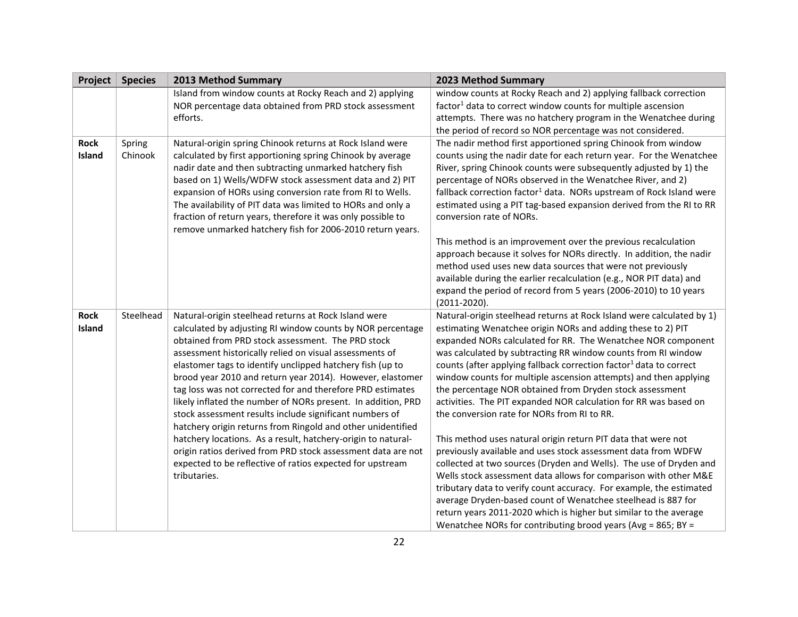| Project                      | <b>Species</b>    | 2013 Method Summary                                                                                                                                                                                                                                                                                                                                                                                                                                                                                                                                                                                                                                                                                                                                                                                                               | 2023 Method Summary                                                                                                                                                                                                                                                                                                                                                                                                                                                                                                                                                                                                                                                                                                                                                                                                                                                                                                                                                                                                                                                                                                                                                |
|------------------------------|-------------------|-----------------------------------------------------------------------------------------------------------------------------------------------------------------------------------------------------------------------------------------------------------------------------------------------------------------------------------------------------------------------------------------------------------------------------------------------------------------------------------------------------------------------------------------------------------------------------------------------------------------------------------------------------------------------------------------------------------------------------------------------------------------------------------------------------------------------------------|--------------------------------------------------------------------------------------------------------------------------------------------------------------------------------------------------------------------------------------------------------------------------------------------------------------------------------------------------------------------------------------------------------------------------------------------------------------------------------------------------------------------------------------------------------------------------------------------------------------------------------------------------------------------------------------------------------------------------------------------------------------------------------------------------------------------------------------------------------------------------------------------------------------------------------------------------------------------------------------------------------------------------------------------------------------------------------------------------------------------------------------------------------------------|
|                              |                   | Island from window counts at Rocky Reach and 2) applying<br>NOR percentage data obtained from PRD stock assessment<br>efforts.                                                                                                                                                                                                                                                                                                                                                                                                                                                                                                                                                                                                                                                                                                    | window counts at Rocky Reach and 2) applying fallback correction<br>$factor1$ data to correct window counts for multiple ascension<br>attempts. There was no hatchery program in the Wenatchee during<br>the period of record so NOR percentage was not considered.                                                                                                                                                                                                                                                                                                                                                                                                                                                                                                                                                                                                                                                                                                                                                                                                                                                                                                |
| <b>Rock</b><br>Island        | Spring<br>Chinook | Natural-origin spring Chinook returns at Rock Island were<br>calculated by first apportioning spring Chinook by average<br>nadir date and then subtracting unmarked hatchery fish<br>based on 1) Wells/WDFW stock assessment data and 2) PIT<br>expansion of HORs using conversion rate from RI to Wells.<br>The availability of PIT data was limited to HORs and only a<br>fraction of return years, therefore it was only possible to<br>remove unmarked hatchery fish for 2006-2010 return years.                                                                                                                                                                                                                                                                                                                              | The nadir method first apportioned spring Chinook from window<br>counts using the nadir date for each return year. For the Wenatchee<br>River, spring Chinook counts were subsequently adjusted by 1) the<br>percentage of NORs observed in the Wenatchee River, and 2)<br>fallback correction factor <sup>1</sup> data. NORs upstream of Rock Island were<br>estimated using a PIT tag-based expansion derived from the RI to RR<br>conversion rate of NORs.<br>This method is an improvement over the previous recalculation<br>approach because it solves for NORs directly. In addition, the nadir<br>method used uses new data sources that were not previously<br>available during the earlier recalculation (e.g., NOR PIT data) and<br>expand the period of record from 5 years (2006-2010) to 10 years<br>$(2011 - 2020)$ .                                                                                                                                                                                                                                                                                                                               |
| <b>Rock</b><br><b>Island</b> | Steelhead         | Natural-origin steelhead returns at Rock Island were<br>calculated by adjusting RI window counts by NOR percentage<br>obtained from PRD stock assessment. The PRD stock<br>assessment historically relied on visual assessments of<br>elastomer tags to identify unclipped hatchery fish (up to<br>brood year 2010 and return year 2014). However, elastomer<br>tag loss was not corrected for and therefore PRD estimates<br>likely inflated the number of NORs present. In addition, PRD<br>stock assessment results include significant numbers of<br>hatchery origin returns from Ringold and other unidentified<br>hatchery locations. As a result, hatchery-origin to natural-<br>origin ratios derived from PRD stock assessment data are not<br>expected to be reflective of ratios expected for upstream<br>tributaries. | Natural-origin steelhead returns at Rock Island were calculated by 1)<br>estimating Wenatchee origin NORs and adding these to 2) PIT<br>expanded NORs calculated for RR. The Wenatchee NOR component<br>was calculated by subtracting RR window counts from RI window<br>counts (after applying fallback correction factor <sup>1</sup> data to correct<br>window counts for multiple ascension attempts) and then applying<br>the percentage NOR obtained from Dryden stock assessment<br>activities. The PIT expanded NOR calculation for RR was based on<br>the conversion rate for NORs from RI to RR.<br>This method uses natural origin return PIT data that were not<br>previously available and uses stock assessment data from WDFW<br>collected at two sources (Dryden and Wells). The use of Dryden and<br>Wells stock assessment data allows for comparison with other M&E<br>tributary data to verify count accuracy. For example, the estimated<br>average Dryden-based count of Wenatchee steelhead is 887 for<br>return years 2011-2020 which is higher but similar to the average<br>Wenatchee NORs for contributing brood years (Avg = 865; BY = |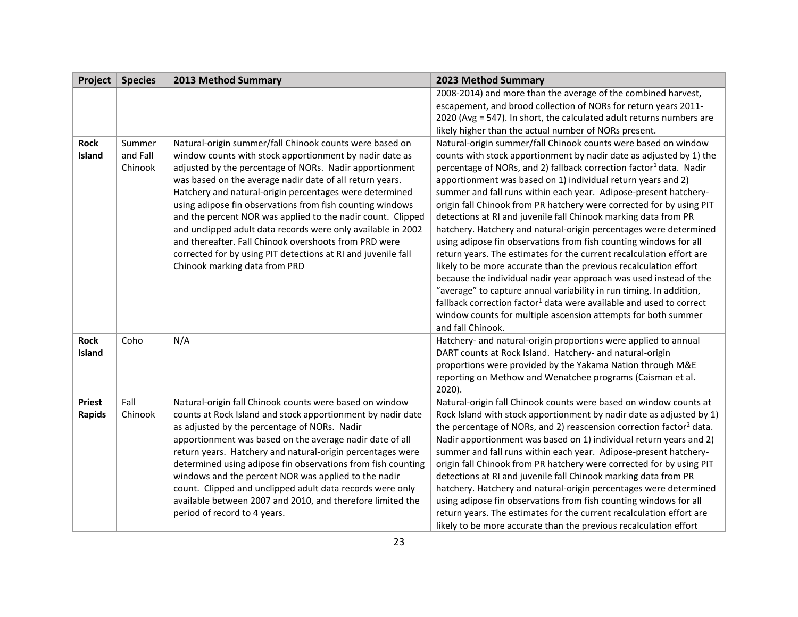| Project                        | <b>Species</b>                | 2013 Method Summary                                                                                                                                                                                                                                                                                                                                                                                                                                                                                                                                                                                                                                         | 2023 Method Summary                                                                                                                                                                                                                                                                                                                                                                                                                                                                                                                                                                                                                                                                                                                                                                                                                                                                                                                                                                                                                                                                                                 |
|--------------------------------|-------------------------------|-------------------------------------------------------------------------------------------------------------------------------------------------------------------------------------------------------------------------------------------------------------------------------------------------------------------------------------------------------------------------------------------------------------------------------------------------------------------------------------------------------------------------------------------------------------------------------------------------------------------------------------------------------------|---------------------------------------------------------------------------------------------------------------------------------------------------------------------------------------------------------------------------------------------------------------------------------------------------------------------------------------------------------------------------------------------------------------------------------------------------------------------------------------------------------------------------------------------------------------------------------------------------------------------------------------------------------------------------------------------------------------------------------------------------------------------------------------------------------------------------------------------------------------------------------------------------------------------------------------------------------------------------------------------------------------------------------------------------------------------------------------------------------------------|
|                                |                               |                                                                                                                                                                                                                                                                                                                                                                                                                                                                                                                                                                                                                                                             | 2008-2014) and more than the average of the combined harvest,<br>escapement, and brood collection of NORs for return years 2011-<br>2020 (Avg = 547). In short, the calculated adult returns numbers are<br>likely higher than the actual number of NORs present.                                                                                                                                                                                                                                                                                                                                                                                                                                                                                                                                                                                                                                                                                                                                                                                                                                                   |
| <b>Rock</b><br>Island          | Summer<br>and Fall<br>Chinook | Natural-origin summer/fall Chinook counts were based on<br>window counts with stock apportionment by nadir date as<br>adjusted by the percentage of NORs. Nadir apportionment<br>was based on the average nadir date of all return years.<br>Hatchery and natural-origin percentages were determined<br>using adipose fin observations from fish counting windows<br>and the percent NOR was applied to the nadir count. Clipped<br>and unclipped adult data records were only available in 2002<br>and thereafter. Fall Chinook overshoots from PRD were<br>corrected for by using PIT detections at RI and juvenile fall<br>Chinook marking data from PRD | Natural-origin summer/fall Chinook counts were based on window<br>counts with stock apportionment by nadir date as adjusted by 1) the<br>percentage of NORs, and 2) fallback correction factor <sup>1</sup> data. Nadir<br>apportionment was based on 1) individual return years and 2)<br>summer and fall runs within each year. Adipose-present hatchery-<br>origin fall Chinook from PR hatchery were corrected for by using PIT<br>detections at RI and juvenile fall Chinook marking data from PR<br>hatchery. Hatchery and natural-origin percentages were determined<br>using adipose fin observations from fish counting windows for all<br>return years. The estimates for the current recalculation effort are<br>likely to be more accurate than the previous recalculation effort<br>because the individual nadir year approach was used instead of the<br>"average" to capture annual variability in run timing. In addition,<br>fallback correction factor <sup>1</sup> data were available and used to correct<br>window counts for multiple ascension attempts for both summer<br>and fall Chinook. |
| <b>Rock</b><br>Island          | Coho                          | N/A                                                                                                                                                                                                                                                                                                                                                                                                                                                                                                                                                                                                                                                         | Hatchery- and natural-origin proportions were applied to annual<br>DART counts at Rock Island. Hatchery- and natural-origin<br>proportions were provided by the Yakama Nation through M&E<br>reporting on Methow and Wenatchee programs (Caisman et al.<br>2020).                                                                                                                                                                                                                                                                                                                                                                                                                                                                                                                                                                                                                                                                                                                                                                                                                                                   |
| <b>Priest</b><br><b>Rapids</b> | Fall<br>Chinook               | Natural-origin fall Chinook counts were based on window<br>counts at Rock Island and stock apportionment by nadir date<br>as adjusted by the percentage of NORs. Nadir<br>apportionment was based on the average nadir date of all<br>return years. Hatchery and natural-origin percentages were<br>determined using adipose fin observations from fish counting<br>windows and the percent NOR was applied to the nadir<br>count. Clipped and unclipped adult data records were only<br>available between 2007 and 2010, and therefore limited the<br>period of record to 4 years.                                                                         | Natural-origin fall Chinook counts were based on window counts at<br>Rock Island with stock apportionment by nadir date as adjusted by 1)<br>the percentage of NORs, and 2) reascension correction factor <sup>2</sup> data.<br>Nadir apportionment was based on 1) individual return years and 2)<br>summer and fall runs within each year. Adipose-present hatchery-<br>origin fall Chinook from PR hatchery were corrected for by using PIT<br>detections at RI and juvenile fall Chinook marking data from PR<br>hatchery. Hatchery and natural-origin percentages were determined<br>using adipose fin observations from fish counting windows for all<br>return years. The estimates for the current recalculation effort are<br>likely to be more accurate than the previous recalculation effort                                                                                                                                                                                                                                                                                                            |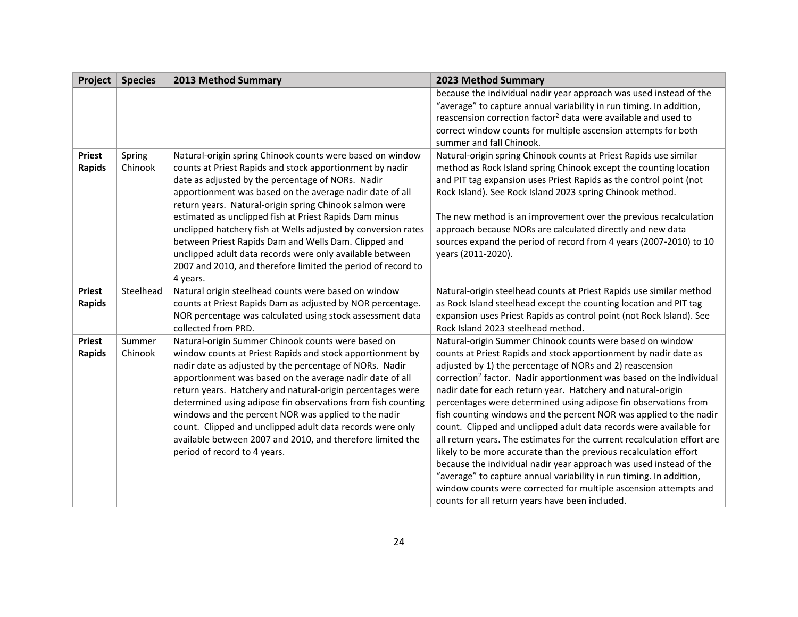| Project                        | <b>Species</b>    | 2013 Method Summary                                                                                                                                                                                                                                                                                                                                                                                                                                                                                                                                                                                                          | 2023 Method Summary                                                                                                                                                                                                                                                                                                                                                                                                                                                                                                                                                                                                                                                                                                                                                                                                                                                                                                                                                              |
|--------------------------------|-------------------|------------------------------------------------------------------------------------------------------------------------------------------------------------------------------------------------------------------------------------------------------------------------------------------------------------------------------------------------------------------------------------------------------------------------------------------------------------------------------------------------------------------------------------------------------------------------------------------------------------------------------|----------------------------------------------------------------------------------------------------------------------------------------------------------------------------------------------------------------------------------------------------------------------------------------------------------------------------------------------------------------------------------------------------------------------------------------------------------------------------------------------------------------------------------------------------------------------------------------------------------------------------------------------------------------------------------------------------------------------------------------------------------------------------------------------------------------------------------------------------------------------------------------------------------------------------------------------------------------------------------|
|                                |                   |                                                                                                                                                                                                                                                                                                                                                                                                                                                                                                                                                                                                                              | because the individual nadir year approach was used instead of the<br>"average" to capture annual variability in run timing. In addition,<br>reascension correction factor <sup>2</sup> data were available and used to<br>correct window counts for multiple ascension attempts for both<br>summer and fall Chinook.                                                                                                                                                                                                                                                                                                                                                                                                                                                                                                                                                                                                                                                            |
| <b>Priest</b><br><b>Rapids</b> | Spring<br>Chinook | Natural-origin spring Chinook counts were based on window<br>counts at Priest Rapids and stock apportionment by nadir<br>date as adjusted by the percentage of NORs. Nadir<br>apportionment was based on the average nadir date of all<br>return years. Natural-origin spring Chinook salmon were<br>estimated as unclipped fish at Priest Rapids Dam minus<br>unclipped hatchery fish at Wells adjusted by conversion rates<br>between Priest Rapids Dam and Wells Dam. Clipped and<br>unclipped adult data records were only available between<br>2007 and 2010, and therefore limited the period of record to<br>4 years. | Natural-origin spring Chinook counts at Priest Rapids use similar<br>method as Rock Island spring Chinook except the counting location<br>and PIT tag expansion uses Priest Rapids as the control point (not<br>Rock Island). See Rock Island 2023 spring Chinook method.<br>The new method is an improvement over the previous recalculation<br>approach because NORs are calculated directly and new data<br>sources expand the period of record from 4 years (2007-2010) to 10<br>years (2011-2020).                                                                                                                                                                                                                                                                                                                                                                                                                                                                          |
| <b>Priest</b><br><b>Rapids</b> | Steelhead         | Natural origin steelhead counts were based on window<br>counts at Priest Rapids Dam as adjusted by NOR percentage.<br>NOR percentage was calculated using stock assessment data<br>collected from PRD.                                                                                                                                                                                                                                                                                                                                                                                                                       | Natural-origin steelhead counts at Priest Rapids use similar method<br>as Rock Island steelhead except the counting location and PIT tag<br>expansion uses Priest Rapids as control point (not Rock Island). See<br>Rock Island 2023 steelhead method.                                                                                                                                                                                                                                                                                                                                                                                                                                                                                                                                                                                                                                                                                                                           |
| <b>Priest</b><br><b>Rapids</b> | Summer<br>Chinook | Natural-origin Summer Chinook counts were based on<br>window counts at Priest Rapids and stock apportionment by<br>nadir date as adjusted by the percentage of NORs. Nadir<br>apportionment was based on the average nadir date of all<br>return years. Hatchery and natural-origin percentages were<br>determined using adipose fin observations from fish counting<br>windows and the percent NOR was applied to the nadir<br>count. Clipped and unclipped adult data records were only<br>available between 2007 and 2010, and therefore limited the<br>period of record to 4 years.                                      | Natural-origin Summer Chinook counts were based on window<br>counts at Priest Rapids and stock apportionment by nadir date as<br>adjusted by 1) the percentage of NORs and 2) reascension<br>correction <sup>2</sup> factor. Nadir apportionment was based on the individual<br>nadir date for each return year. Hatchery and natural-origin<br>percentages were determined using adipose fin observations from<br>fish counting windows and the percent NOR was applied to the nadir<br>count. Clipped and unclipped adult data records were available for<br>all return years. The estimates for the current recalculation effort are<br>likely to be more accurate than the previous recalculation effort<br>because the individual nadir year approach was used instead of the<br>"average" to capture annual variability in run timing. In addition,<br>window counts were corrected for multiple ascension attempts and<br>counts for all return years have been included. |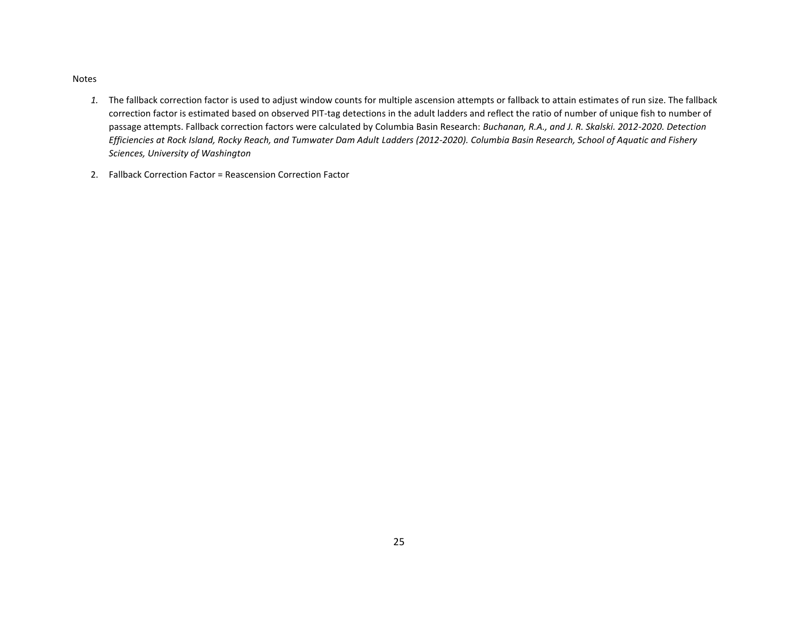#### Notes

- *1.* The fallback correction factor is used to adjust window counts for multiple ascension attempts or fallback to attain estimates of run size. The fallback correction factor is estimated based on observed PIT-tag detections in the adult ladders and reflect the ratio of number of unique fish to number of passage attempts. Fallback correction factors were calculated by Columbia Basin Research: *Buchanan, R.A., and J. R. Skalski. 2012-2020. Detection Efficiencies at Rock Island, Rocky Reach, and Tumwater Dam Adult Ladders (2012-2020). Columbia Basin Research, School of Aquatic and Fishery Sciences, University of Washington*
- 2. Fallback Correction Factor = Reascension Correction Factor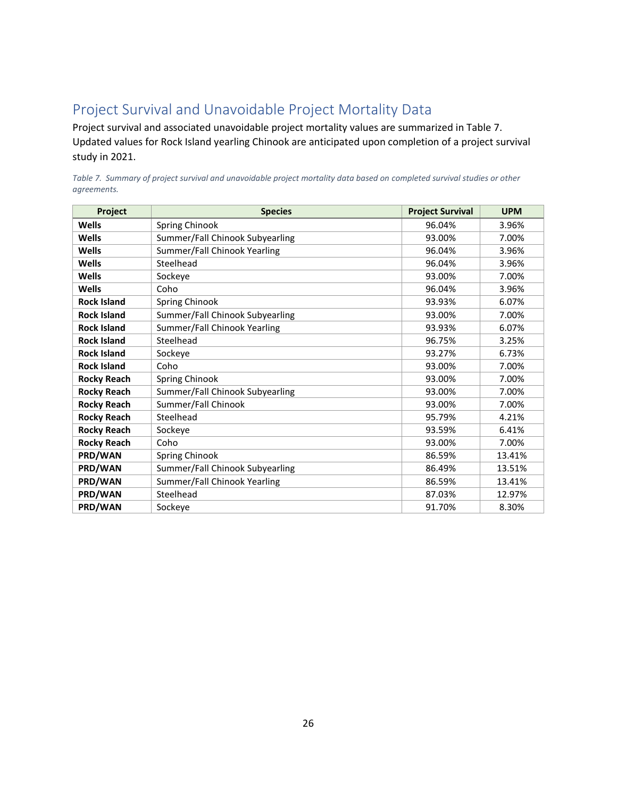## Project Survival and Unavoidable Project Mortality Data

Project survival and associated unavoidable project mortality values are summarized in Table 7. Updated values for Rock Island yearling Chinook are anticipated upon completion of a project survival study in 2021.

| Project            | <b>Species</b>                  | <b>Project Survival</b> | <b>UPM</b> |
|--------------------|---------------------------------|-------------------------|------------|
| <b>Wells</b>       | Spring Chinook                  | 96.04%                  | 3.96%      |
| <b>Wells</b>       | Summer/Fall Chinook Subyearling | 93.00%                  | 7.00%      |
| <b>Wells</b>       | Summer/Fall Chinook Yearling    | 96.04%                  | 3.96%      |
| <b>Wells</b>       | Steelhead                       | 96.04%                  | 3.96%      |
| <b>Wells</b>       | Sockeye                         | 93.00%                  | 7.00%      |
| <b>Wells</b>       | Coho                            | 96.04%                  | 3.96%      |
| <b>Rock Island</b> | Spring Chinook                  | 93.93%                  | 6.07%      |
| <b>Rock Island</b> | Summer/Fall Chinook Subyearling | 93.00%                  | 7.00%      |
| <b>Rock Island</b> | Summer/Fall Chinook Yearling    | 93.93%                  | 6.07%      |
| <b>Rock Island</b> | Steelhead                       | 96.75%                  | 3.25%      |
| <b>Rock Island</b> | Sockeye                         | 93.27%                  | 6.73%      |
| <b>Rock Island</b> | Coho                            | 93.00%                  | 7.00%      |
| <b>Rocky Reach</b> | Spring Chinook                  | 93.00%                  | 7.00%      |
| <b>Rocky Reach</b> | Summer/Fall Chinook Subyearling | 93.00%                  | 7.00%      |
| <b>Rocky Reach</b> | Summer/Fall Chinook             | 93.00%                  | 7.00%      |
| <b>Rocky Reach</b> | Steelhead                       | 95.79%                  | 4.21%      |
| <b>Rocky Reach</b> | Sockeye                         | 93.59%                  | 6.41%      |
| <b>Rocky Reach</b> | Coho                            | 93.00%                  | 7.00%      |
| PRD/WAN            | Spring Chinook                  | 86.59%                  | 13.41%     |

**PRD/WAN** Summer/Fall Chinook Subyearling 13.51% PRD/WAN Summer/Fall Chinook Yearling 86.59% 13.41% **PRD/WAN** Steelhead 87.03% 12.97% **PRD/WAN** Sockeye 8.30% 8.30% 8.30%

*Table 7. Summary of project survival and unavoidable project mortality data based on completed survival studies or other agreements.*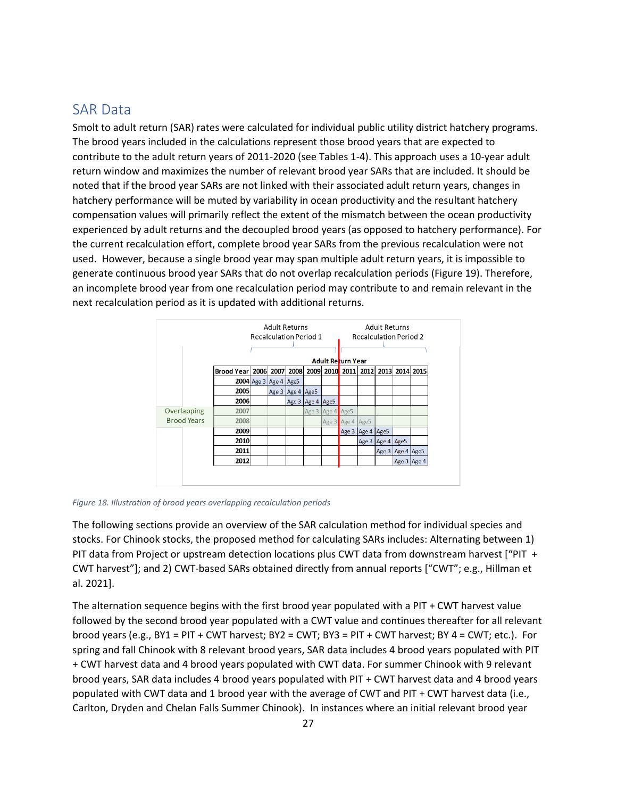## SAR Data

Smolt to adult return (SAR) rates were calculated for individual public utility district hatchery programs. The brood years included in the calculations represent those brood years that are expected to contribute to the adult return years of 2011-2020 (see Tables 1-4). This approach uses a 10-year adult return window and maximizes the number of relevant brood year SARs that are included. It should be noted that if the brood year SARs are not linked with their associated adult return years, changes in hatchery performance will be muted by variability in ocean productivity and the resultant hatchery compensation values will primarily reflect the extent of the mismatch between the ocean productivity experienced by adult returns and the decoupled brood years (as opposed to hatchery performance). For the current recalculation effort, complete brood year SARs from the previous recalculation were not used. However, because a single brood year may span multiple adult return years, it is impossible to generate continuous brood year SARs that do not overlap recalculation periods (Figure 19). Therefore, an incomplete brood year from one recalculation period may contribute to and remain relevant in the next recalculation period as it is updated with additional returns.



#### *Figure 18. Illustration of brood years overlapping recalculation periods*

The following sections provide an overview of the SAR calculation method for individual species and stocks. For Chinook stocks, the proposed method for calculating SARs includes: Alternating between 1) PIT data from Project or upstream detection locations plus CWT data from downstream harvest ["PIT + CWT harvest"]; and 2) CWT-based SARs obtained directly from annual reports ["CWT"; e.g., Hillman et al. 2021].

The alternation sequence begins with the first brood year populated with a PIT + CWT harvest value followed by the second brood year populated with a CWT value and continues thereafter for all relevant brood years (e.g., BY1 = PIT + CWT harvest; BY2 = CWT; BY3 = PIT + CWT harvest; BY 4 = CWT; etc.). For spring and fall Chinook with 8 relevant brood years, SAR data includes 4 brood years populated with PIT + CWT harvest data and 4 brood years populated with CWT data. For summer Chinook with 9 relevant brood years, SAR data includes 4 brood years populated with PIT + CWT harvest data and 4 brood years populated with CWT data and 1 brood year with the average of CWT and PIT + CWT harvest data (i.e., Carlton, Dryden and Chelan Falls Summer Chinook). In instances where an initial relevant brood year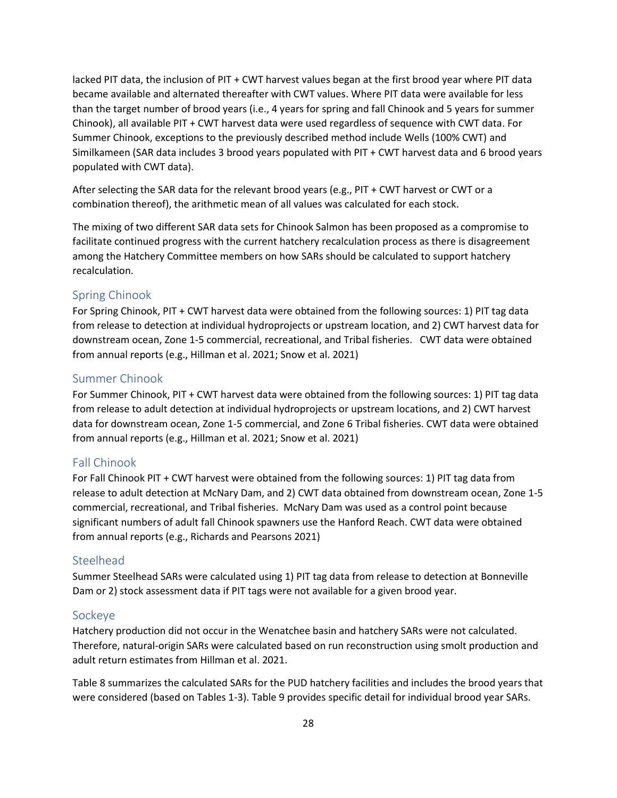lacked PIT data, the inclusion of PIT + CWT harvest values began at the first brood year where PIT data became available and alternated thereafter with CWT values. Where PIT data were available for less than the target number of brood years (i.e., 4 years for spring and fall Chinook and 5 years for summer Chinook), all available PIT + CWT harvest data were used regardless of sequence with CWT data. For Summer Chinook, exceptions to the previously described method include Wells (100% CWT) and Similkameen (SAR data includes 3 brood years populated with PIT + CWT harvest data and 6 brood years populated with CWT data).

After selecting the SAR data for the relevant brood years (e.g., PIT + CWT harvest or CWT or a combination thereof), the arithmetic mean of all values was calculated for each stock.

The mixing of two different SAR data sets for Chinook Salmon has been proposed as a compromise to facilitate continued progress with the current hatchery recalculation process as there is disagreement among the Hatchery Committee members on how SARs should be calculated to support hatchery recalculation.

### Spring Chinook

For Spring Chinook, PIT + CWT harvest data were obtained from the following sources: 1) PIT tag data from release to detection at individual hydroprojects or upstream location, and 2) CWT harvest data for downstream ocean, Zone 1-5 commercial, recreational, and Tribal fisheries. CWT data were obtained from annual reports (e.g., Hillman et al. 2021; Snow et al. 2021)

#### Summer Chinook

For Summer Chinook, PIT + CWT harvest data were obtained from the following sources: 1) PIT tag data from release to adult detection at individual hydroprojects or upstream locations, and 2) CWT harvest data for downstream ocean, Zone 1-5 commercial, and Zone 6 Tribal fisheries. CWT data were obtained from annual reports (e.g., Hillman et al. 2021; Snow et al. 2021)

#### Fall Chinook

For Fall Chinook PIT + CWT harvest were obtained from the following sources: 1) PIT tag data from release to adult detection at McNary Dam, and 2) CWT data obtained from downstream ocean, Zone 1-5 commercial, recreational, and Tribal fisheries. McNary Dam was used as a control point because significant numbers of adult fall Chinook spawners use the Hanford Reach. CWT data were obtained from annual reports (e.g., Richards and Pearsons 2021)

#### Steelhead

Summer Steelhead SARs were calculated using 1) PIT tag data from release to detection at Bonneville Dam or 2) stock assessment data if PIT tags were not available for a given brood year.

#### Sockeye

Hatchery production did not occur in the Wenatchee basin and hatchery SARs were not calculated. Therefore, natural-origin SARs were calculated based on run reconstruction using smolt production and adult return estimates from Hillman et al. 2021.

Table 8 summarizes the calculated SARs for the PUD hatchery facilities and includes the brood years that were considered (based on Tables 1-3). Table 9 provides specific detail for individual brood year SARs.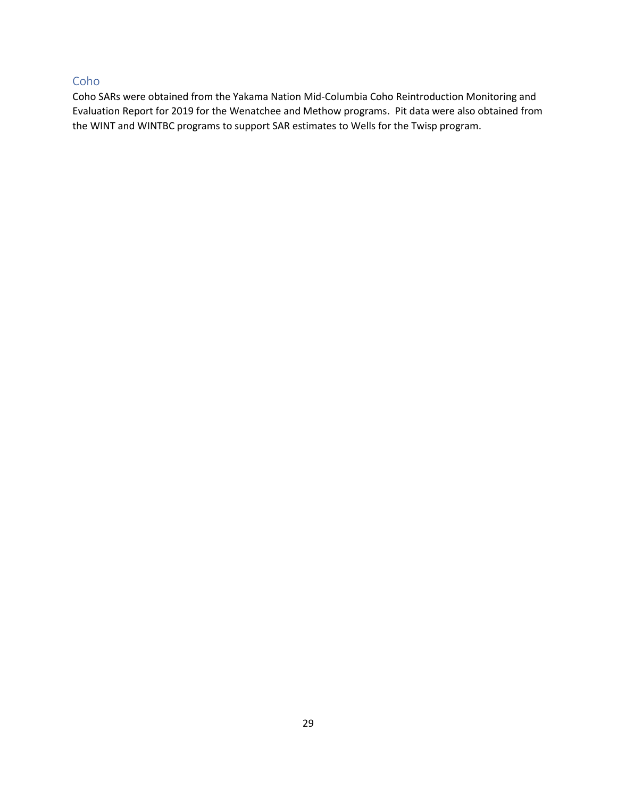## Coho

Coho SARs were obtained from the Yakama Nation Mid-Columbia Coho Reintroduction Monitoring and Evaluation Report for 2019 for the Wenatchee and Methow programs. Pit data were also obtained from the WINT and WINTBC programs to support SAR estimates to Wells for the Twisp program.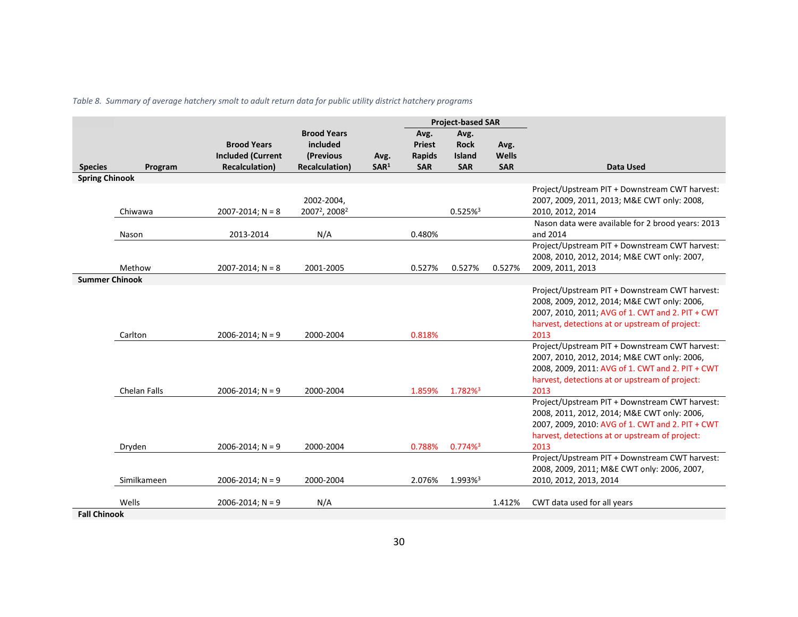*Table 8. Summary of average hatchery smolt to adult return data for public utility district hatchery programs*

|                       |              |                                                |                                       |                  |                                | <b>Project-based SAR</b>     |                      |                                                                                                 |
|-----------------------|--------------|------------------------------------------------|---------------------------------------|------------------|--------------------------------|------------------------------|----------------------|-------------------------------------------------------------------------------------------------|
|                       |              |                                                | <b>Brood Years</b>                    |                  | Avg.                           | Avg.                         |                      |                                                                                                 |
|                       |              | <b>Brood Years</b><br><b>Included (Current</b> | included<br>(Previous                 | Avg.             | <b>Priest</b><br><b>Rapids</b> | <b>Rock</b><br><b>Island</b> | Avg.<br><b>Wells</b> |                                                                                                 |
| <b>Species</b>        | Program      | <b>Recalculation</b> )                         | <b>Recalculation</b> )                | SAR <sup>1</sup> | <b>SAR</b>                     | <b>SAR</b>                   | <b>SAR</b>           | <b>Data Used</b>                                                                                |
| <b>Spring Chinook</b> |              |                                                |                                       |                  |                                |                              |                      |                                                                                                 |
|                       |              |                                                |                                       |                  |                                |                              |                      | Project/Upstream PIT + Downstream CWT harvest:                                                  |
|                       |              |                                                | 2002-2004,                            |                  |                                |                              |                      | 2007, 2009, 2011, 2013; M&E CWT only: 2008,                                                     |
|                       | Chiwawa      | $2007 - 2014$ ; N = 8                          | 2007 <sup>2</sup> , 2008 <sup>2</sup> |                  |                                | $0.525%$ <sup>3</sup>        |                      | 2010, 2012, 2014                                                                                |
|                       |              | 2013-2014                                      |                                       |                  | 0.480%                         |                              |                      | Nason data were available for 2 brood years: 2013<br>and 2014                                   |
|                       | Nason        |                                                | N/A                                   |                  |                                |                              |                      | Project/Upstream PIT + Downstream CWT harvest:                                                  |
|                       |              |                                                |                                       |                  |                                |                              |                      | 2008, 2010, 2012, 2014; M&E CWT only: 2007,                                                     |
|                       | Methow       | $2007 - 2014$ ; N = 8                          | 2001-2005                             |                  | 0.527%                         | 0.527%                       | 0.527%               | 2009, 2011, 2013                                                                                |
| <b>Summer Chinook</b> |              |                                                |                                       |                  |                                |                              |                      |                                                                                                 |
|                       |              |                                                |                                       |                  |                                |                              |                      | Project/Upstream PIT + Downstream CWT harvest:                                                  |
|                       |              |                                                |                                       |                  |                                |                              |                      | 2008, 2009, 2012, 2014; M&E CWT only: 2006,                                                     |
|                       |              |                                                |                                       |                  |                                |                              |                      | 2007, 2010, 2011; AVG of 1. CWT and 2. PIT + CWT                                                |
|                       |              |                                                |                                       |                  |                                |                              |                      | harvest, detections at or upstream of project:                                                  |
|                       | Carlton      | $2006 - 2014$ ; N = 9                          | 2000-2004                             |                  | 0.818%                         |                              |                      | 2013                                                                                            |
|                       |              |                                                |                                       |                  |                                |                              |                      | Project/Upstream PIT + Downstream CWT harvest:                                                  |
|                       |              |                                                |                                       |                  |                                |                              |                      | 2007, 2010, 2012, 2014; M&E CWT only: 2006,<br>2008, 2009, 2011: AVG of 1. CWT and 2. PIT + CWT |
|                       |              |                                                |                                       |                  |                                |                              |                      | harvest, detections at or upstream of project:                                                  |
|                       | Chelan Falls | $2006 - 2014$ ; N = 9                          | 2000-2004                             |                  | 1.859%                         | 1.782% <sup>3</sup>          |                      | 2013                                                                                            |
|                       |              |                                                |                                       |                  |                                |                              |                      | Project/Upstream PIT + Downstream CWT harvest:                                                  |
|                       |              |                                                |                                       |                  |                                |                              |                      | 2008, 2011, 2012, 2014; M&E CWT only: 2006,                                                     |
|                       |              |                                                |                                       |                  |                                |                              |                      | 2007, 2009, 2010: AVG of 1. CWT and 2. PIT + CWT                                                |
|                       |              |                                                |                                       |                  |                                |                              |                      | harvest, detections at or upstream of project:                                                  |
|                       | Dryden       | $2006 - 2014$ ; N = 9                          | 2000-2004                             |                  | 0.788%                         | $0.774\%$ <sup>3</sup>       |                      | 2013                                                                                            |
|                       |              |                                                |                                       |                  |                                |                              |                      | Project/Upstream PIT + Downstream CWT harvest:                                                  |
|                       |              |                                                |                                       |                  |                                |                              |                      | 2008, 2009, 2011; M&E CWT only: 2006, 2007,                                                     |
|                       | Similkameen  | $2006 - 2014$ ; N = 9                          | 2000-2004                             |                  | 2.076%                         | 1.993%3                      |                      | 2010, 2012, 2013, 2014                                                                          |
|                       | Wells        | $2006 - 2014$ ; N = 9                          | N/A                                   |                  |                                |                              | 1.412%               | CWT data used for all years                                                                     |
| <b>Fall Chinook</b>   |              |                                                |                                       |                  |                                |                              |                      |                                                                                                 |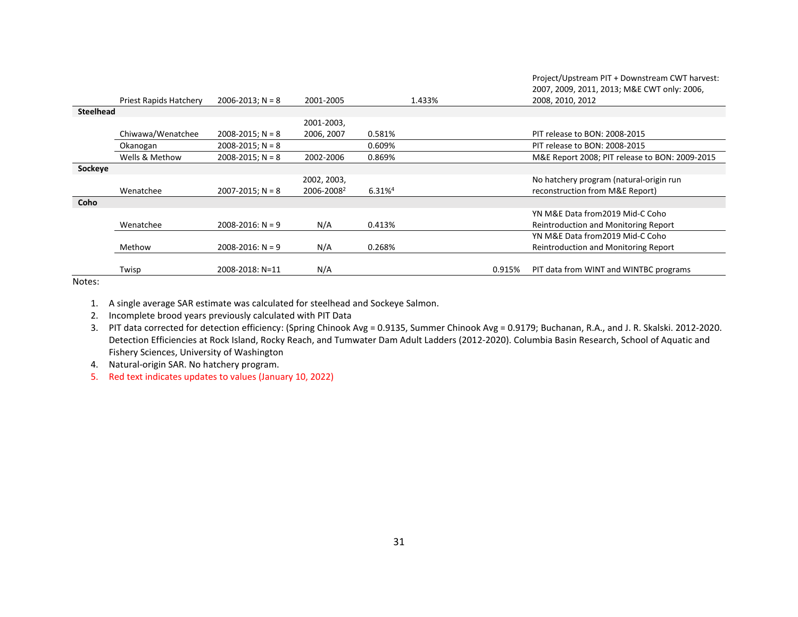|                  |                        |                       |                        |        |        |        | Project/Upstream PIT + Downstream CWT harvest:<br>2007, 2009, 2011, 2013; M&E CWT only: 2006, |
|------------------|------------------------|-----------------------|------------------------|--------|--------|--------|-----------------------------------------------------------------------------------------------|
|                  | Priest Rapids Hatchery | $2006 - 2013$ ; N = 8 | 2001-2005              |        | 1.433% |        | 2008, 2010, 2012                                                                              |
| <b>Steelhead</b> |                        |                       |                        |        |        |        |                                                                                               |
|                  |                        |                       | 2001-2003,             |        |        |        |                                                                                               |
|                  | Chiwawa/Wenatchee      | $2008 - 2015$ ; N = 8 | 2006, 2007             | 0.581% |        |        | PIT release to BON: 2008-2015                                                                 |
|                  | Okanogan               | $2008 - 2015$ ; N = 8 |                        | 0.609% |        |        | PIT release to BON: 2008-2015                                                                 |
|                  | Wells & Methow         | $2008 - 2015$ ; N = 8 | 2002-2006              | 0.869% |        |        | M&E Report 2008; PIT release to BON: 2009-2015                                                |
| Sockeye          |                        |                       |                        |        |        |        |                                                                                               |
|                  |                        |                       | 2002, 2003,            |        |        |        | No hatchery program (natural-origin run                                                       |
|                  | Wenatchee              | $2007 - 2015$ ; N = 8 | 2006-2008 <sup>2</sup> | 6.31%4 |        |        | reconstruction from M&E Report)                                                               |
| Coho             |                        |                       |                        |        |        |        |                                                                                               |
|                  |                        |                       |                        |        |        |        | YN M&E Data from 2019 Mid-C Coho                                                              |
|                  | Wenatchee              | $2008 - 2016$ : N = 9 | N/A                    | 0.413% |        |        | Reintroduction and Monitoring Report                                                          |
|                  |                        |                       |                        |        |        |        | YN M&E Data from 2019 Mid-C Coho                                                              |
|                  | Methow                 | $2008 - 2016$ : N = 9 | N/A                    | 0.268% |        |        | Reintroduction and Monitoring Report                                                          |
|                  |                        |                       |                        |        |        |        |                                                                                               |
|                  | Twisp                  | 2008-2018: N=11       | N/A                    |        |        | 0.915% | PIT data from WINT and WINTBC programs                                                        |

Notes:

1. A single average SAR estimate was calculated for steelhead and Sockeye Salmon.

2. Incomplete brood years previously calculated with PIT Data

3. PIT data corrected for detection efficiency: (Spring Chinook Avg = 0.9135, Summer Chinook Avg = 0.9179; Buchanan, R.A., and J. R. Skalski. 2012-2020. Detection Efficiencies at Rock Island, Rocky Reach, and Tumwater Dam Adult Ladders (2012-2020). Columbia Basin Research, School of Aquatic and Fishery Sciences, University of Washington

4. Natural-origin SAR. No hatchery program.

5. Red text indicates updates to values (January 10, 2022)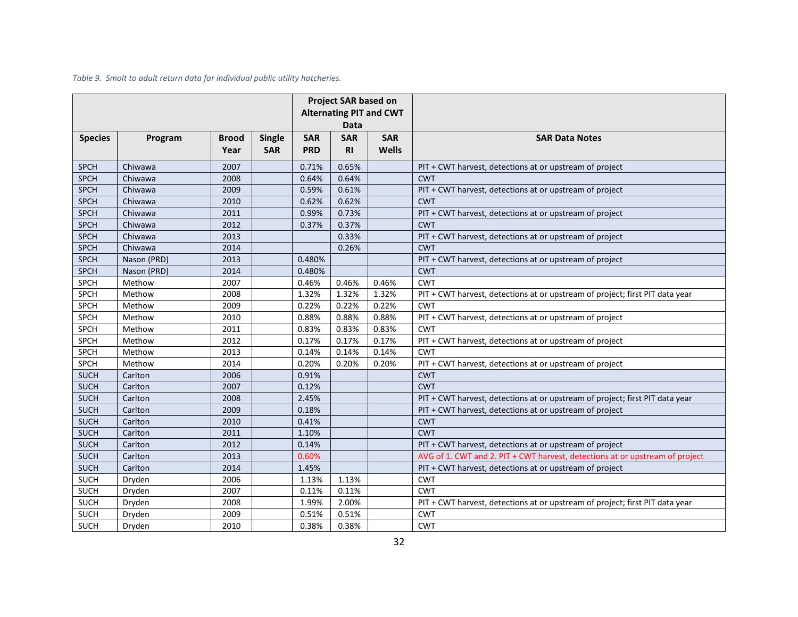|                |             |                      | <b>Project SAR based on</b><br><b>Alternating PIT and CWT</b><br><b>Data</b> |                                                                                   |       |       |                                                                              |
|----------------|-------------|----------------------|------------------------------------------------------------------------------|-----------------------------------------------------------------------------------|-------|-------|------------------------------------------------------------------------------|
| <b>Species</b> | Program     | <b>Brood</b><br>Year | <b>Single</b><br><b>SAR</b>                                                  | <b>SAR</b><br><b>SAR</b><br><b>SAR</b><br><b>PRD</b><br><b>Wells</b><br><b>RI</b> |       |       | <b>SAR Data Notes</b>                                                        |
| <b>SPCH</b>    | Chiwawa     | 2007                 |                                                                              | 0.71%                                                                             | 0.65% |       | PIT + CWT harvest, detections at or upstream of project                      |
| <b>SPCH</b>    | Chiwawa     | 2008                 |                                                                              | 0.64%                                                                             | 0.64% |       | <b>CWT</b>                                                                   |
| <b>SPCH</b>    | Chiwawa     | 2009                 |                                                                              | 0.59%                                                                             | 0.61% |       | PIT + CWT harvest, detections at or upstream of project                      |
| <b>SPCH</b>    | Chiwawa     | 2010                 |                                                                              | 0.62%                                                                             | 0.62% |       | <b>CWT</b>                                                                   |
| <b>SPCH</b>    | Chiwawa     | 2011                 |                                                                              | 0.99%                                                                             | 0.73% |       | PIT + CWT harvest, detections at or upstream of project                      |
| <b>SPCH</b>    | Chiwawa     | 2012                 |                                                                              | 0.37%                                                                             | 0.37% |       | <b>CWT</b>                                                                   |
| <b>SPCH</b>    | Chiwawa     | 2013                 |                                                                              |                                                                                   | 0.33% |       | PIT + CWT harvest, detections at or upstream of project                      |
| <b>SPCH</b>    | Chiwawa     | 2014                 |                                                                              |                                                                                   | 0.26% |       | <b>CWT</b>                                                                   |
| <b>SPCH</b>    | Nason (PRD) | 2013                 |                                                                              | 0.480%                                                                            |       |       | PIT + CWT harvest, detections at or upstream of project                      |
| <b>SPCH</b>    | Nason (PRD) | 2014                 |                                                                              | 0.480%                                                                            |       |       | <b>CWT</b>                                                                   |
| <b>SPCH</b>    | Methow      | 2007                 |                                                                              | 0.46%                                                                             | 0.46% | 0.46% | <b>CWT</b>                                                                   |
| <b>SPCH</b>    | Methow      | 2008                 |                                                                              | 1.32%                                                                             | 1.32% | 1.32% | PIT + CWT harvest, detections at or upstream of project; first PIT data year |
| <b>SPCH</b>    | Methow      | 2009                 |                                                                              | 0.22%                                                                             | 0.22% | 0.22% | <b>CWT</b>                                                                   |
| <b>SPCH</b>    | Methow      | 2010                 |                                                                              | 0.88%                                                                             | 0.88% | 0.88% | PIT + CWT harvest, detections at or upstream of project                      |
| <b>SPCH</b>    | Methow      | 2011                 |                                                                              | 0.83%                                                                             | 0.83% | 0.83% | <b>CWT</b>                                                                   |
| <b>SPCH</b>    | Methow      | 2012                 |                                                                              | 0.17%                                                                             | 0.17% | 0.17% | PIT + CWT harvest, detections at or upstream of project                      |
| <b>SPCH</b>    | Methow      | 2013                 |                                                                              | 0.14%                                                                             | 0.14% | 0.14% | <b>CWT</b>                                                                   |
| <b>SPCH</b>    | Methow      | 2014                 |                                                                              | 0.20%                                                                             | 0.20% | 0.20% | PIT + CWT harvest, detections at or upstream of project                      |
| <b>SUCH</b>    | Carlton     | 2006                 |                                                                              | 0.91%                                                                             |       |       | <b>CWT</b>                                                                   |
| <b>SUCH</b>    | Carlton     | 2007                 |                                                                              | 0.12%                                                                             |       |       | <b>CWT</b>                                                                   |
| <b>SUCH</b>    | Carlton     | 2008                 |                                                                              | 2.45%                                                                             |       |       | PIT + CWT harvest, detections at or upstream of project; first PIT data year |
| <b>SUCH</b>    | Carlton     | 2009                 |                                                                              | 0.18%                                                                             |       |       | PIT + CWT harvest, detections at or upstream of project                      |
| <b>SUCH</b>    | Carlton     | 2010                 |                                                                              | 0.41%                                                                             |       |       | <b>CWT</b>                                                                   |
| <b>SUCH</b>    | Carlton     | 2011                 |                                                                              | 1.10%                                                                             |       |       | <b>CWT</b>                                                                   |
| <b>SUCH</b>    | Carlton     | 2012                 |                                                                              | 0.14%                                                                             |       |       | PIT + CWT harvest, detections at or upstream of project                      |
| <b>SUCH</b>    | Carlton     | 2013                 |                                                                              | 0.60%                                                                             |       |       | AVG of 1. CWT and 2. PIT + CWT harvest, detections at or upstream of project |
| <b>SUCH</b>    | Carlton     | 2014                 |                                                                              | 1.45%                                                                             |       |       | PIT + CWT harvest, detections at or upstream of project                      |
| <b>SUCH</b>    | Dryden      | 2006                 |                                                                              | 1.13%                                                                             | 1.13% |       | <b>CWT</b>                                                                   |
| <b>SUCH</b>    | Dryden      | 2007                 |                                                                              | 0.11%                                                                             | 0.11% |       | <b>CWT</b>                                                                   |
| <b>SUCH</b>    | Dryden      | 2008                 |                                                                              | 1.99%                                                                             | 2.00% |       | PIT + CWT harvest, detections at or upstream of project; first PIT data year |
| <b>SUCH</b>    | Dryden      | 2009                 |                                                                              | 0.51%                                                                             | 0.51% |       | <b>CWT</b>                                                                   |
| <b>SUCH</b>    | Dryden      | 2010                 |                                                                              | 0.38%                                                                             | 0.38% |       | <b>CWT</b>                                                                   |

#### *Table 9. Smolt to adult return data for individual public utility hatcheries.*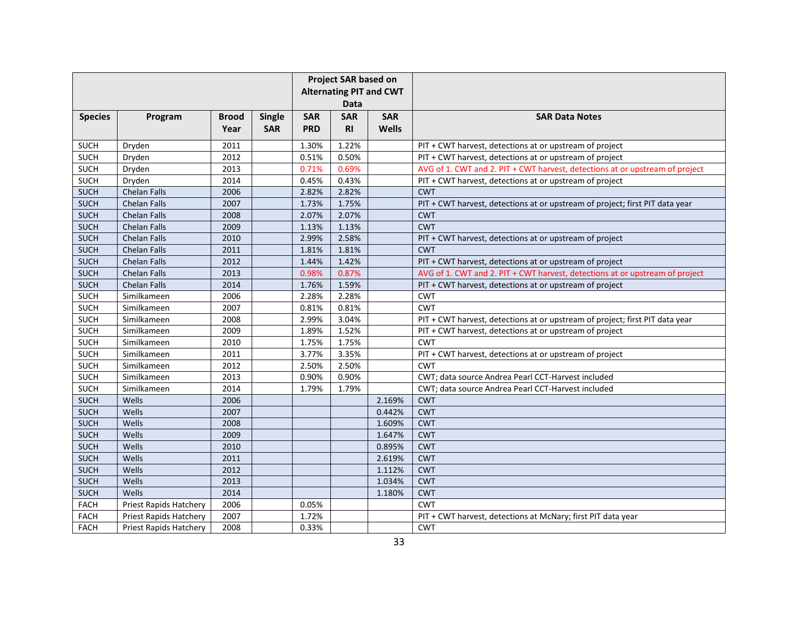|                |                               | <b>Project SAR based on</b> |            |                                |            |            |                                                                              |
|----------------|-------------------------------|-----------------------------|------------|--------------------------------|------------|------------|------------------------------------------------------------------------------|
|                |                               |                             |            | <b>Alternating PIT and CWT</b> |            |            |                                                                              |
|                |                               |                             | Data       |                                |            |            |                                                                              |
| <b>Species</b> | Program                       | <b>Brood</b>                | Single     | <b>SAR</b>                     | <b>SAR</b> | <b>SAR</b> | <b>SAR Data Notes</b>                                                        |
|                |                               | Year                        | <b>SAR</b> | <b>PRD</b>                     | <b>RI</b>  | Wells      |                                                                              |
| <b>SUCH</b>    | Dryden                        | 2011                        |            | 1.30%                          | 1.22%      |            | PIT + CWT harvest, detections at or upstream of project                      |
| <b>SUCH</b>    | Dryden                        | 2012                        |            | 0.51%                          | 0.50%      |            | PIT + CWT harvest, detections at or upstream of project                      |
| <b>SUCH</b>    | Dryden                        | 2013                        |            | 0.71%                          | 0.69%      |            | AVG of 1. CWT and 2. PIT + CWT harvest, detections at or upstream of project |
| <b>SUCH</b>    | Dryden                        | 2014                        |            | 0.45%                          | 0.43%      |            | PIT + CWT harvest, detections at or upstream of project                      |
| <b>SUCH</b>    | Chelan Falls                  | 2006                        |            | 2.82%                          | 2.82%      |            | <b>CWT</b>                                                                   |
| <b>SUCH</b>    | Chelan Falls                  | 2007                        |            | 1.73%                          | 1.75%      |            | PIT + CWT harvest, detections at or upstream of project; first PIT data year |
| <b>SUCH</b>    | <b>Chelan Falls</b>           | 2008                        |            | 2.07%                          | 2.07%      |            | <b>CWT</b>                                                                   |
| <b>SUCH</b>    | Chelan Falls                  | 2009                        |            | 1.13%                          | 1.13%      |            | <b>CWT</b>                                                                   |
| <b>SUCH</b>    | Chelan Falls                  | 2010                        |            | 2.99%                          | 2.58%      |            | PIT + CWT harvest, detections at or upstream of project                      |
| <b>SUCH</b>    | Chelan Falls                  | 2011                        |            | 1.81%                          | 1.81%      |            | <b>CWT</b>                                                                   |
| <b>SUCH</b>    | <b>Chelan Falls</b>           | 2012                        |            | 1.44%                          | 1.42%      |            | PIT + CWT harvest, detections at or upstream of project                      |
| <b>SUCH</b>    | Chelan Falls                  | 2013                        |            | 0.98%                          | 0.87%      |            | AVG of 1. CWT and 2. PIT + CWT harvest, detections at or upstream of project |
| <b>SUCH</b>    | <b>Chelan Falls</b>           | 2014                        |            | 1.76%                          | 1.59%      |            | PIT + CWT harvest, detections at or upstream of project                      |
| <b>SUCH</b>    | Similkameen                   | 2006                        |            | 2.28%                          | 2.28%      |            | <b>CWT</b>                                                                   |
| <b>SUCH</b>    | Similkameen                   | 2007                        |            | 0.81%                          | 0.81%      |            | <b>CWT</b>                                                                   |
| <b>SUCH</b>    | Similkameen                   | 2008                        |            | 2.99%                          | 3.04%      |            | PIT + CWT harvest, detections at or upstream of project; first PIT data year |
| <b>SUCH</b>    | Similkameen                   | 2009                        |            | 1.89%                          | 1.52%      |            | PIT + CWT harvest, detections at or upstream of project                      |
| <b>SUCH</b>    | Similkameen                   | 2010                        |            | 1.75%                          | 1.75%      |            | <b>CWT</b>                                                                   |
| <b>SUCH</b>    | Similkameen                   | 2011                        |            | 3.77%                          | 3.35%      |            | PIT + CWT harvest, detections at or upstream of project                      |
| <b>SUCH</b>    | Similkameen                   | 2012                        |            | 2.50%                          | 2.50%      |            | <b>CWT</b>                                                                   |
| <b>SUCH</b>    | Similkameen                   | 2013                        |            | 0.90%                          | 0.90%      |            | CWT; data source Andrea Pearl CCT-Harvest included                           |
| <b>SUCH</b>    | Similkameen                   | 2014                        |            | 1.79%                          | 1.79%      |            | CWT; data source Andrea Pearl CCT-Harvest included                           |
| <b>SUCH</b>    | Wells                         | 2006                        |            |                                |            | 2.169%     | <b>CWT</b>                                                                   |
| <b>SUCH</b>    | Wells                         | 2007                        |            |                                |            | 0.442%     | <b>CWT</b>                                                                   |
| <b>SUCH</b>    | Wells                         | 2008                        |            |                                |            | 1.609%     | <b>CWT</b>                                                                   |
| <b>SUCH</b>    | Wells                         | 2009                        |            |                                |            | 1.647%     | <b>CWT</b>                                                                   |
| <b>SUCH</b>    | Wells                         | 2010                        |            |                                |            | 0.895%     | <b>CWT</b>                                                                   |
| <b>SUCH</b>    | Wells                         | 2011                        |            |                                |            | 2.619%     | <b>CWT</b>                                                                   |
| <b>SUCH</b>    | Wells                         | 2012                        |            |                                |            | 1.112%     | <b>CWT</b>                                                                   |
| <b>SUCH</b>    | Wells                         | 2013                        |            |                                |            | 1.034%     | <b>CWT</b>                                                                   |
| <b>SUCH</b>    | Wells                         | 2014                        |            |                                |            | 1.180%     | <b>CWT</b>                                                                   |
| <b>FACH</b>    | <b>Priest Rapids Hatchery</b> | 2006                        |            | 0.05%                          |            |            | <b>CWT</b>                                                                   |
| <b>FACH</b>    | <b>Priest Rapids Hatchery</b> | 2007                        |            | 1.72%                          |            |            | PIT + CWT harvest, detections at McNary; first PIT data year                 |
| <b>FACH</b>    | Priest Rapids Hatchery        | 2008                        |            | 0.33%                          |            |            | <b>CWT</b>                                                                   |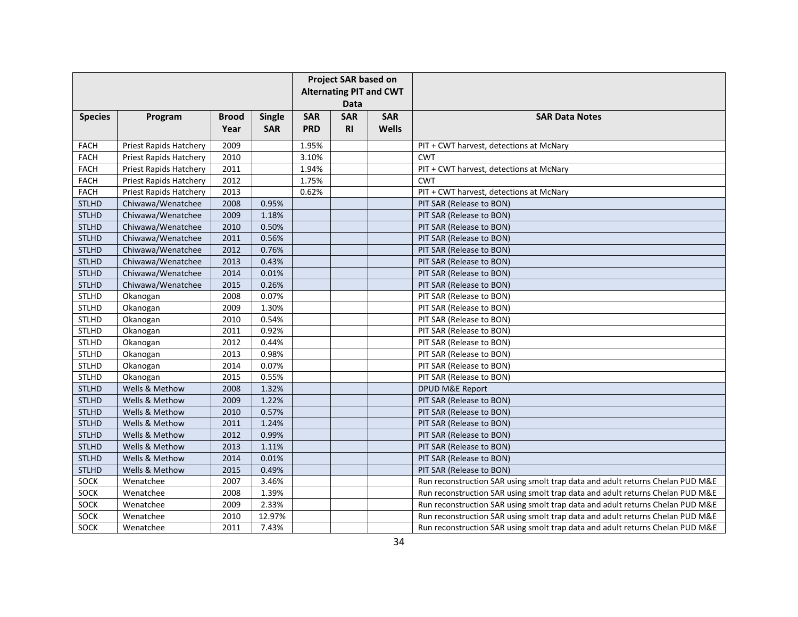|                |                               |                      |                             | <b>Project SAR based on</b><br><b>Alternating PIT and CWT</b><br><b>Data</b>           |  |  |                                                                               |  |  |  |
|----------------|-------------------------------|----------------------|-----------------------------|----------------------------------------------------------------------------------------|--|--|-------------------------------------------------------------------------------|--|--|--|
| <b>Species</b> | Program                       | <b>Brood</b><br>Year | <b>Single</b><br><b>SAR</b> | <b>SAR</b><br><b>SAR</b><br><b>SAR</b><br><b>PRD</b><br>R <sub>1</sub><br><b>Wells</b> |  |  | <b>SAR Data Notes</b>                                                         |  |  |  |
| <b>FACH</b>    | <b>Priest Rapids Hatchery</b> | 2009                 |                             | 1.95%                                                                                  |  |  | PIT + CWT harvest, detections at McNary                                       |  |  |  |
| <b>FACH</b>    | <b>Priest Rapids Hatchery</b> | 2010                 |                             | 3.10%                                                                                  |  |  | <b>CWT</b>                                                                    |  |  |  |
| <b>FACH</b>    | Priest Rapids Hatchery        | 2011                 |                             | 1.94%                                                                                  |  |  | PIT + CWT harvest, detections at McNary                                       |  |  |  |
| <b>FACH</b>    | Priest Rapids Hatchery        | 2012                 |                             | 1.75%                                                                                  |  |  | <b>CWT</b>                                                                    |  |  |  |
| <b>FACH</b>    | Priest Rapids Hatchery        | 2013                 |                             | 0.62%                                                                                  |  |  | PIT + CWT harvest, detections at McNary                                       |  |  |  |
| <b>STLHD</b>   | Chiwawa/Wenatchee             | 2008                 | 0.95%                       |                                                                                        |  |  | PIT SAR (Release to BON)                                                      |  |  |  |
| <b>STLHD</b>   | Chiwawa/Wenatchee             | 2009                 | 1.18%                       |                                                                                        |  |  | PIT SAR (Release to BON)                                                      |  |  |  |
| <b>STLHD</b>   | Chiwawa/Wenatchee             | 2010                 | 0.50%                       |                                                                                        |  |  | PIT SAR (Release to BON)                                                      |  |  |  |
| <b>STLHD</b>   | Chiwawa/Wenatchee             | 2011                 | 0.56%                       |                                                                                        |  |  | PIT SAR (Release to BON)                                                      |  |  |  |
| <b>STLHD</b>   | Chiwawa/Wenatchee             | 2012                 | 0.76%                       |                                                                                        |  |  | PIT SAR (Release to BON)                                                      |  |  |  |
| <b>STLHD</b>   | Chiwawa/Wenatchee             | 2013                 | 0.43%                       |                                                                                        |  |  | PIT SAR (Release to BON)                                                      |  |  |  |
| <b>STLHD</b>   | Chiwawa/Wenatchee             | 2014                 | 0.01%                       |                                                                                        |  |  | PIT SAR (Release to BON)                                                      |  |  |  |
| <b>STLHD</b>   | Chiwawa/Wenatchee             | 2015                 | 0.26%                       |                                                                                        |  |  | PIT SAR (Release to BON)                                                      |  |  |  |
| <b>STLHD</b>   | Okanogan                      | 2008                 | 0.07%                       |                                                                                        |  |  | PIT SAR (Release to BON)                                                      |  |  |  |
| <b>STLHD</b>   | Okanogan                      | 2009                 | 1.30%                       |                                                                                        |  |  | PIT SAR (Release to BON)                                                      |  |  |  |
| <b>STLHD</b>   | Okanogan                      | 2010                 | 0.54%                       |                                                                                        |  |  | PIT SAR (Release to BON)                                                      |  |  |  |
| <b>STLHD</b>   | Okanogan                      | 2011                 | 0.92%                       |                                                                                        |  |  | PIT SAR (Release to BON)                                                      |  |  |  |
| <b>STLHD</b>   | Okanogan                      | 2012                 | 0.44%                       |                                                                                        |  |  | PIT SAR (Release to BON)                                                      |  |  |  |
| <b>STLHD</b>   | Okanogan                      | 2013                 | 0.98%                       |                                                                                        |  |  | PIT SAR (Release to BON)                                                      |  |  |  |
| <b>STLHD</b>   | Okanogan                      | 2014                 | 0.07%                       |                                                                                        |  |  | PIT SAR (Release to BON)                                                      |  |  |  |
| <b>STLHD</b>   | Okanogan                      | 2015                 | 0.55%                       |                                                                                        |  |  | PIT SAR (Release to BON)                                                      |  |  |  |
| <b>STLHD</b>   | Wells & Methow                | 2008                 | 1.32%                       |                                                                                        |  |  | DPUD M&E Report                                                               |  |  |  |
| <b>STLHD</b>   | Wells & Methow                | 2009                 | 1.22%                       |                                                                                        |  |  | PIT SAR (Release to BON)                                                      |  |  |  |
| <b>STLHD</b>   | Wells & Methow                | 2010                 | 0.57%                       |                                                                                        |  |  | PIT SAR (Release to BON)                                                      |  |  |  |
| <b>STLHD</b>   | Wells & Methow                | 2011                 | 1.24%                       |                                                                                        |  |  | PIT SAR (Release to BON)                                                      |  |  |  |
| <b>STLHD</b>   | Wells & Methow                | 2012                 | 0.99%                       |                                                                                        |  |  | PIT SAR (Release to BON)                                                      |  |  |  |
| <b>STLHD</b>   | Wells & Methow                | 2013                 | 1.11%                       |                                                                                        |  |  | PIT SAR (Release to BON)                                                      |  |  |  |
| <b>STLHD</b>   | Wells & Methow                | 2014                 | 0.01%                       |                                                                                        |  |  | PIT SAR (Release to BON)                                                      |  |  |  |
| <b>STLHD</b>   | Wells & Methow                | 2015                 | 0.49%                       |                                                                                        |  |  | PIT SAR (Release to BON)                                                      |  |  |  |
| <b>SOCK</b>    | Wenatchee                     | 2007                 | 3.46%                       |                                                                                        |  |  | Run reconstruction SAR using smolt trap data and adult returns Chelan PUD M&E |  |  |  |
| <b>SOCK</b>    | Wenatchee                     | 2008                 | 1.39%                       |                                                                                        |  |  | Run reconstruction SAR using smolt trap data and adult returns Chelan PUD M&E |  |  |  |
| <b>SOCK</b>    | Wenatchee                     | 2009                 | 2.33%                       |                                                                                        |  |  | Run reconstruction SAR using smolt trap data and adult returns Chelan PUD M&E |  |  |  |
| SOCK           | Wenatchee                     | 2010                 | 12.97%                      |                                                                                        |  |  | Run reconstruction SAR using smolt trap data and adult returns Chelan PUD M&E |  |  |  |
| <b>SOCK</b>    | Wenatchee                     | 2011                 | 7.43%                       |                                                                                        |  |  | Run reconstruction SAR using smolt trap data and adult returns Chelan PUD M&E |  |  |  |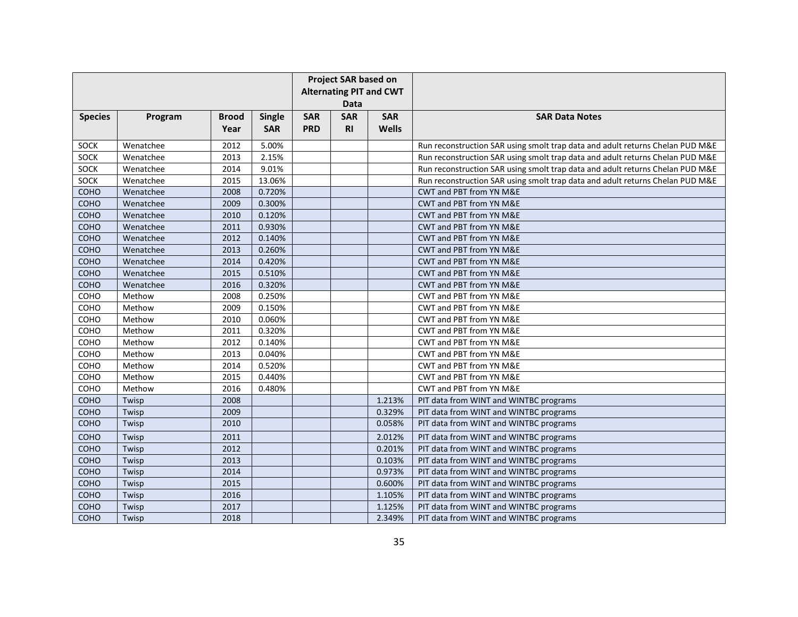|                |           |                      | Project SAR based on<br><b>Alternating PIT and CWT</b><br>Data |                                                                                        |  |        |                                                                               |  |  |
|----------------|-----------|----------------------|----------------------------------------------------------------|----------------------------------------------------------------------------------------|--|--------|-------------------------------------------------------------------------------|--|--|
| <b>Species</b> | Program   | <b>Brood</b><br>Year | <b>Single</b><br><b>SAR</b>                                    | <b>SAR</b><br><b>SAR</b><br><b>SAR</b><br><b>PRD</b><br>R <sub>l</sub><br><b>Wells</b> |  |        | <b>SAR Data Notes</b>                                                         |  |  |
| SOCK           | Wenatchee | 2012                 | 5.00%                                                          |                                                                                        |  |        | Run reconstruction SAR using smolt trap data and adult returns Chelan PUD M&E |  |  |
| SOCK           | Wenatchee | 2013                 | 2.15%                                                          |                                                                                        |  |        | Run reconstruction SAR using smolt trap data and adult returns Chelan PUD M&E |  |  |
| SOCK           | Wenatchee | 2014                 | 9.01%                                                          |                                                                                        |  |        | Run reconstruction SAR using smolt trap data and adult returns Chelan PUD M&E |  |  |
| <b>SOCK</b>    | Wenatchee | 2015                 | 13.06%                                                         |                                                                                        |  |        | Run reconstruction SAR using smolt trap data and adult returns Chelan PUD M&E |  |  |
| COHO           | Wenatchee | 2008                 | 0.720%                                                         |                                                                                        |  |        | CWT and PBT from YN M&E                                                       |  |  |
| COHO           | Wenatchee | 2009                 | 0.300%                                                         |                                                                                        |  |        | CWT and PBT from YN M&E                                                       |  |  |
| <b>COHO</b>    | Wenatchee | 2010                 | 0.120%                                                         |                                                                                        |  |        | <b>CWT and PBT from YN M&amp;E</b>                                            |  |  |
| COHO           | Wenatchee | 2011                 | 0.930%                                                         |                                                                                        |  |        | CWT and PBT from YN M&E                                                       |  |  |
| COHO           | Wenatchee | 2012                 | 0.140%                                                         |                                                                                        |  |        | <b>CWT and PBT from YN M&amp;E</b>                                            |  |  |
| COHO           | Wenatchee | 2013                 | 0.260%                                                         |                                                                                        |  |        | CWT and PBT from YN M&E                                                       |  |  |
| COHO           | Wenatchee | 2014                 | 0.420%                                                         |                                                                                        |  |        | CWT and PBT from YN M&E                                                       |  |  |
| COHO           | Wenatchee | 2015                 | 0.510%                                                         |                                                                                        |  |        | <b>CWT and PBT from YN M&amp;E</b>                                            |  |  |
| COHO           | Wenatchee | 2016                 | 0.320%                                                         |                                                                                        |  |        | CWT and PBT from YN M&E                                                       |  |  |
| COHO           | Methow    | 2008                 | 0.250%                                                         |                                                                                        |  |        | <b>CWT and PBT from YN M&amp;E</b>                                            |  |  |
| СОНО           | Methow    | 2009                 | 0.150%                                                         |                                                                                        |  |        | <b>CWT and PBT from YN M&amp;E</b>                                            |  |  |
| COHO           | Methow    | 2010                 | 0.060%                                                         |                                                                                        |  |        | <b>CWT and PBT from YN M&amp;E</b>                                            |  |  |
| COHO           | Methow    | 2011                 | 0.320%                                                         |                                                                                        |  |        | <b>CWT and PBT from YN M&amp;E</b>                                            |  |  |
| COHO           | Methow    | 2012                 | 0.140%                                                         |                                                                                        |  |        | CWT and PBT from YN M&E                                                       |  |  |
| COHO           | Methow    | 2013                 | 0.040%                                                         |                                                                                        |  |        | CWT and PBT from YN M&E                                                       |  |  |
| COHO           | Methow    | 2014                 | 0.520%                                                         |                                                                                        |  |        | CWT and PBT from YN M&E                                                       |  |  |
| COHO           | Methow    | 2015                 | 0.440%                                                         |                                                                                        |  |        | CWT and PBT from YN M&E                                                       |  |  |
| COHO           | Methow    | 2016                 | 0.480%                                                         |                                                                                        |  |        | CWT and PBT from YN M&E                                                       |  |  |
| COHO           | Twisp     | 2008                 |                                                                |                                                                                        |  | 1.213% | PIT data from WINT and WINTBC programs                                        |  |  |
| COHO           | Twisp     | 2009                 |                                                                |                                                                                        |  | 0.329% | PIT data from WINT and WINTBC programs                                        |  |  |
| COHO           | Twisp     | 2010                 |                                                                |                                                                                        |  | 0.058% | PIT data from WINT and WINTBC programs                                        |  |  |
| COHO           | Twisp     | 2011                 |                                                                |                                                                                        |  | 2.012% | PIT data from WINT and WINTBC programs                                        |  |  |
| <b>COHO</b>    | Twisp     | 2012                 |                                                                |                                                                                        |  | 0.201% | PIT data from WINT and WINTBC programs                                        |  |  |
| COHO           | Twisp     | 2013                 |                                                                |                                                                                        |  | 0.103% | PIT data from WINT and WINTBC programs                                        |  |  |
| <b>COHO</b>    | Twisp     | 2014                 |                                                                |                                                                                        |  | 0.973% | PIT data from WINT and WINTBC programs                                        |  |  |
| <b>COHO</b>    | Twisp     | 2015                 |                                                                |                                                                                        |  | 0.600% | PIT data from WINT and WINTBC programs                                        |  |  |
| COHO           | Twisp     | 2016                 |                                                                |                                                                                        |  | 1.105% | PIT data from WINT and WINTBC programs                                        |  |  |
| COHO           | Twisp     | 2017                 |                                                                |                                                                                        |  | 1.125% | PIT data from WINT and WINTBC programs                                        |  |  |
| <b>COHO</b>    | Twisp     | 2018                 |                                                                |                                                                                        |  | 2.349% | PIT data from WINT and WINTBC programs                                        |  |  |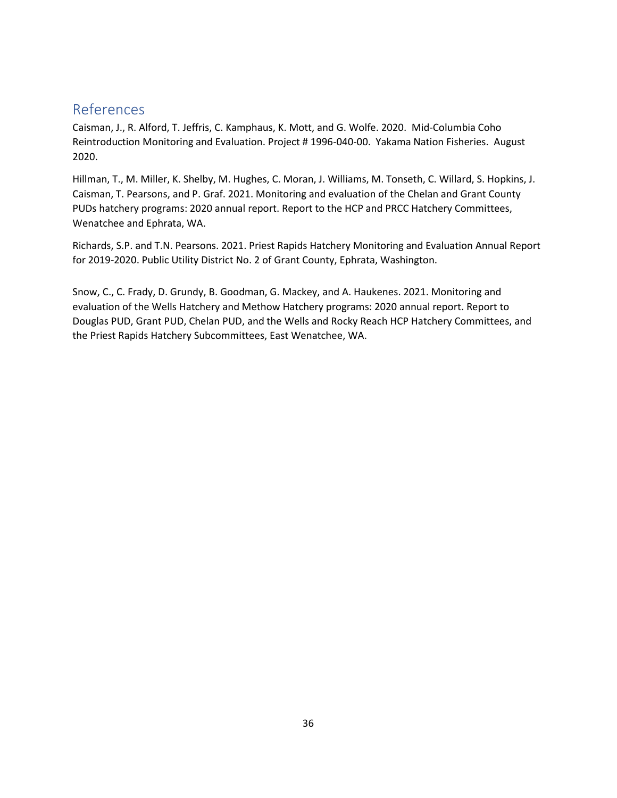## References

Caisman, J., R. Alford, T. Jeffris, C. Kamphaus, K. Mott, and G. Wolfe. 2020. Mid-Columbia Coho Reintroduction Monitoring and Evaluation. Project # 1996-040-00. Yakama Nation Fisheries. August 2020.

Hillman, T., M. Miller, K. Shelby, M. Hughes, C. Moran, J. Williams, M. Tonseth, C. Willard, S. Hopkins, J. Caisman, T. Pearsons, and P. Graf. 2021. Monitoring and evaluation of the Chelan and Grant County PUDs hatchery programs: 2020 annual report. Report to the HCP and PRCC Hatchery Committees, Wenatchee and Ephrata, WA.

Richards, S.P. and T.N. Pearsons. 2021. Priest Rapids Hatchery Monitoring and Evaluation Annual Report for 2019-2020. Public Utility District No. 2 of Grant County, Ephrata, Washington.

Snow, C., C. Frady, D. Grundy, B. Goodman, G. Mackey, and A. Haukenes. 2021. Monitoring and evaluation of the Wells Hatchery and Methow Hatchery programs: 2020 annual report. Report to Douglas PUD, Grant PUD, Chelan PUD, and the Wells and Rocky Reach HCP Hatchery Committees, and the Priest Rapids Hatchery Subcommittees, East Wenatchee, WA.